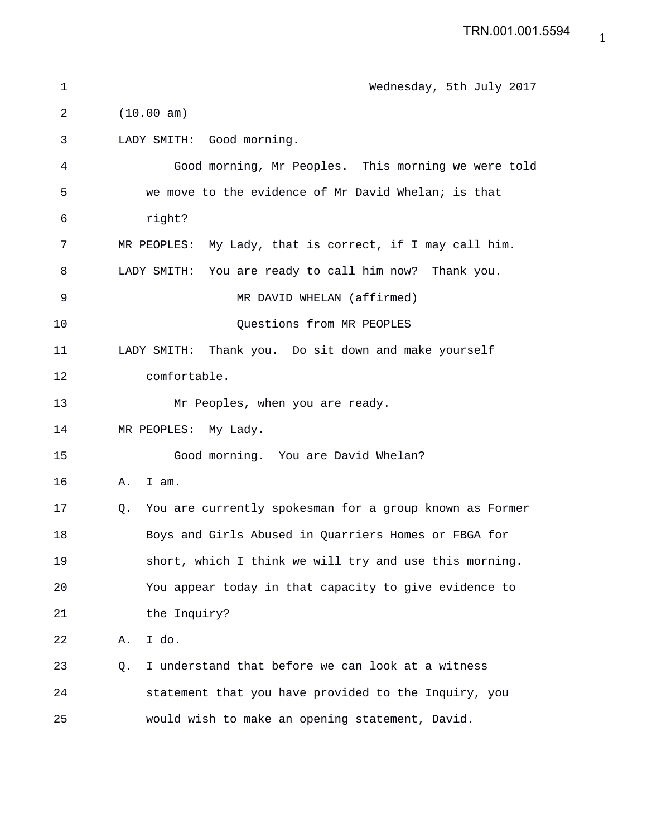| 1  | Wednesday, 5th July 2017                                      |
|----|---------------------------------------------------------------|
| 2  | (10.00 am)                                                    |
| 3  | LADY SMITH: Good morning.                                     |
| 4  | Good morning, Mr Peoples. This morning we were told           |
| 5  | we move to the evidence of Mr David Whelan; is that           |
| 6  | right?                                                        |
| 7  | MR PEOPLES: My Lady, that is correct, if I may call him.      |
| 8  | LADY SMITH: You are ready to call him now? Thank you.         |
| 9  | MR DAVID WHELAN (affirmed)                                    |
| 10 | Questions from MR PEOPLES                                     |
| 11 | LADY SMITH: Thank you. Do sit down and make yourself          |
| 12 | comfortable.                                                  |
| 13 | Mr Peoples, when you are ready.                               |
| 14 | MR PEOPLES: My Lady.                                          |
| 15 | Good morning. You are David Whelan?                           |
| 16 | Α.<br>I am.                                                   |
| 17 | You are currently spokesman for a group known as Former<br>0. |
| 18 | Boys and Girls Abused in Quarriers Homes or FBGA for          |
| 19 | short, which I think we will try and use this morning.        |
| 20 | You appear today in that capacity to give evidence to         |
| 21 | the Inquiry?                                                  |
| 22 | I do.<br>Α.                                                   |
| 23 | I understand that before we can look at a witness<br>Q.       |
| 24 | statement that you have provided to the Inquiry, you          |
| 25 | would wish to make an opening statement, David.               |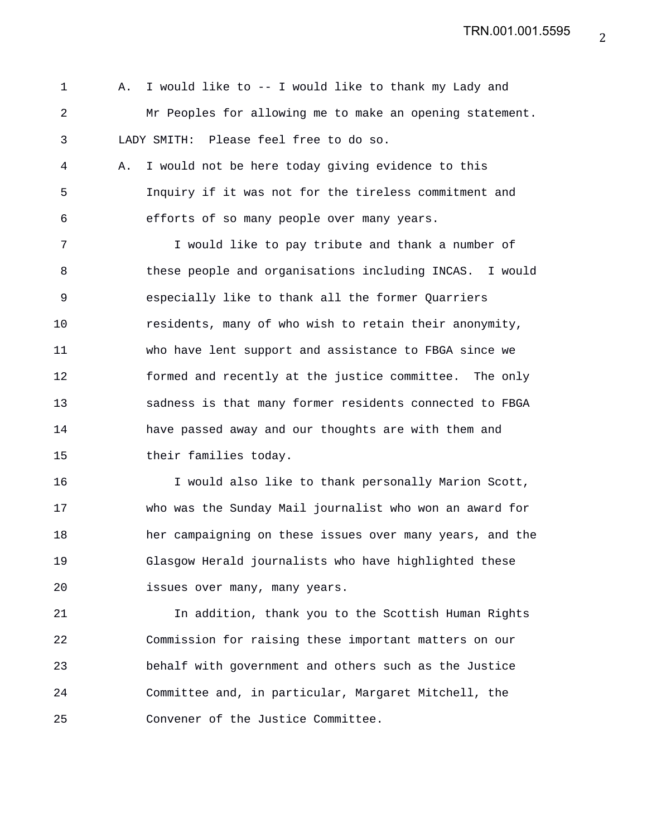1 A. I would like to -- I would like to thank my Lady and 2 Mr Peoples for allowing me to make an opening statement. 3 LADY SMITH: Please feel free to do so.

4 A. I would not be here today giving evidence to this 5 Inquiry if it was not for the tireless commitment and 6 efforts of so many people over many years.

7 I would like to pay tribute and thank a number of 8 these people and organisations including INCAS. I would 9 especially like to thank all the former Quarriers 10 residents, many of who wish to retain their anonymity, 11 who have lent support and assistance to FBGA since we 12 formed and recently at the justice committee. The only 13 sadness is that many former residents connected to FBGA 14 have passed away and our thoughts are with them and 15 their families today.

16 I would also like to thank personally Marion Scott, 17 who was the Sunday Mail journalist who won an award for 18 her campaigning on these issues over many years, and the 19 Glasgow Herald journalists who have highlighted these 20 issues over many, many years.

21 In addition, thank you to the Scottish Human Rights 22 Commission for raising these important matters on our 23 behalf with government and others such as the Justice 24 Committee and, in particular, Margaret Mitchell, the 25 Convener of the Justice Committee.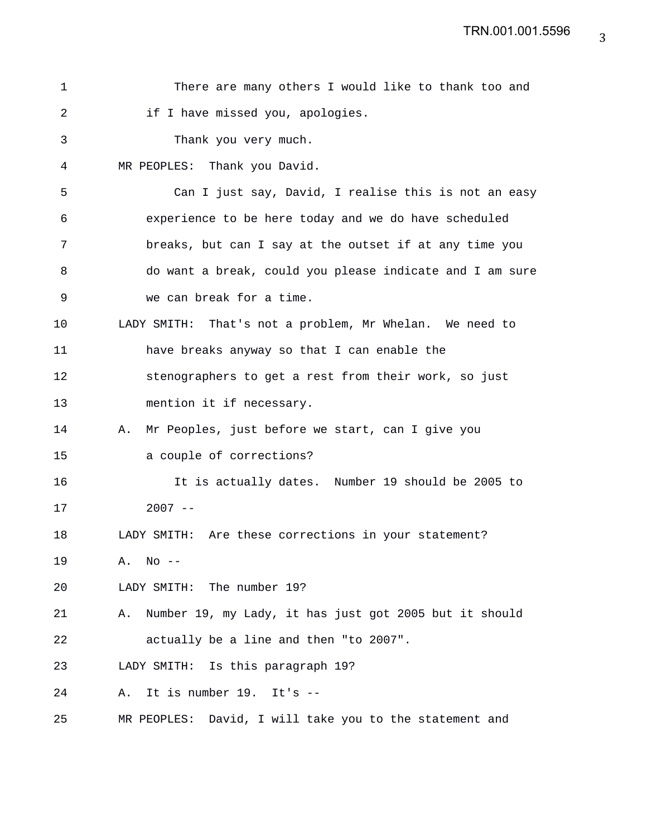| 1  | There are many others I would like to thank too and          |
|----|--------------------------------------------------------------|
| 2  | if I have missed you, apologies.                             |
| 3  | Thank you very much.                                         |
| 4  | MR PEOPLES: Thank you David.                                 |
| 5  | Can I just say, David, I realise this is not an easy         |
| 6  | experience to be here today and we do have scheduled         |
| 7  | breaks, but can I say at the outset if at any time you       |
| 8  | do want a break, could you please indicate and I am sure     |
| 9  | we can break for a time.                                     |
| 10 | LADY SMITH: That's not a problem, Mr Whelan. We need to      |
| 11 | have breaks anyway so that I can enable the                  |
| 12 | stenographers to get a rest from their work, so just         |
| 13 | mention it if necessary.                                     |
| 14 | Mr Peoples, just before we start, can I give you<br>Α.       |
| 15 | a couple of corrections?                                     |
| 16 | It is actually dates. Number 19 should be 2005 to            |
| 17 | $2007 - -$                                                   |
| 18 | LADY SMITH: Are these corrections in your statement?         |
| 19 | $A.$ No $-$                                                  |
| 20 | LADY SMITH: The number 19?                                   |
| 21 | Number 19, my Lady, it has just got 2005 but it should<br>Α. |
| 22 | actually be a line and then "to 2007".                       |
| 23 | LADY SMITH: Is this paragraph 19?                            |
| 24 | It is number 19. It's --<br>Α.                               |
| 25 | MR PEOPLES: David, I will take you to the statement and      |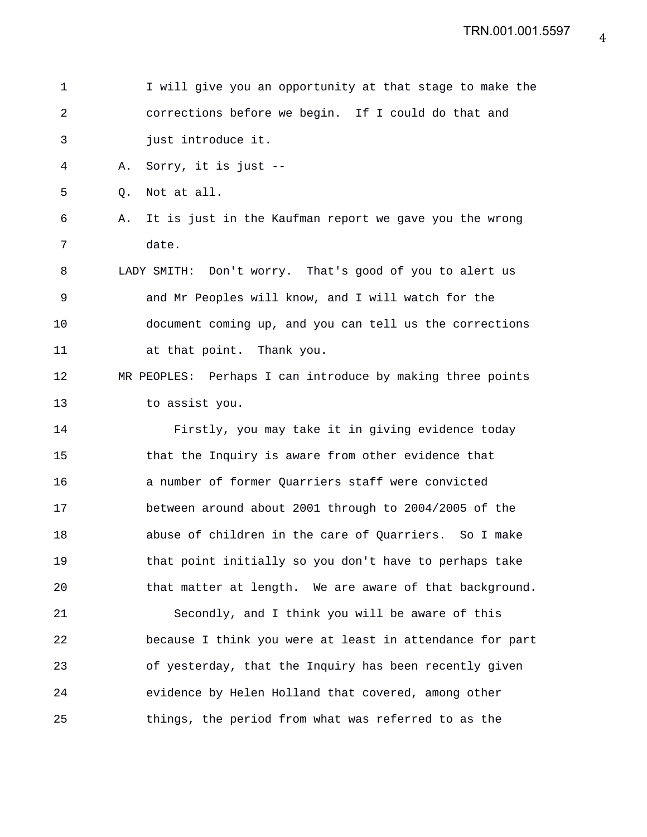| 1  |    | I will give you an opportunity at that stage to make the   |
|----|----|------------------------------------------------------------|
| 2  |    | corrections before we begin. If I could do that and        |
| 3  |    | just introduce it.                                         |
| 4  | Α. | Sorry, it is just --                                       |
| 5  | O. | Not at all.                                                |
| 6  | Α. | It is just in the Kaufman report we gave you the wrong     |
| 7  |    | date.                                                      |
| 8  |    | LADY SMITH: Don't worry. That's good of you to alert us    |
| 9  |    | and Mr Peoples will know, and I will watch for the         |
| 10 |    | document coming up, and you can tell us the corrections    |
| 11 |    | at that point. Thank you.                                  |
| 12 |    | MR PEOPLES: Perhaps I can introduce by making three points |
| 13 |    | to assist you.                                             |
| 14 |    | Firstly, you may take it in giving evidence today          |
| 15 |    | that the Inquiry is aware from other evidence that         |
| 16 |    | a number of former Quarriers staff were convicted          |
| 17 |    | between around about 2001 through to 2004/2005 of the      |
| 18 |    | abuse of children in the care of Quarriers. So I make      |
| 19 |    | that point initially so you don't have to perhaps take     |
| 20 |    | that matter at length. We are aware of that background.    |
| 21 |    | Secondly, and I think you will be aware of this            |
| 22 |    | because I think you were at least in attendance for part   |
| 23 |    | of yesterday, that the Inquiry has been recently given     |
| 24 |    | evidence by Helen Holland that covered, among other        |
| 25 |    | things, the period from what was referred to as the        |
|    |    |                                                            |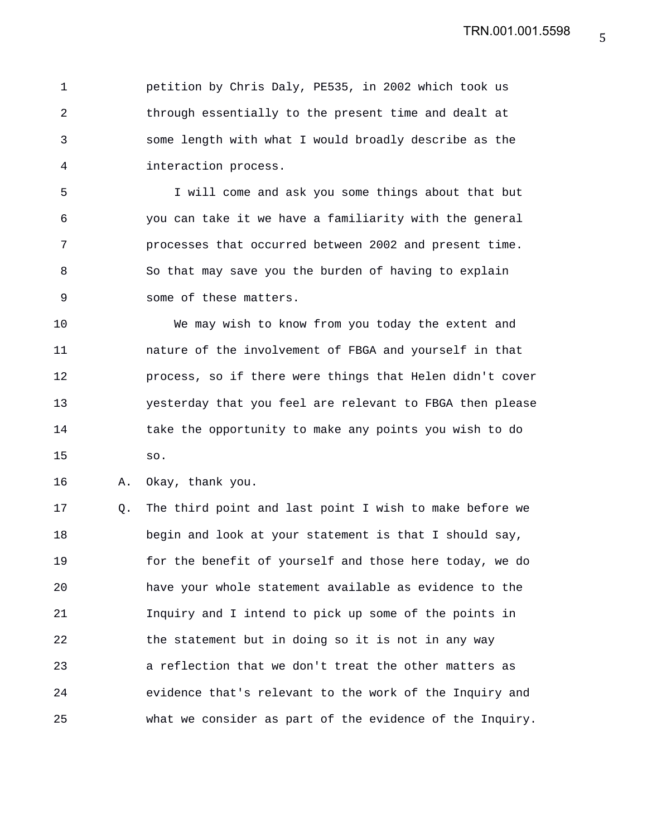1 petition by Chris Daly, PE535, in 2002 which took us 2 through essentially to the present time and dealt at 3 some length with what I would broadly describe as the 4 interaction process.

5 I will come and ask you some things about that but 6 you can take it we have a familiarity with the general 7 processes that occurred between 2002 and present time. 8 So that may save you the burden of having to explain 9 some of these matters.

10 We may wish to know from you today the extent and 11 nature of the involvement of FBGA and yourself in that 12 process, so if there were things that Helen didn't cover 13 yesterday that you feel are relevant to FBGA then please 14 take the opportunity to make any points you wish to do 15 so.

16 A. Okay, thank you.

17 Q. The third point and last point I wish to make before we 18 begin and look at your statement is that I should say, 19 for the benefit of yourself and those here today, we do 20 have your whole statement available as evidence to the 21 Inquiry and I intend to pick up some of the points in 22 the statement but in doing so it is not in any way 23 a reflection that we don't treat the other matters as 24 evidence that's relevant to the work of the Inquiry and 25 what we consider as part of the evidence of the Inquiry.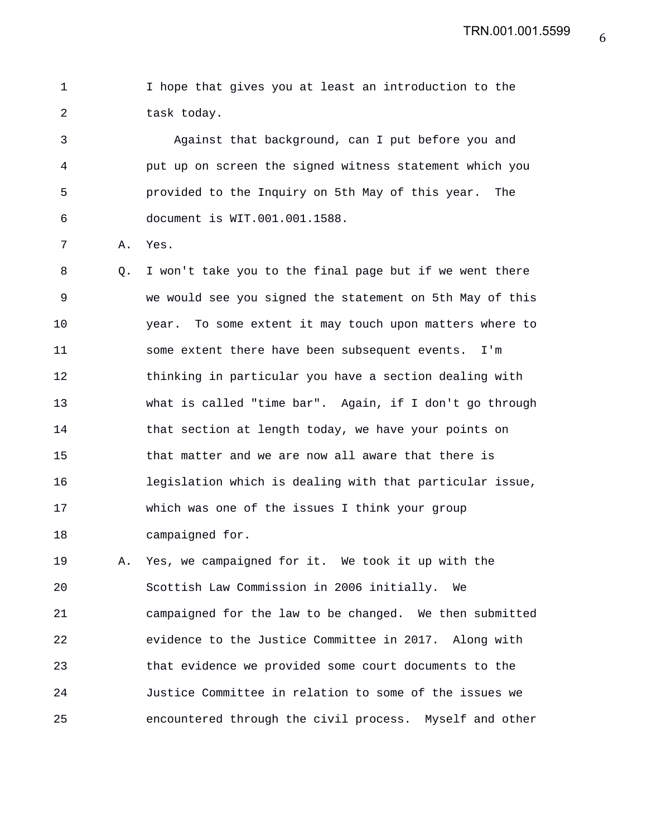TRN.001.001.5599

1 I hope that gives you at least an introduction to the 2 task today.

3 Against that background, can I put before you and 4 put up on screen the signed witness statement which you 5 provided to the Inquiry on 5th May of this year. The 6 document is WIT.001.001.1588.

7 A. Yes.

8 Q. I won't take you to the final page but if we went there 9 we would see you signed the statement on 5th May of this 10 year. To some extent it may touch upon matters where to 11 some extent there have been subsequent events. I'm 12 thinking in particular you have a section dealing with 13 what is called "time bar". Again, if I don't go through 14 that section at length today, we have your points on 15 that matter and we are now all aware that there is 16 legislation which is dealing with that particular issue, 17 which was one of the issues I think your group 18 campaigned for.

19 A. Yes, we campaigned for it. We took it up with the 20 Scottish Law Commission in 2006 initially. We 21 campaigned for the law to be changed. We then submitted 22 evidence to the Justice Committee in 2017. Along with 23 that evidence we provided some court documents to the 24 Justice Committee in relation to some of the issues we 25 encountered through the civil process. Myself and other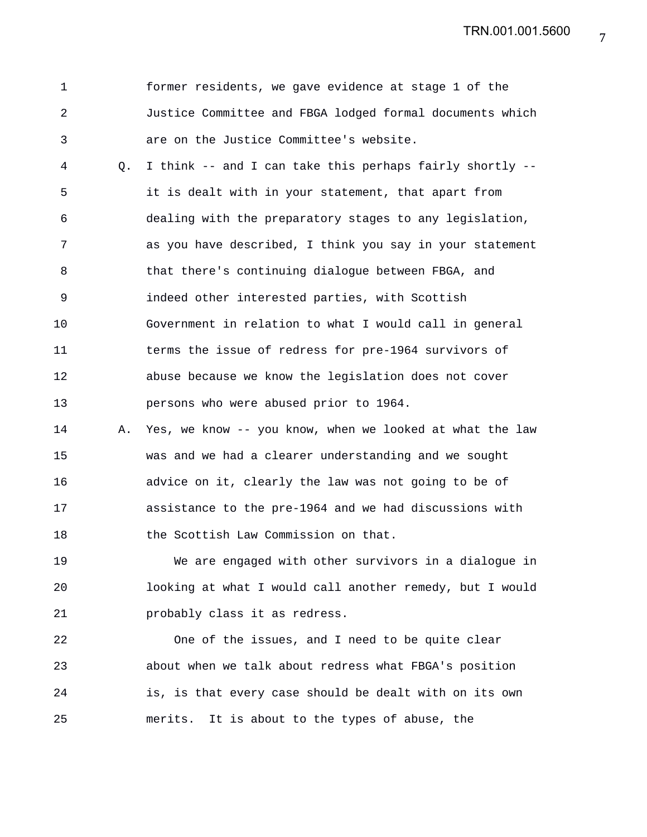TRN.001.001.5600

| $\mathbf 1$ |    | former residents, we gave evidence at stage 1 of the     |
|-------------|----|----------------------------------------------------------|
| 2           |    | Justice Committee and FBGA lodged formal documents which |
| 3           |    | are on the Justice Committee's website.                  |
| 4           | Q. | I think -- and I can take this perhaps fairly shortly -- |
| 5           |    | it is dealt with in your statement, that apart from      |
| 6           |    | dealing with the preparatory stages to any legislation,  |
| 7           |    | as you have described, I think you say in your statement |
| 8           |    | that there's continuing dialogue between FBGA, and       |
| 9           |    | indeed other interested parties, with Scottish           |
| 10          |    | Government in relation to what I would call in general   |
| 11          |    | terms the issue of redress for pre-1964 survivors of     |
| 12          |    | abuse because we know the legislation does not cover     |
| 13          |    | persons who were abused prior to 1964.                   |
| 14          | Α. | Yes, we know -- you know, when we looked at what the law |
| 15          |    | was and we had a clearer understanding and we sought     |
| 16          |    | advice on it, clearly the law was not going to be of     |
| 17          |    | assistance to the pre-1964 and we had discussions with   |
| 18          |    | the Scottish Law Commission on that.                     |
| 19          |    | We are engaged with other survivors in a dialogue in     |
| 20          |    | looking at what I would call another remedy, but I would |
| 21          |    | probably class it as redress.                            |

22 One of the issues, and I need to be quite clear 23 about when we talk about redress what FBGA's position 24 is, is that every case should be dealt with on its own 25 merits. It is about to the types of abuse, the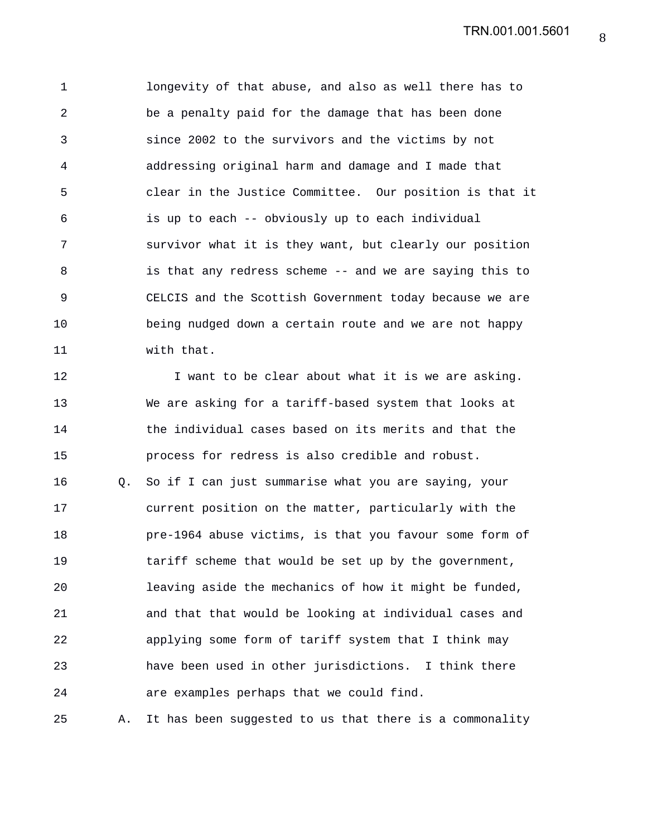1 longevity of that abuse, and also as well there has to 2 be a penalty paid for the damage that has been done 3 since 2002 to the survivors and the victims by not 4 addressing original harm and damage and I made that 5 clear in the Justice Committee. Our position is that it 6 is up to each -- obviously up to each individual 7 survivor what it is they want, but clearly our position 8 is that any redress scheme -- and we are saying this to 9 CELCIS and the Scottish Government today because we are 10 being nudged down a certain route and we are not happy 11 with that.

12 I want to be clear about what it is we are asking. 13 We are asking for a tariff-based system that looks at 14 the individual cases based on its merits and that the 15 process for redress is also credible and robust. 16 Q. So if I can just summarise what you are saying, your 17 current position on the matter, particularly with the 18 pre-1964 abuse victims, is that you favour some form of 19 tariff scheme that would be set up by the government, 20 leaving aside the mechanics of how it might be funded, 21 and that that would be looking at individual cases and 22 applying some form of tariff system that I think may 23 have been used in other jurisdictions. I think there 24 are examples perhaps that we could find.

25 A. It has been suggested to us that there is a commonality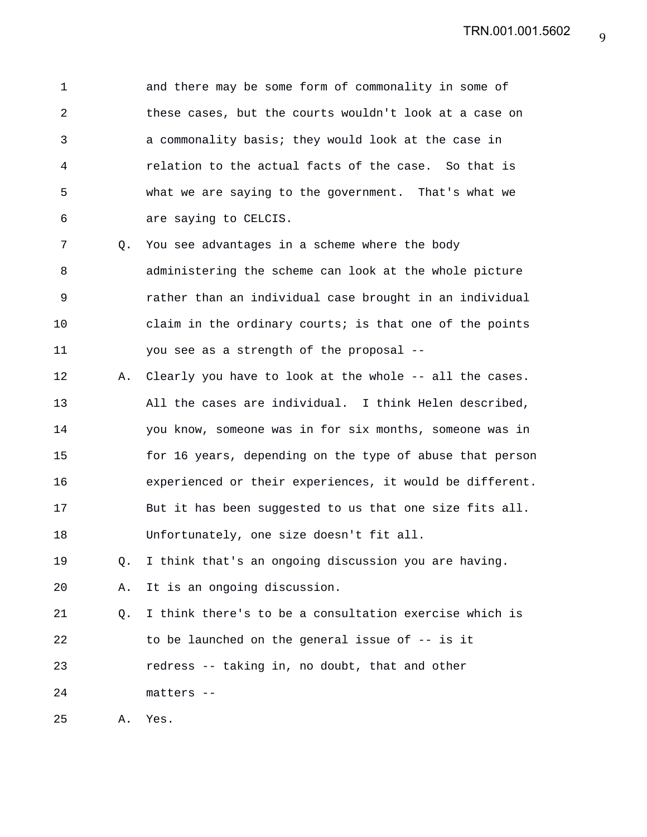1 and there may be some form of commonality in some of 2 these cases, but the courts wouldn't look at a case on 3 a commonality basis; they would look at the case in 4 relation to the actual facts of the case. So that is 5 what we are saying to the government. That's what we 6 are saying to CELCIS.

7 Q. You see advantages in a scheme where the body 8 administering the scheme can look at the whole picture 9 rather than an individual case brought in an individual 10 claim in the ordinary courts; is that one of the points 11 you see as a strength of the proposal --

12 A. Clearly you have to look at the whole -- all the cases. 13 All the cases are individual. I think Helen described, 14 you know, someone was in for six months, someone was in 15 for 16 years, depending on the type of abuse that person 16 experienced or their experiences, it would be different. 17 But it has been suggested to us that one size fits all. 18 Unfortunately, one size doesn't fit all.

19 Q. I think that's an ongoing discussion you are having.

20 A. It is an ongoing discussion.

21 Q. I think there's to be a consultation exercise which is 22 to be launched on the general issue of -- is it 23 redress -- taking in, no doubt, that and other 24 matters --

25 A. Yes.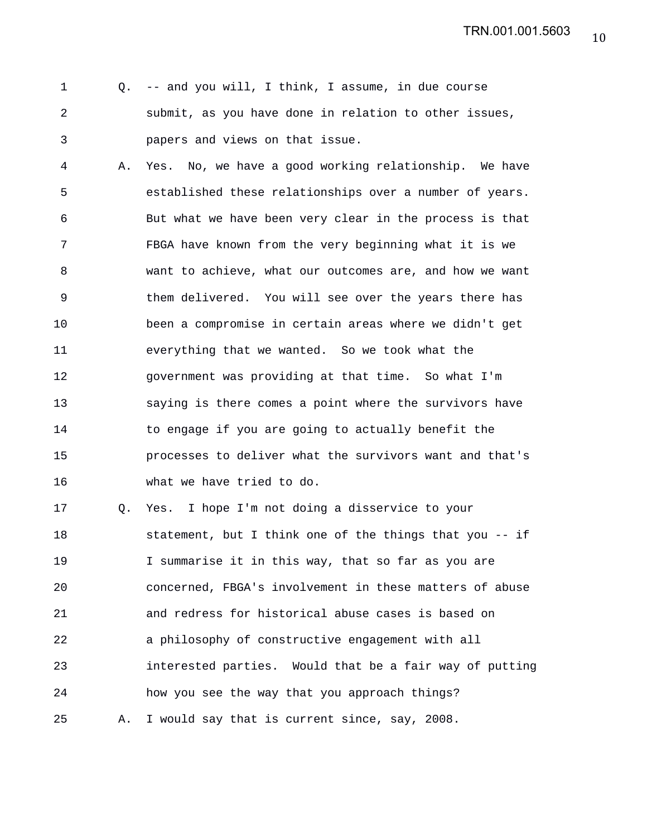1 Q. -- and you will, I think, I assume, in due course 2 submit, as you have done in relation to other issues, 3 papers and views on that issue.

4 A. Yes. No, we have a good working relationship. We have 5 established these relationships over a number of years. 6 But what we have been very clear in the process is that 7 FBGA have known from the very beginning what it is we 8 want to achieve, what our outcomes are, and how we want 9 them delivered. You will see over the years there has 10 been a compromise in certain areas where we didn't get 11 everything that we wanted. So we took what the 12 government was providing at that time. So what I'm 13 saying is there comes a point where the survivors have 14 to engage if you are going to actually benefit the 15 processes to deliver what the survivors want and that's 16 what we have tried to do.

17 Q. Yes. I hope I'm not doing a disservice to your 18 statement, but I think one of the things that you -- if 19 I summarise it in this way, that so far as you are 20 concerned, FBGA's involvement in these matters of abuse 21 and redress for historical abuse cases is based on 22 a philosophy of constructive engagement with all 23 interested parties. Would that be a fair way of putting 24 how you see the way that you approach things? 25 A. I would say that is current since, say, 2008.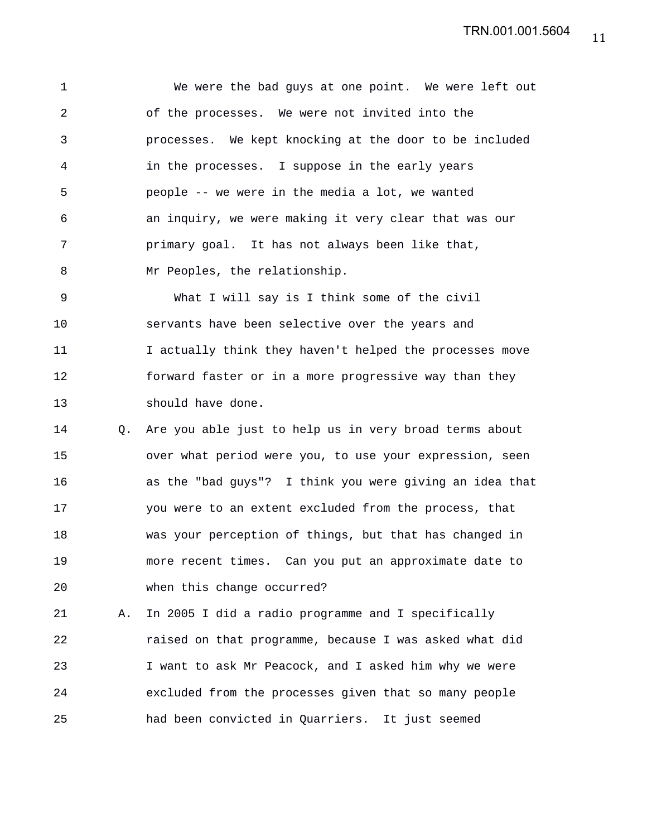1 We were the bad guys at one point. We were left out 2 of the processes. We were not invited into the 3 processes. We kept knocking at the door to be included 4 in the processes. I suppose in the early years 5 people -- we were in the media a lot, we wanted 6 an inquiry, we were making it very clear that was our 7 primary goal. It has not always been like that, 8 Mr Peoples, the relationship.

9 What I will say is I think some of the civil 10 servants have been selective over the years and 11 I actually think they haven't helped the processes move 12 forward faster or in a more progressive way than they 13 should have done.

14 Q. Are you able just to help us in very broad terms about 15 over what period were you, to use your expression, seen 16 as the "bad guys"? I think you were giving an idea that 17 you were to an extent excluded from the process, that 18 was your perception of things, but that has changed in 19 more recent times. Can you put an approximate date to 20 when this change occurred?

21 A. In 2005 I did a radio programme and I specifically 22 raised on that programme, because I was asked what did 23 I want to ask Mr Peacock, and I asked him why we were 24 excluded from the processes given that so many people 25 had been convicted in Quarriers. It just seemed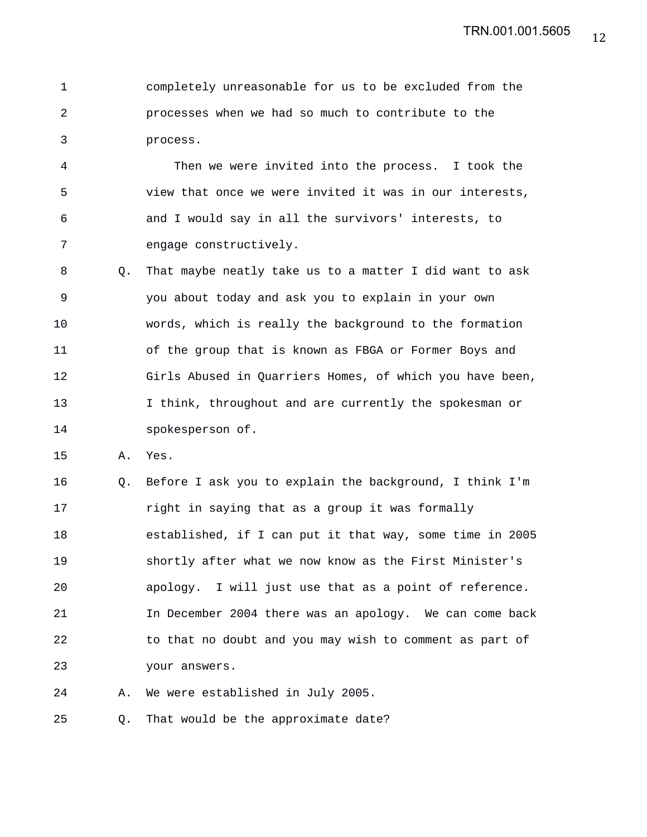1 completely unreasonable for us to be excluded from the 2 processes when we had so much to contribute to the 3 process.

4 Then we were invited into the process. I took the 5 view that once we were invited it was in our interests, 6 and I would say in all the survivors' interests, to 7 engage constructively.

8 Q. That maybe neatly take us to a matter I did want to ask 9 you about today and ask you to explain in your own 10 words, which is really the background to the formation 11 of the group that is known as FBGA or Former Boys and 12 Girls Abused in Quarriers Homes, of which you have been, 13 I think, throughout and are currently the spokesman or 14 spokesperson of.

15 A. Yes.

16 Q. Before I ask you to explain the background, I think I'm 17 right in saying that as a group it was formally 18 established, if I can put it that way, some time in 2005 19 shortly after what we now know as the First Minister's 20 apology. I will just use that as a point of reference. 21 In December 2004 there was an apology. We can come back 22 to that no doubt and you may wish to comment as part of 23 your answers.

24 A. We were established in July 2005.

25 Q. That would be the approximate date?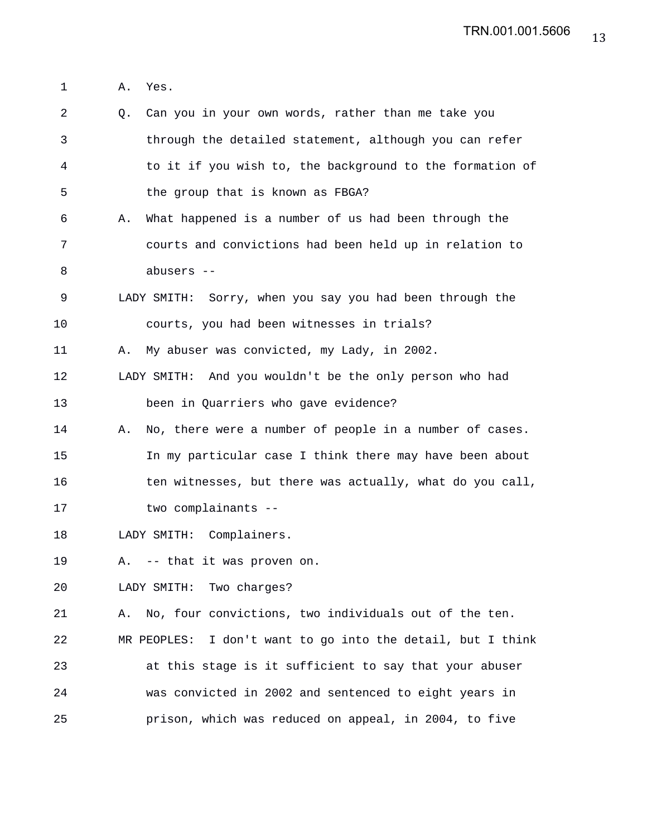1 A. Yes.

2 Q. Can you in your own words, rather than me take you 3 through the detailed statement, although you can refer 4 to it if you wish to, the background to the formation of 5 the group that is known as FBGA? 6 A. What happened is a number of us had been through the 7 courts and convictions had been held up in relation to 8 abusers -- 9 LADY SMITH: Sorry, when you say you had been through the 10 courts, you had been witnesses in trials? 11 A. My abuser was convicted, my Lady, in 2002. 12 LADY SMITH: And you wouldn't be the only person who had 13 been in Quarriers who gave evidence? 14 A. No, there were a number of people in a number of cases. 15 In my particular case I think there may have been about 16 ten witnesses, but there was actually, what do you call, 17 two complainants -- 18 LADY SMITH: Complainers. 19 A. -- that it was proven on. 20 LADY SMITH: Two charges? 21 A. No, four convictions, two individuals out of the ten. 22 MR PEOPLES: I don't want to go into the detail, but I think 23 at this stage is it sufficient to say that your abuser 24 was convicted in 2002 and sentenced to eight years in 25 prison, which was reduced on appeal, in 2004, to five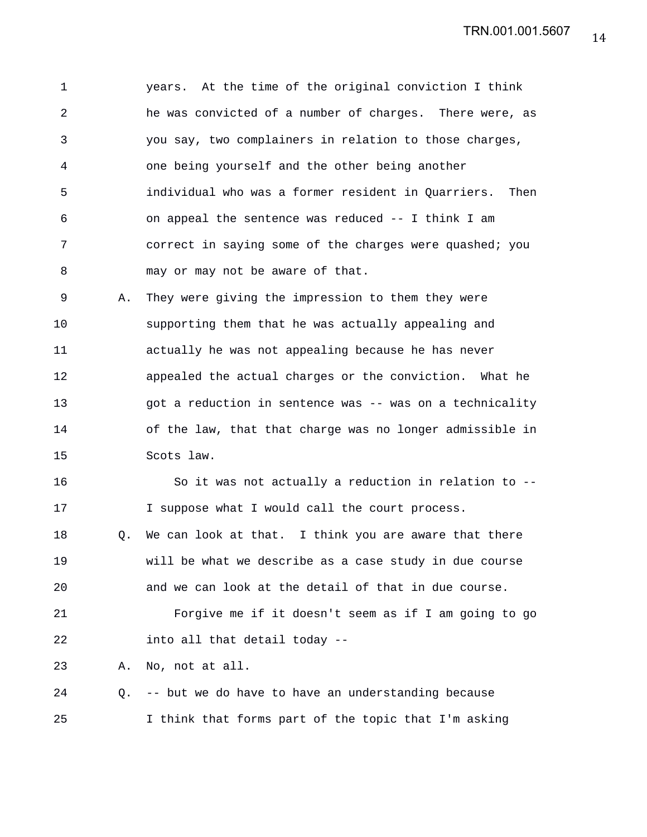1 years. At the time of the original conviction I think 2 he was convicted of a number of charges. There were, as 3 you say, two complainers in relation to those charges, 4 one being yourself and the other being another 5 individual who was a former resident in Quarriers. Then 6 on appeal the sentence was reduced -- I think I am 7 correct in saying some of the charges were quashed; you 8 may or may not be aware of that.

9 A. They were giving the impression to them they were 10 supporting them that he was actually appealing and 11 actually he was not appealing because he has never 12 appealed the actual charges or the conviction. What he 13 got a reduction in sentence was -- was on a technicality 14 of the law, that that charge was no longer admissible in 15 Scots law.

16 So it was not actually a reduction in relation to -- 17 I suppose what I would call the court process. 18 Q. We can look at that. I think you are aware that there 19 will be what we describe as a case study in due course 20 and we can look at the detail of that in due course. 21 Forgive me if it doesn't seem as if I am going to go 22 into all that detail today --

23 A. No, not at all.

24 Q. -- but we do have to have an understanding because 25 I think that forms part of the topic that I'm asking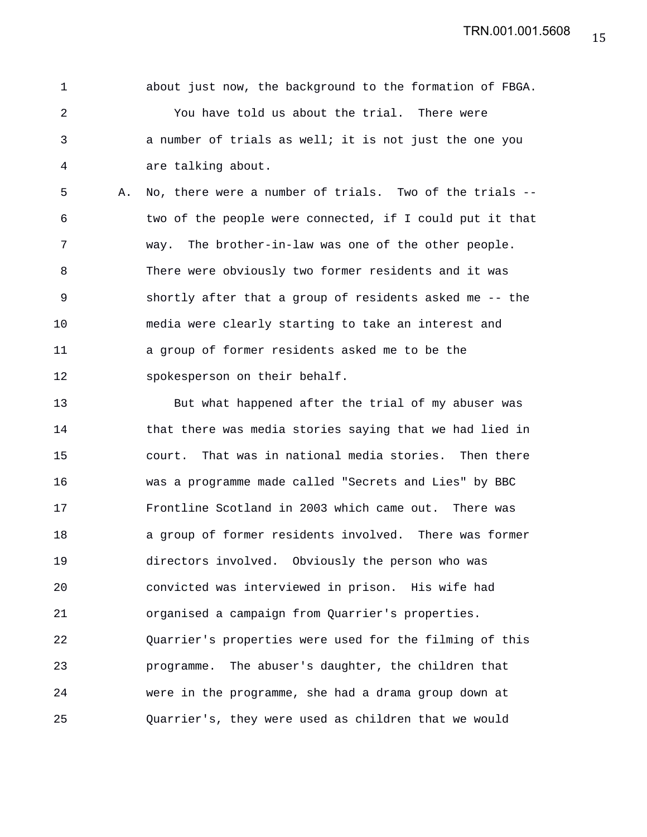1 about just now, the background to the formation of FBGA. 2 You have told us about the trial. There were 3 a number of trials as well; it is not just the one you 4 are talking about.

5 A. No, there were a number of trials. Two of the trials -- 6 two of the people were connected, if I could put it that 7 way. The brother-in-law was one of the other people. 8 There were obviously two former residents and it was 9 shortly after that a group of residents asked me -- the 10 media were clearly starting to take an interest and 11 a group of former residents asked me to be the 12 spokesperson on their behalf.

13 But what happened after the trial of my abuser was 14 that there was media stories saying that we had lied in 15 court. That was in national media stories. Then there 16 was a programme made called "Secrets and Lies" by BBC 17 Frontline Scotland in 2003 which came out. There was 18 a group of former residents involved. There was former 19 directors involved. Obviously the person who was 20 convicted was interviewed in prison. His wife had 21 organised a campaign from Quarrier's properties. 22 Quarrier's properties were used for the filming of this 23 programme. The abuser's daughter, the children that 24 were in the programme, she had a drama group down at 25 Quarrier's, they were used as children that we would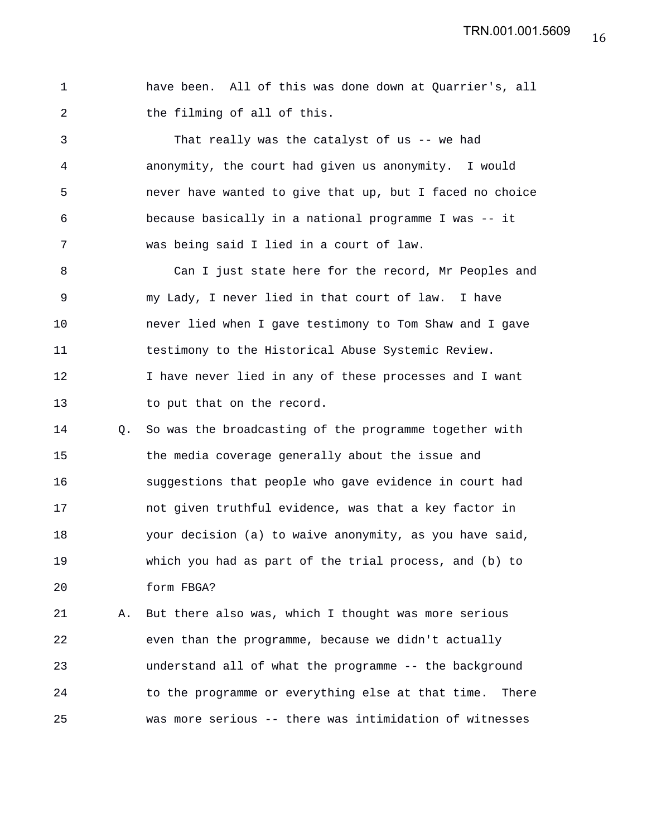| have been. All of this was done down at Quarrier's, all |  |  |  |  |  |
|---------------------------------------------------------|--|--|--|--|--|
| the filming of all of this.                             |  |  |  |  |  |

3 That really was the catalyst of us -- we had 4 anonymity, the court had given us anonymity. I would 5 never have wanted to give that up, but I faced no choice 6 because basically in a national programme I was -- it 7 was being said I lied in a court of law.

8 Can I just state here for the record, Mr Peoples and 9 my Lady, I never lied in that court of law. I have 10 never lied when I gave testimony to Tom Shaw and I gave 11 testimony to the Historical Abuse Systemic Review. 12 I have never lied in any of these processes and I want 13 to put that on the record.

14 Q. So was the broadcasting of the programme together with 15 the media coverage generally about the issue and 16 suggestions that people who gave evidence in court had 17 not given truthful evidence, was that a key factor in 18 your decision (a) to waive anonymity, as you have said, 19 which you had as part of the trial process, and (b) to 20 form FBGA?

21 A. But there also was, which I thought was more serious 22 even than the programme, because we didn't actually 23 understand all of what the programme -- the background 24 to the programme or everything else at that time. There 25 was more serious -- there was intimidation of witnesses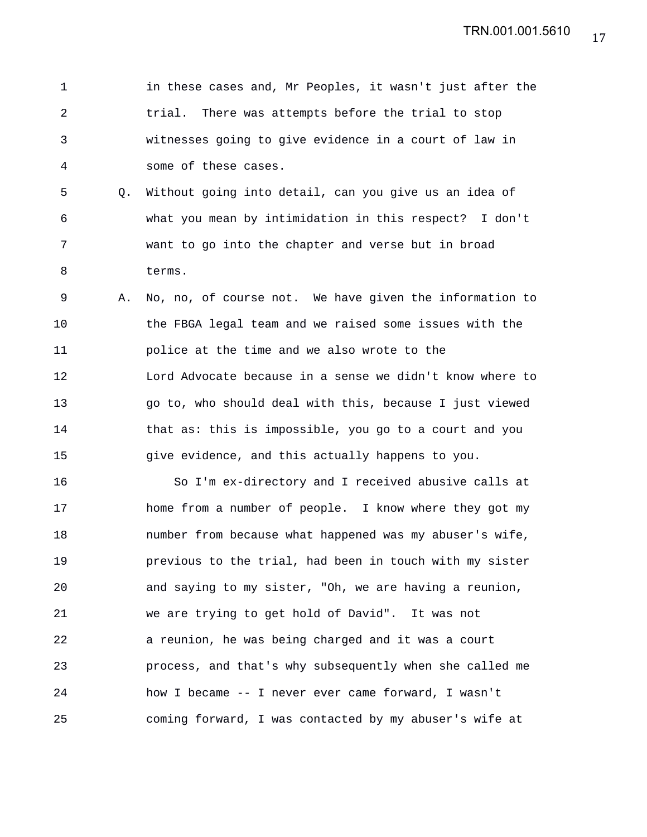1 in these cases and, Mr Peoples, it wasn't just after the 2 trial. There was attempts before the trial to stop 3 witnesses going to give evidence in a court of law in 4 some of these cases. 5 Q. Without going into detail, can you give us an idea of 6 what you mean by intimidation in this respect? I don't 7 want to go into the chapter and verse but in broad 8 terms. 9 A. No, no, of course not. We have given the information to 10 the FBGA legal team and we raised some issues with the 11 police at the time and we also wrote to the 12 Lord Advocate because in a sense we didn't know where to 13 go to, who should deal with this, because I just viewed 14 that as: this is impossible, you go to a court and you 15 give evidence, and this actually happens to you. 16 So I'm ex-directory and I received abusive calls at 17 home from a number of people. I know where they got my 18 number from because what happened was my abuser's wife, 19 previous to the trial, had been in touch with my sister 20 and saying to my sister, "Oh, we are having a reunion, 21 we are trying to get hold of David". It was not 22 a reunion, he was being charged and it was a court 23 process, and that's why subsequently when she called me 24 how I became -- I never ever came forward, I wasn't 25 coming forward, I was contacted by my abuser's wife at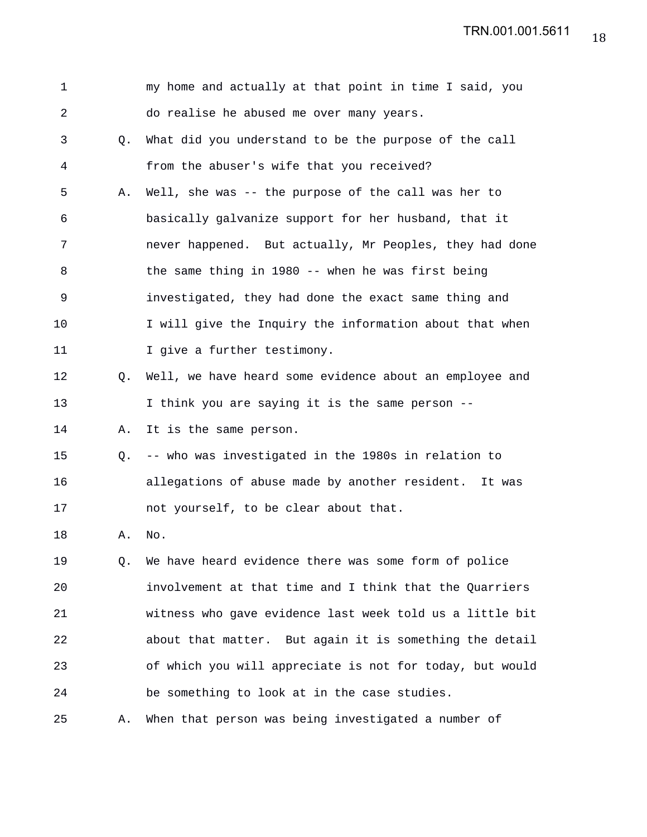TRN.001.001.5611

| $\mathbf 1$ |             | my home and actually at that point in time I said, you   |
|-------------|-------------|----------------------------------------------------------|
| 2           |             | do realise he abused me over many years.                 |
| 3           | $Q_{\star}$ | What did you understand to be the purpose of the call    |
| 4           |             | from the abuser's wife that you received?                |
| 5           | Α.          | Well, she was -- the purpose of the call was her to      |
| 6           |             | basically galvanize support for her husband, that it     |
| 7           |             | never happened. But actually, Mr Peoples, they had done  |
| 8           |             | the same thing in 1980 -- when he was first being        |
| 9           |             | investigated, they had done the exact same thing and     |
| 10          |             | I will give the Inquiry the information about that when  |
| 11          |             | I give a further testimony.                              |
| 12          | Q.          | Well, we have heard some evidence about an employee and  |
| 13          |             | I think you are saying it is the same person --          |
| 14          | Α.          | It is the same person.                                   |
| 15          | Q.          | -- who was investigated in the 1980s in relation to      |
| 16          |             | allegations of abuse made by another resident. It was    |
| 17          |             | not yourself, to be clear about that.                    |
| 18          | Α.          | No.                                                      |
| 19          | Q.          | We have heard evidence there was some form of police     |
| 20          |             | involvement at that time and I think that the Quarriers  |
| 21          |             | witness who gave evidence last week told us a little bit |
| 22          |             | about that matter. But again it is something the detail  |
| 23          |             | of which you will appreciate is not for today, but would |
| 24          |             | be something to look at in the case studies.             |
| 25          | Α.          | When that person was being investigated a number of      |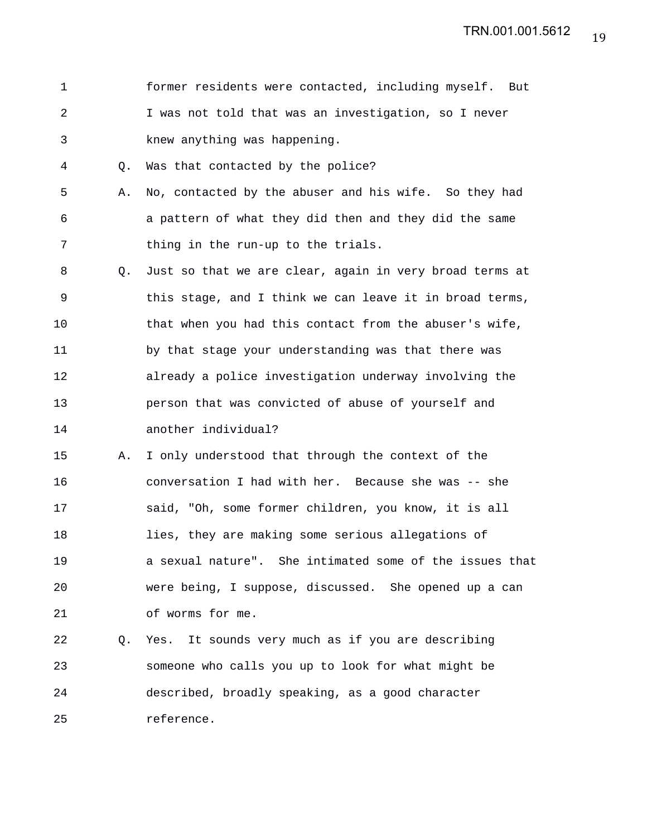1 former residents were contacted, including myself. But 2 I was not told that was an investigation, so I never 3 knew anything was happening.

4 Q. Was that contacted by the police?

- 5 A. No, contacted by the abuser and his wife. So they had 6 a pattern of what they did then and they did the same 7 thing in the run-up to the trials.
- 8 Q. Just so that we are clear, again in very broad terms at 9 this stage, and I think we can leave it in broad terms, 10 that when you had this contact from the abuser's wife, 11 by that stage your understanding was that there was 12 already a police investigation underway involving the 13 person that was convicted of abuse of yourself and 14 another individual?
- 15 A. I only understood that through the context of the 16 conversation I had with her. Because she was -- she 17 said, "Oh, some former children, you know, it is all 18 lies, they are making some serious allegations of 19 a sexual nature". She intimated some of the issues that 20 were being, I suppose, discussed. She opened up a can 21 of worms for me.

22 Q. Yes. It sounds very much as if you are describing 23 someone who calls you up to look for what might be 24 described, broadly speaking, as a good character 25 reference.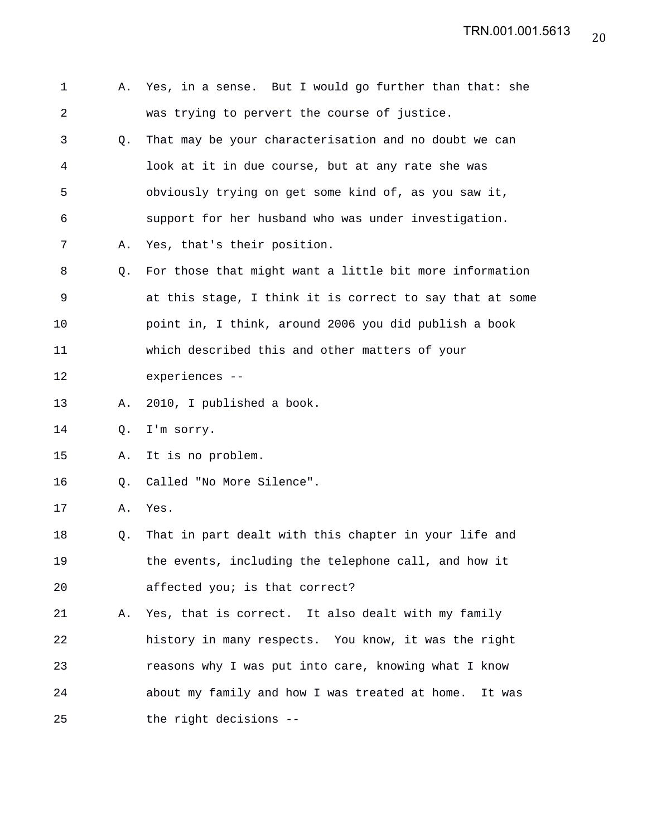| 1              | А. | Yes, in a sense. But I would go further than that: she   |
|----------------|----|----------------------------------------------------------|
| $\overline{a}$ |    | was trying to pervert the course of justice.             |
| 3              | O. | That may be your characterisation and no doubt we can    |
| 4              |    | look at it in due course, but at any rate she was        |
| 5              |    | obviously trying on get some kind of, as you saw it,     |
| 6              |    | support for her husband who was under investigation.     |
| 7              | Α. | Yes, that's their position.                              |
| 8              | Q. | For those that might want a little bit more information  |
| 9              |    | at this stage, I think it is correct to say that at some |
| 10             |    | point in, I think, around 2006 you did publish a book    |
| 11             |    | which described this and other matters of your           |
| 12             |    | experiences --                                           |
| 13             | Α. | 2010, I published a book.                                |
| 14             | Q. | I'm sorry.                                               |
| 15             | Α. | It is no problem.                                        |
| 16             | Q. | Called "No More Silence".                                |
| 17             | Α. | Yes.                                                     |
| 18             | Q. | That in part dealt with this chapter in your life and    |
| 19             |    | the events, including the telephone call, and how it     |
| 20             |    | affected you; is that correct?                           |
| 21             |    | A. Yes, that is correct. It also dealt with my family    |
| 22             |    | history in many respects. You know, it was the right     |
| 23             |    | reasons why I was put into care, knowing what I know     |
| 24             |    | about my family and how I was treated at home.<br>It was |
| 25             |    | the right decisions --                                   |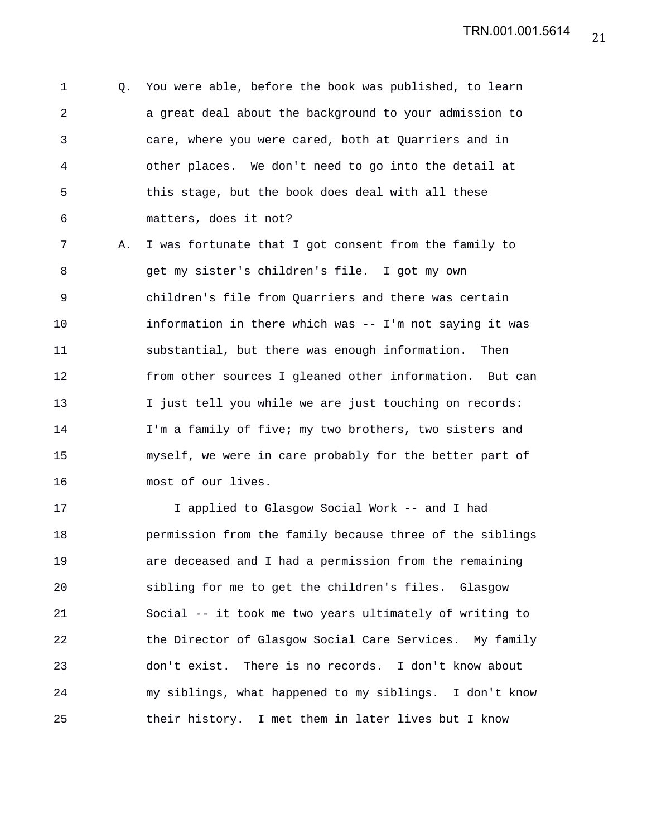1 Q. You were able, before the book was published, to learn 2 a great deal about the background to your admission to 3 care, where you were cared, both at Quarriers and in 4 other places. We don't need to go into the detail at 5 this stage, but the book does deal with all these 6 matters, does it not?

7 A. I was fortunate that I got consent from the family to 8 get my sister's children's file. I got my own 9 children's file from Quarriers and there was certain 10 information in there which was -- I'm not saying it was 11 substantial, but there was enough information. Then 12 from other sources I gleaned other information. But can 13 I just tell you while we are just touching on records: 14 I'm a family of five; my two brothers, two sisters and 15 myself, we were in care probably for the better part of 16 most of our lives.

17 I applied to Glasgow Social Work -- and I had 18 permission from the family because three of the siblings 19 are deceased and I had a permission from the remaining 20 sibling for me to get the children's files. Glasgow 21 Social -- it took me two years ultimately of writing to 22 the Director of Glasgow Social Care Services. My family 23 don't exist. There is no records. I don't know about 24 my siblings, what happened to my siblings. I don't know 25 their history. I met them in later lives but I know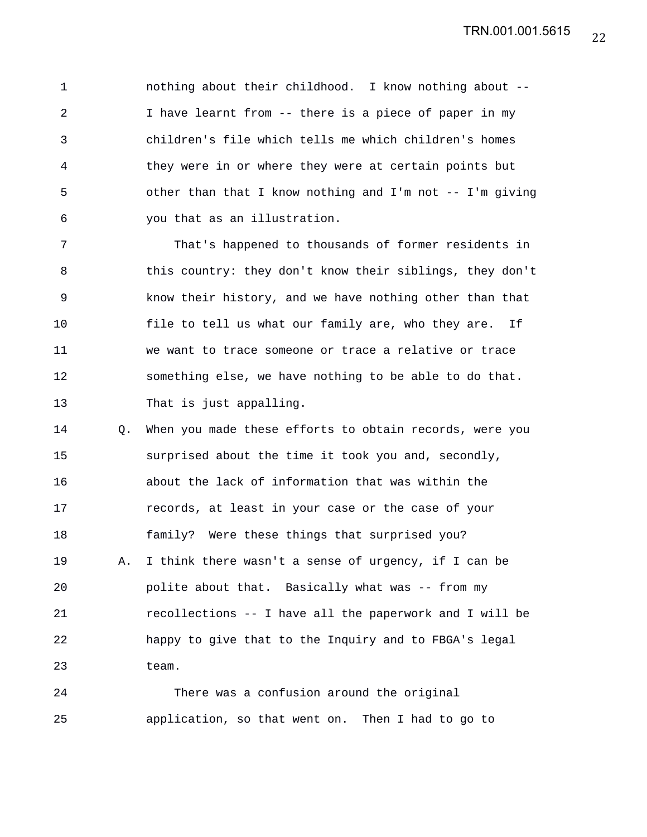1 nothing about their childhood. I know nothing about -- 2 I have learnt from -- there is a piece of paper in my 3 children's file which tells me which children's homes 4 they were in or where they were at certain points but 5 other than that I know nothing and I'm not -- I'm giving 6 you that as an illustration.

7 That's happened to thousands of former residents in 8 this country: they don't know their siblings, they don't 9 know their history, and we have nothing other than that 10 file to tell us what our family are, who they are. If 11 we want to trace someone or trace a relative or trace 12 something else, we have nothing to be able to do that. 13 That is just appalling.

14 Q. When you made these efforts to obtain records, were you 15 surprised about the time it took you and, secondly, 16 about the lack of information that was within the 17 records, at least in your case or the case of your 18 family? Were these things that surprised you? 19 A. I think there wasn't a sense of urgency, if I can be 20 polite about that. Basically what was -- from my 21 recollections -- I have all the paperwork and I will be 22 happy to give that to the Inquiry and to FBGA's legal 23 team.

24 There was a confusion around the original 25 application, so that went on. Then I had to go to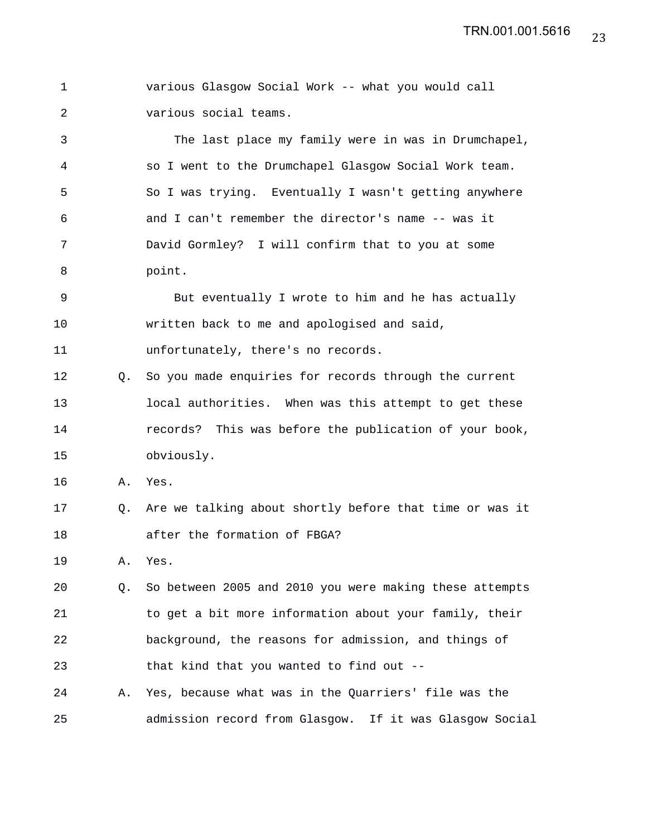1 various Glasgow Social Work -- what you would call 2 various social teams.

3 The last place my family were in was in Drumchapel, 4 so I went to the Drumchapel Glasgow Social Work team. 5 So I was trying. Eventually I wasn't getting anywhere 6 and I can't remember the director's name -- was it 7 David Gormley? I will confirm that to you at some 8 point.

9 But eventually I wrote to him and he has actually 10 written back to me and apologised and said, 11 unfortunately, there's no records.

12 Q. So you made enquiries for records through the current 13 local authorities. When was this attempt to get these 14 records? This was before the publication of your book, 15 obviously.

16 A. Yes.

17 Q. Are we talking about shortly before that time or was it 18 after the formation of FBGA?

19 A. Yes.

20 Q. So between 2005 and 2010 you were making these attempts 21 to get a bit more information about your family, their 22 background, the reasons for admission, and things of 23 that kind that you wanted to find out --

24 A. Yes, because what was in the Quarriers' file was the 25 admission record from Glasgow. If it was Glasgow Social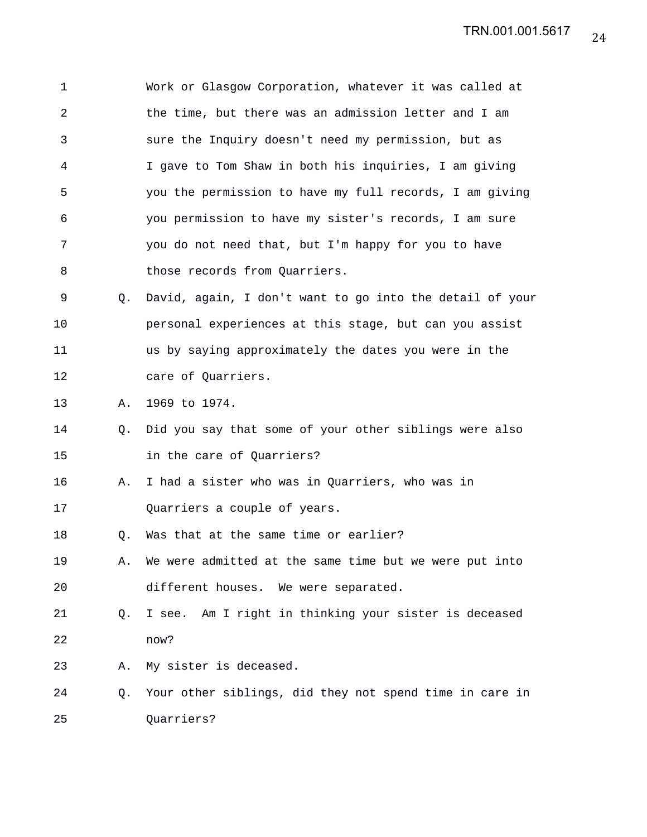| 1  |    | Work or Glasgow Corporation, whatever it was called at   |
|----|----|----------------------------------------------------------|
| 2  |    | the time, but there was an admission letter and I am     |
| 3  |    | sure the Inquiry doesn't need my permission, but as      |
| 4  |    | I gave to Tom Shaw in both his inquiries, I am giving    |
| 5  |    | you the permission to have my full records, I am giving  |
| 6  |    | you permission to have my sister's records, I am sure    |
| 7  |    | you do not need that, but I'm happy for you to have      |
| 8  |    | those records from Quarriers.                            |
| 9  | Q. | David, again, I don't want to go into the detail of your |
| 10 |    | personal experiences at this stage, but can you assist   |
| 11 |    | us by saying approximately the dates you were in the     |
| 12 |    | care of Quarriers.                                       |
| 13 | Α. | 1969 to 1974.                                            |
| 14 | Q. | Did you say that some of your other siblings were also   |
| 15 |    | in the care of Quarriers?                                |
| 16 | Α. | I had a sister who was in Quarriers, who was in          |
| 17 |    | Quarriers a couple of years.                             |
| 18 | Q. | Was that at the same time or earlier?                    |
| 19 | Α. | We were admitted at the same time but we were put into   |
| 20 |    | different houses. We were separated.                     |
| 21 | 0. | I see. Am I right in thinking your sister is deceased    |
| 22 |    | now?                                                     |
| 23 | Α. | My sister is deceased.                                   |
| 24 | Q. | Your other siblings, did they not spend time in care in  |
| 25 |    | Quarriers?                                               |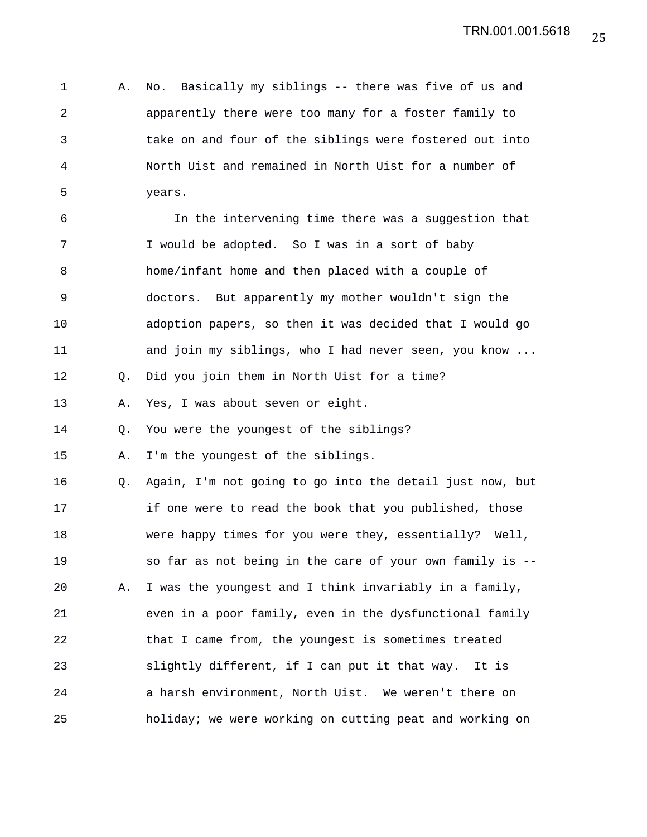1 A. No. Basically my siblings -- there was five of us and 2 apparently there were too many for a foster family to 3 take on and four of the siblings were fostered out into 4 North Uist and remained in North Uist for a number of 5 years.

6 In the intervening time there was a suggestion that 7 I would be adopted. So I was in a sort of baby 8 home/infant home and then placed with a couple of 9 doctors. But apparently my mother wouldn't sign the 10 adoption papers, so then it was decided that I would go 11 and join my siblings, who I had never seen, you know ... 12 Q. Did you join them in North Uist for a time? 13 A. Yes, I was about seven or eight. 14 Q. You were the youngest of the siblings? 15 A. I'm the youngest of the siblings. 16 Q. Again, I'm not going to go into the detail just now, but 17 if one were to read the book that you published, those 18 were happy times for you were they, essentially? Well, 19 so far as not being in the care of your own family is -- 20 A. I was the youngest and I think invariably in a family, 21 even in a poor family, even in the dysfunctional family 22 that I came from, the youngest is sometimes treated 23 slightly different, if I can put it that way. It is 24 a harsh environment, North Uist. We weren't there on 25 holiday; we were working on cutting peat and working on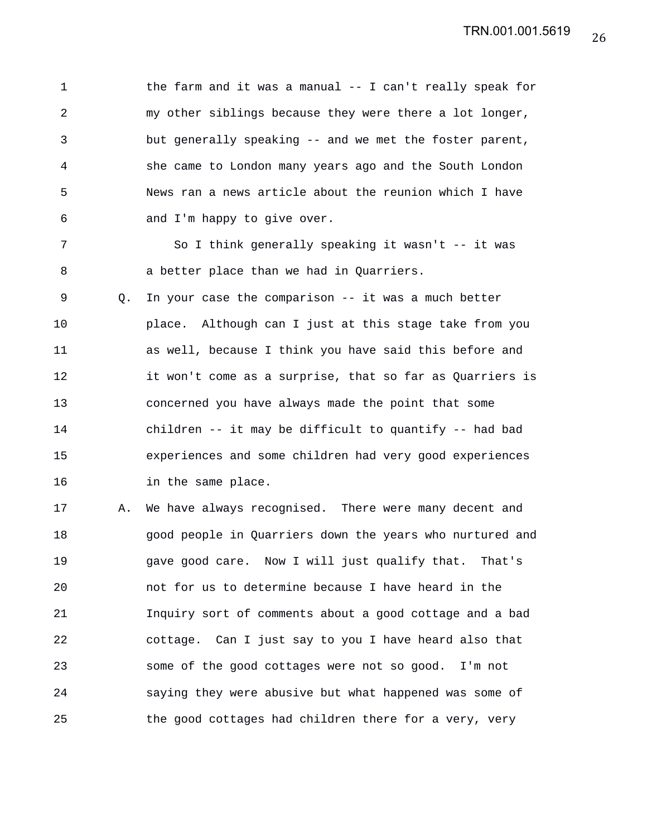1 the farm and it was a manual -- I can't really speak for 2 my other siblings because they were there a lot longer, 3 but generally speaking -- and we met the foster parent, 4 she came to London many years ago and the South London 5 News ran a news article about the reunion which I have 6 and I'm happy to give over. 7 So I think generally speaking it wasn't -- it was 8 a better place than we had in Quarriers. 9 0. In your case the comparison -- it was a much better 10 place. Although can I just at this stage take from you 11 as well, because I think you have said this before and 12 it won't come as a surprise, that so far as Quarriers is 13 concerned you have always made the point that some 14 children -- it may be difficult to quantify -- had bad 15 experiences and some children had very good experiences

17 A. We have always recognised. There were many decent and 18 good people in Quarriers down the years who nurtured and 19 gave good care. Now I will just qualify that. That's 20 not for us to determine because I have heard in the 21 Inquiry sort of comments about a good cottage and a bad 22 cottage. Can I just say to you I have heard also that 23 some of the good cottages were not so good. I'm not 24 saying they were abusive but what happened was some of 25 the good cottages had children there for a very, very

16 in the same place.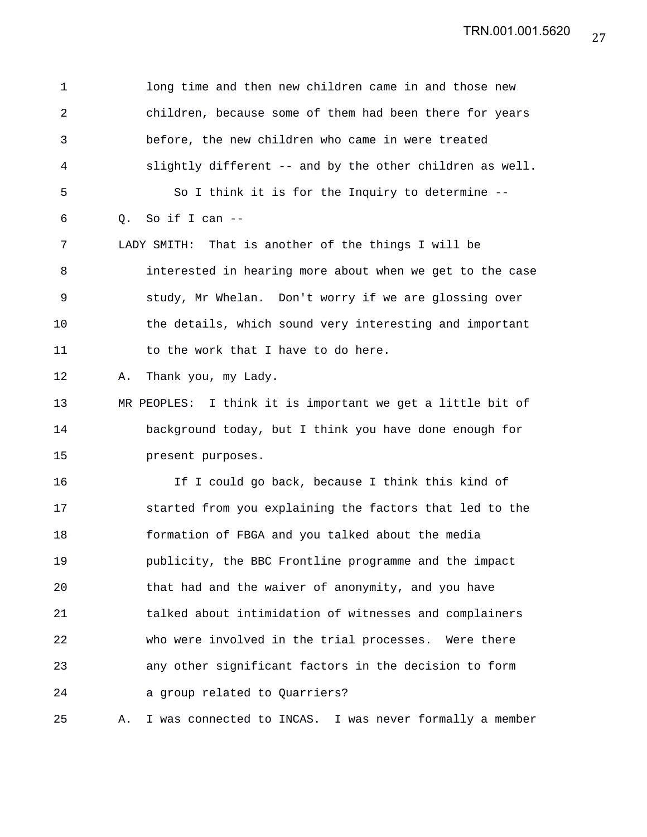TRN.001.001.5620

1 long time and then new children came in and those new 2 children, because some of them had been there for years 3 before, the new children who came in were treated 4 slightly different -- and by the other children as well. 5 So I think it is for the Inquiry to determine -- 6 Q. So if I can -- 7 LADY SMITH: That is another of the things I will be 8 interested in hearing more about when we get to the case 9 study, Mr Whelan. Don't worry if we are glossing over 10 the details, which sound very interesting and important 11 to the work that I have to do here. 12 A. Thank you, my Lady. 13 MR PEOPLES: I think it is important we get a little bit of 14 background today, but I think you have done enough for 15 present purposes. 16 If I could go back, because I think this kind of 17 started from you explaining the factors that led to the 18 formation of FBGA and you talked about the media 19 publicity, the BBC Frontline programme and the impact 20 that had and the waiver of anonymity, and you have 21 talked about intimidation of witnesses and complainers 22 who were involved in the trial processes. Were there 23 any other significant factors in the decision to form 24 a group related to Quarriers? 25 A. I was connected to INCAS. I was never formally a member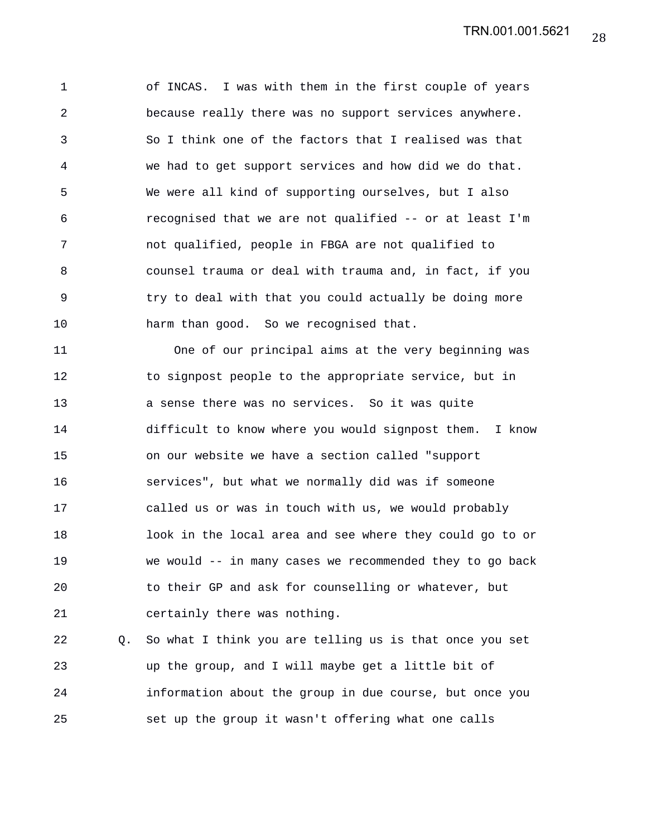1 of INCAS. I was with them in the first couple of years 2 because really there was no support services anywhere. 3 So I think one of the factors that I realised was that 4 we had to get support services and how did we do that. 5 We were all kind of supporting ourselves, but I also 6 recognised that we are not qualified -- or at least I'm 7 not qualified, people in FBGA are not qualified to 8 counsel trauma or deal with trauma and, in fact, if you 9 try to deal with that you could actually be doing more 10 harm than good. So we recognised that.

11 One of our principal aims at the very beginning was 12 to signpost people to the appropriate service, but in 13 a sense there was no services. So it was quite 14 difficult to know where you would signpost them. I know 15 on our website we have a section called "support 16 services", but what we normally did was if someone 17 called us or was in touch with us, we would probably 18 look in the local area and see where they could go to or 19 we would -- in many cases we recommended they to go back 20 to their GP and ask for counselling or whatever, but 21 certainly there was nothing.

22 Q. So what I think you are telling us is that once you set 23 up the group, and I will maybe get a little bit of 24 information about the group in due course, but once you 25 set up the group it wasn't offering what one calls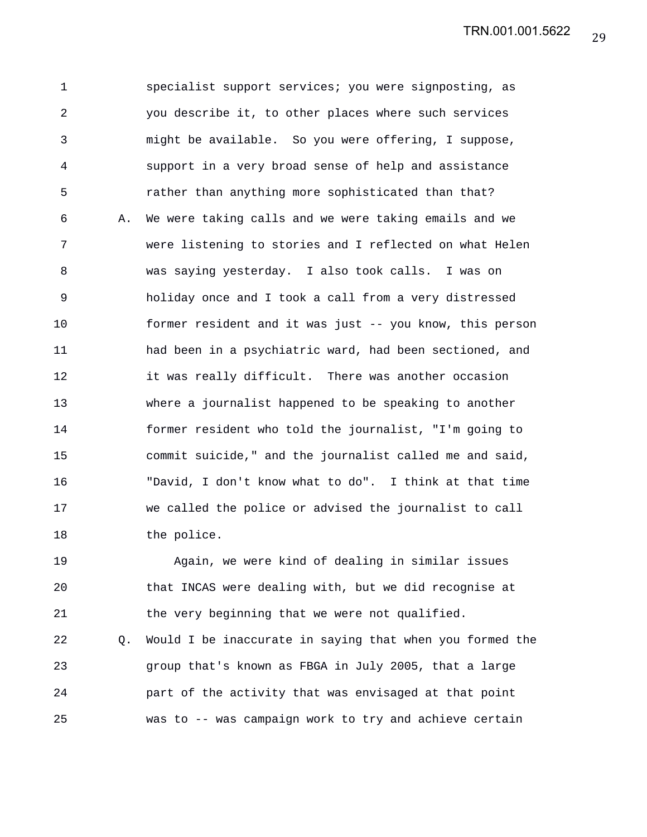1 specialist support services; you were signposting, as 2 you describe it, to other places where such services 3 might be available. So you were offering, I suppose, 4 support in a very broad sense of help and assistance 5 rather than anything more sophisticated than that? 6 A. We were taking calls and we were taking emails and we 7 were listening to stories and I reflected on what Helen 8 was saying yesterday. I also took calls. I was on 9 holiday once and I took a call from a very distressed 10 former resident and it was just -- you know, this person 11 had been in a psychiatric ward, had been sectioned, and 12 it was really difficult. There was another occasion 13 where a journalist happened to be speaking to another 14 former resident who told the journalist, "I'm going to 15 commit suicide," and the journalist called me and said, 16 "David, I don't know what to do". I think at that time 17 we called the police or advised the journalist to call 18 the police.

19 Again, we were kind of dealing in similar issues 20 that INCAS were dealing with, but we did recognise at 21 the very beginning that we were not qualified.

22 Q. Would I be inaccurate in saying that when you formed the 23 group that's known as FBGA in July 2005, that a large 24 part of the activity that was envisaged at that point 25 was to -- was campaign work to try and achieve certain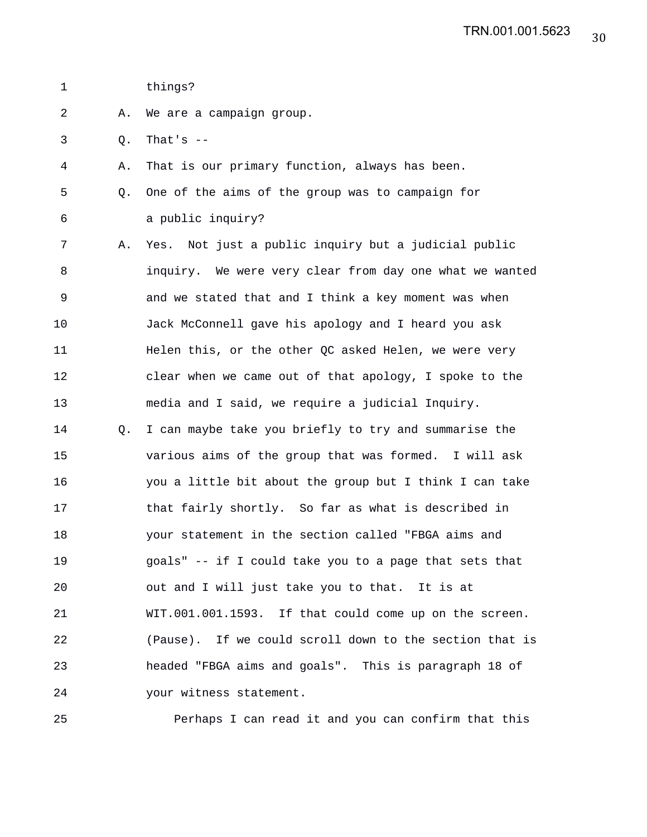- 1 things?
- 2 A. We are a campaign group.
- 3 Q. That's --
- 4 A. That is our primary function, always has been.
- 5 Q. One of the aims of the group was to campaign for 6 a public inquiry?
- 7 A. Yes. Not just a public inquiry but a judicial public 8 inquiry. We were very clear from day one what we wanted 9 and we stated that and I think a key moment was when 10 Jack McConnell gave his apology and I heard you ask 11 Helen this, or the other QC asked Helen, we were very 12 clear when we came out of that apology, I spoke to the 13 media and I said, we require a judicial Inquiry.
- 14 Q. I can maybe take you briefly to try and summarise the 15 various aims of the group that was formed. I will ask 16 you a little bit about the group but I think I can take 17 that fairly shortly. So far as what is described in 18 your statement in the section called "FBGA aims and 19 goals" -- if I could take you to a page that sets that 20 out and I will just take you to that. It is at 21 WIT.001.001.1593. If that could come up on the screen. 22 (Pause). If we could scroll down to the section that is 23 headed "FBGA aims and goals". This is paragraph 18 of 24 your witness statement.

25 Perhaps I can read it and you can confirm that this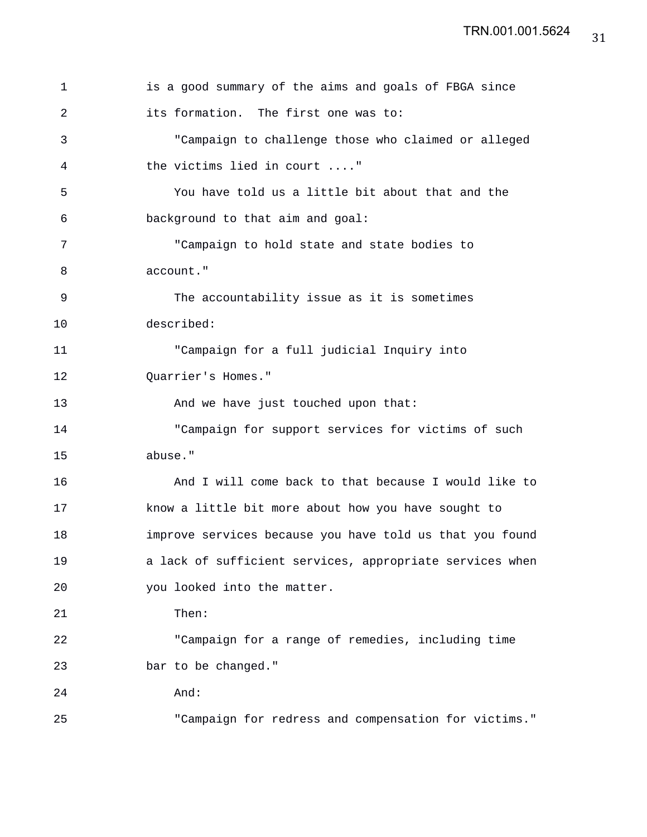| $\mathbf 1$ | is a good summary of the aims and goals of FBGA since    |
|-------------|----------------------------------------------------------|
| 2           | its formation. The first one was to:                     |
| 3           | "Campaign to challenge those who claimed or alleged      |
| 4           | the victims lied in court "                              |
| 5           | You have told us a little bit about that and the         |
| 6           | background to that aim and goal:                         |
| 7           | "Campaign to hold state and state bodies to              |
| 8           | account."                                                |
| $\mathsf 9$ | The accountability issue as it is sometimes              |
| 10          | described:                                               |
| 11          | "Campaign for a full judicial Inquiry into               |
| 12          | Quarrier's Homes."                                       |
| 13          | And we have just touched upon that:                      |
| 14          | "Campaign for support services for victims of such       |
| 15          | abuse."                                                  |
| 16          | And I will come back to that because I would like to     |
| 17          | know a little bit more about how you have sought to      |
| 18          | improve services because you have told us that you found |
| 19          | a lack of sufficient services, appropriate services when |
| 20          | you looked into the matter.                              |
| 21          | Then:                                                    |
| 22          | "Campaign for a range of remedies, including time        |
| 23          | bar to be changed."                                      |
| 24          | And:                                                     |
| 25          | "Campaign for redress and compensation for victims."     |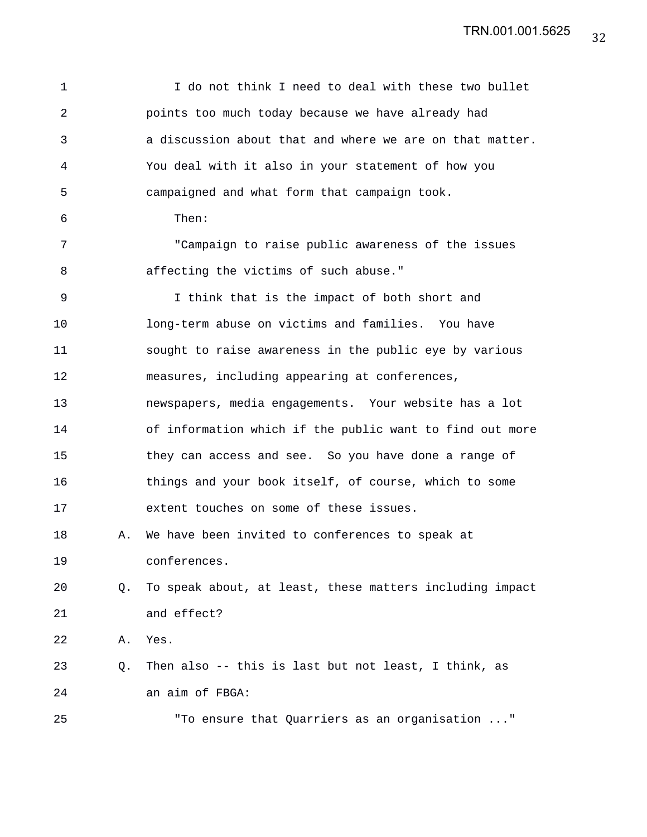| $\mathbf 1$ |    | I do not think I need to deal with these two bullet      |
|-------------|----|----------------------------------------------------------|
| 2           |    | points too much today because we have already had        |
| 3           |    | a discussion about that and where we are on that matter. |
| 4           |    | You deal with it also in your statement of how you       |
| 5           |    | campaigned and what form that campaign took.             |
| 6           |    | Then:                                                    |
| 7           |    | "Campaign to raise public awareness of the issues        |
| 8           |    | affecting the victims of such abuse."                    |
| 9           |    | I think that is the impact of both short and             |
| 10          |    | long-term abuse on victims and families. You have        |
| 11          |    | sought to raise awareness in the public eye by various   |
| 12          |    | measures, including appearing at conferences,            |
| 13          |    | newspapers, media engagements. Your website has a lot    |
| 14          |    | of information which if the public want to find out more |
| 15          |    | they can access and see. So you have done a range of     |
| 16          |    | things and your book itself, of course, which to some    |
| 17          |    | extent touches on some of these issues.                  |
| 18          | Α. | We have been invited to conferences to speak at          |
| 19          |    | conferences.                                             |
| 20          | Q. | To speak about, at least, these matters including impact |
| 21          |    | and effect?                                              |
| 22          | Α. | Yes.                                                     |
| 23          | Q. | Then also -- this is last but not least, I think, as     |
| 24          |    | an aim of FBGA:                                          |
| 25          |    | "To ensure that Quarriers as an organisation "           |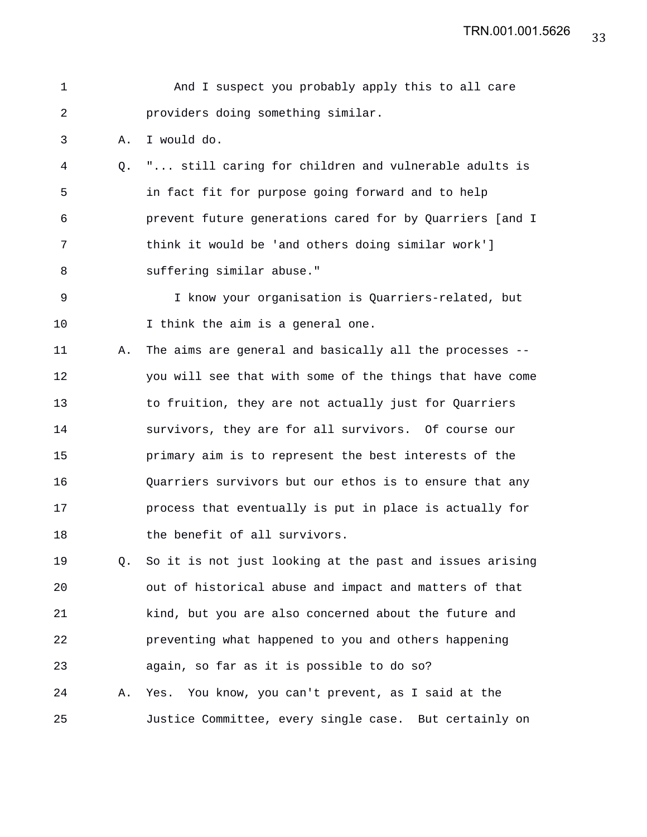TRN.001.001.5626

| $\mathbf 1$    |    | And I suspect you probably apply this to all care        |
|----------------|----|----------------------------------------------------------|
| $\overline{a}$ |    | providers doing something similar.                       |
| 3              | Α. | I would do.                                              |
| 4              |    | Q. " still caring for children and vulnerable adults is  |
| 5              |    | in fact fit for purpose going forward and to help        |
| 6              |    | prevent future generations cared for by Quarriers [and I |
| 7              |    | think it would be 'and others doing similar work']       |
| 8              |    | suffering similar abuse."                                |
| $\mathsf 9$    |    | I know your organisation is Quarriers-related, but       |
| 10             |    | I think the aim is a general one.                        |
| 11             | Α. | The aims are general and basically all the processes --  |
| 12             |    | you will see that with some of the things that have come |
| 13             |    | to fruition, they are not actually just for Quarriers    |
| 14             |    | survivors, they are for all survivors. Of course our     |
| 15             |    | primary aim is to represent the best interests of the    |
| 16             |    | Quarriers survivors but our ethos is to ensure that any  |
| 17             |    | process that eventually is put in place is actually for  |
| 18             |    | the benefit of all survivors.                            |
| 19             | Q. | So it is not just looking at the past and issues arising |
| 20             |    | out of historical abuse and impact and matters of that   |
| 21             |    | kind, but you are also concerned about the future and    |
| 22             |    | preventing what happened to you and others happening     |
| 23             |    | again, so far as it is possible to do so?                |
| 24             | Α. | Yes. You know, you can't prevent, as I said at the       |
| 25             |    | Justice Committee, every single case. But certainly on   |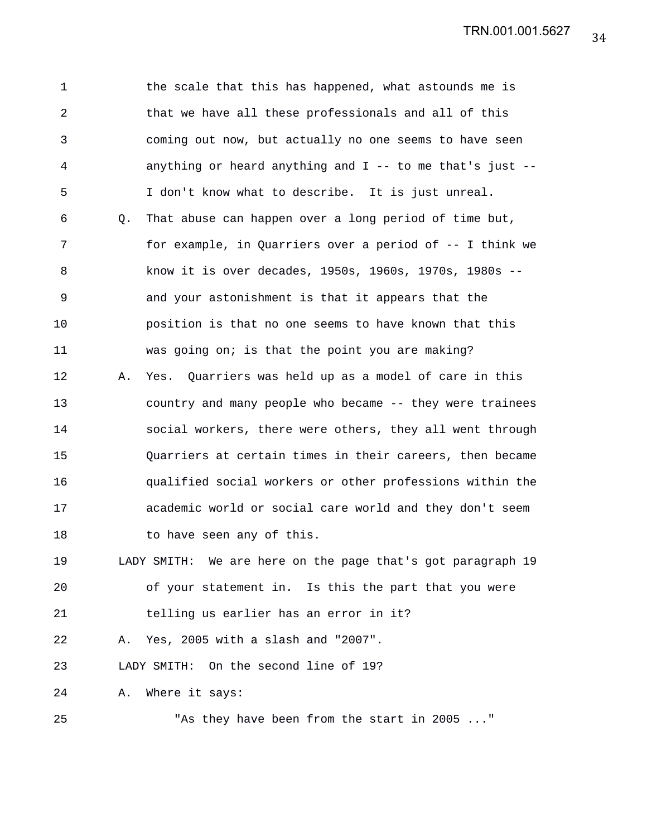TRN.001.001.5627

1 the scale that this has happened, what astounds me is 2 that we have all these professionals and all of this 3 coming out now, but actually no one seems to have seen 4 anything or heard anything and I -- to me that's just -- 5 I don't know what to describe. It is just unreal. 6 Q. That abuse can happen over a long period of time but, 7 for example, in Quarriers over a period of -- I think we 8 know it is over decades, 1950s, 1960s, 1970s, 1980s -- 9 and your astonishment is that it appears that the 10 position is that no one seems to have known that this 11 was going on; is that the point you are making? 12 A. Yes. Quarriers was held up as a model of care in this 13 country and many people who became -- they were trainees 14 social workers, there were others, they all went through 15 Quarriers at certain times in their careers, then became 16 qualified social workers or other professions within the 17 academic world or social care world and they don't seem 18 to have seen any of this. 19 LADY SMITH: We are here on the page that's got paragraph 19 20 of your statement in. Is this the part that you were 21 telling us earlier has an error in it? 22 A. Yes, 2005 with a slash and "2007". 23 LADY SMITH: On the second line of 19? 24 A. Where it says: 25 "As they have been from the start in 2005 ..."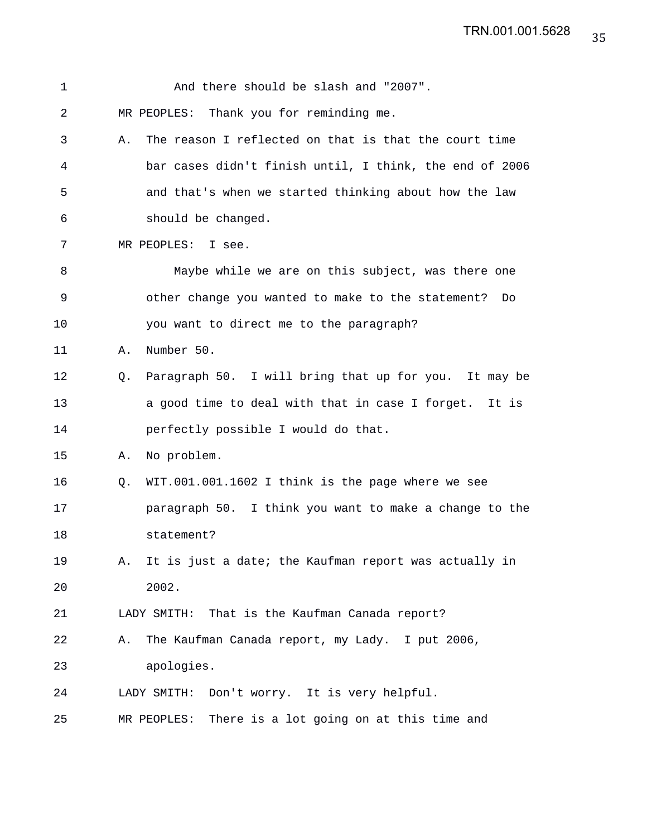| 1  |    | And there should be slash and "2007".                   |
|----|----|---------------------------------------------------------|
| 2  |    | MR PEOPLES: Thank you for reminding me.                 |
| 3  | Α. | The reason I reflected on that is that the court time   |
| 4  |    | bar cases didn't finish until, I think, the end of 2006 |
| 5  |    | and that's when we started thinking about how the law   |
| 6  |    | should be changed.                                      |
| 7  |    | MR PEOPLES: I see.                                      |
| 8  |    | Maybe while we are on this subject, was there one       |
| 9  |    | other change you wanted to make to the statement? Do    |
| 10 |    | you want to direct me to the paragraph?                 |
| 11 | Α. | Number 50.                                              |
| 12 | O. | Paragraph 50. I will bring that up for you. It may be   |
| 13 |    | a good time to deal with that in case I forget. It is   |
| 14 |    | perfectly possible I would do that.                     |
| 15 | Α. | No problem.                                             |
| 16 | O. | WIT.001.001.1602 I think is the page where we see       |
| 17 |    | paragraph 50. I think you want to make a change to the  |
| 18 |    | statement?                                              |
| 19 | Α. | It is just a date; the Kaufman report was actually in   |
| 20 |    | 2002.                                                   |
| 21 |    | LADY SMITH: That is the Kaufman Canada report?          |
| 22 | Α. | The Kaufman Canada report, my Lady. I put 2006,         |
| 23 |    | apologies.                                              |
| 24 |    | LADY SMITH: Don't worry. It is very helpful.            |
| 25 |    | There is a lot going on at this time and<br>MR PEOPLES: |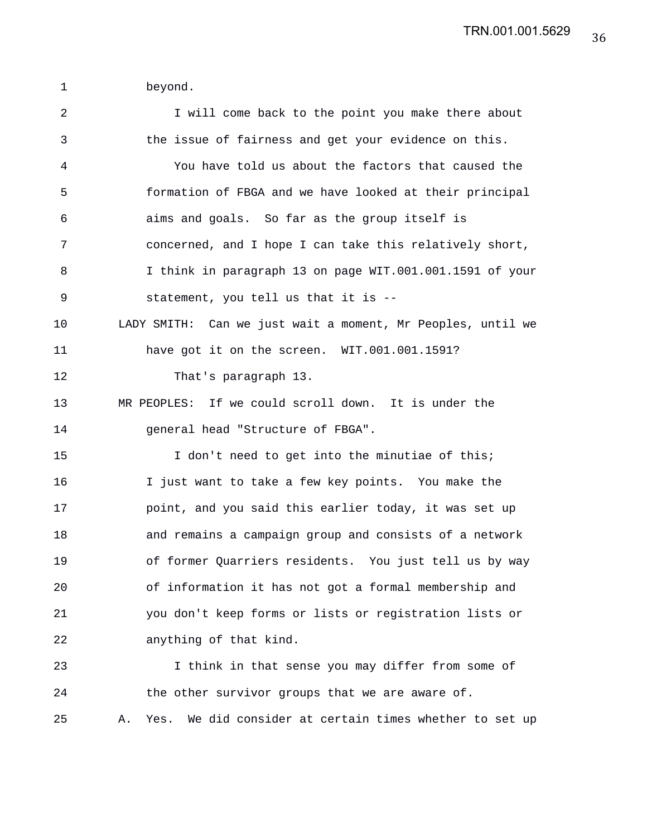1 beyond.

| $\overline{a}$ | I will come back to the point you make there about               |
|----------------|------------------------------------------------------------------|
| 3              | the issue of fairness and get your evidence on this.             |
| 4              | You have told us about the factors that caused the               |
| 5              | formation of FBGA and we have looked at their principal          |
| 6              | aims and goals. So far as the group itself is                    |
| 7              | concerned, and I hope I can take this relatively short,          |
| 8              | I think in paragraph 13 on page WIT.001.001.1591 of your         |
| 9              | statement, you tell us that it is --                             |
| 10             | LADY SMITH: Can we just wait a moment, Mr Peoples, until we      |
| 11             | have got it on the screen. WIT.001.001.1591?                     |
| 12             | That's paragraph 13.                                             |
| 13             | MR PEOPLES: If we could scroll down. It is under the             |
| 14             | general head "Structure of FBGA".                                |
| 15             | I don't need to get into the minutiae of this;                   |
| 16             | I just want to take a few key points. You make the               |
| 17             | point, and you said this earlier today, it was set up            |
| 18             | and remains a campaign group and consists of a network           |
| 19             | of former Quarriers residents. You just tell us by way           |
| 20             | of information it has not got a formal membership and            |
| 21             | you don't keep forms or lists or registration lists or           |
| 22             | anything of that kind.                                           |
| 23             | I think in that sense you may differ from some of                |
| 24             | the other survivor groups that we are aware of.                  |
| 25             | We did consider at certain times whether to set up<br>Yes.<br>Α. |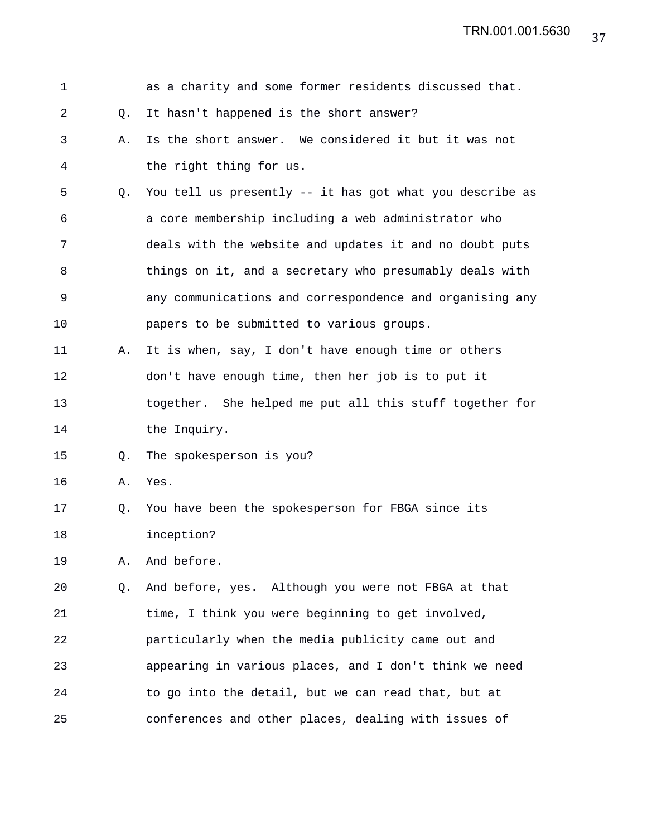| $\mathbf 1$ |    | as a charity and some former residents discussed that.   |
|-------------|----|----------------------------------------------------------|
| 2           | Q. | It hasn't happened is the short answer?                  |
| 3           | Α. | Is the short answer. We considered it but it was not     |
| 4           |    | the right thing for us.                                  |
| 5           | Q. | You tell us presently -- it has got what you describe as |
| 6           |    | a core membership including a web administrator who      |
| 7           |    | deals with the website and updates it and no doubt puts  |
| 8           |    | things on it, and a secretary who presumably deals with  |
| 9           |    | any communications and correspondence and organising any |
| 10          |    | papers to be submitted to various groups.                |
| 11          | Α. | It is when, say, I don't have enough time or others      |
| 12          |    | don't have enough time, then her job is to put it        |
| 13          |    | together. She helped me put all this stuff together for  |
| 14          |    | the Inquiry.                                             |
| 15          | Q. | The spokesperson is you?                                 |
| 16          | Α. | Yes.                                                     |
| 17          | Q. | You have been the spokesperson for FBGA since its        |
| 18          |    | inception?                                               |
| 19          | Α. | And before.                                              |
| 20          | Q. | And before, yes. Although you were not FBGA at that      |
| 21          |    | time, I think you were beginning to get involved,        |
| 22          |    | particularly when the media publicity came out and       |
| 23          |    | appearing in various places, and I don't think we need   |
| 24          |    | to go into the detail, but we can read that, but at      |
| 25          |    | conferences and other places, dealing with issues of     |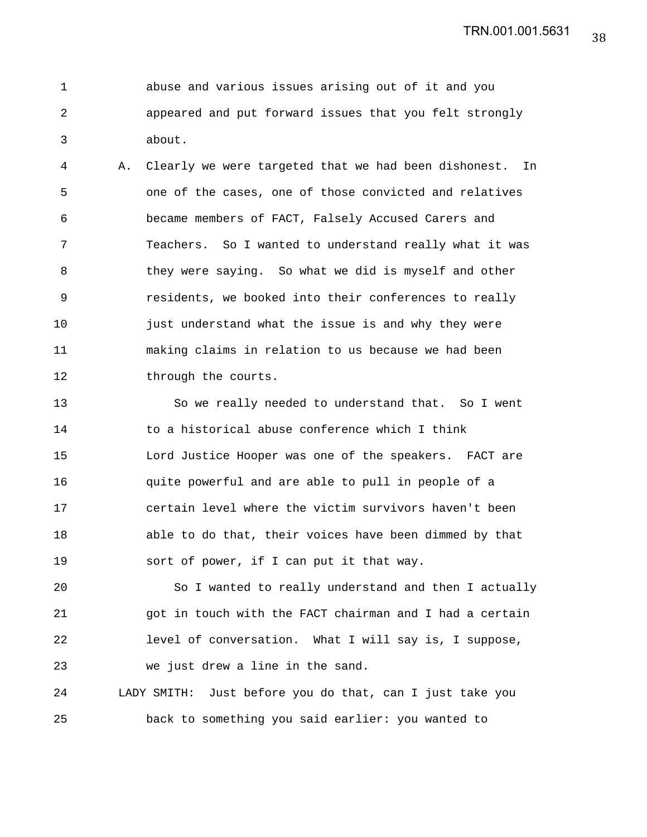1 abuse and various issues arising out of it and you 2 appeared and put forward issues that you felt strongly 3 about.

4 A. Clearly we were targeted that we had been dishonest. In 5 one of the cases, one of those convicted and relatives 6 became members of FACT, Falsely Accused Carers and 7 Teachers. So I wanted to understand really what it was 8 they were saying. So what we did is myself and other 9 residents, we booked into their conferences to really 10 just understand what the issue is and why they were 11 making claims in relation to us because we had been 12 through the courts.

13 So we really needed to understand that. So I went 14 to a historical abuse conference which I think 15 Lord Justice Hooper was one of the speakers. FACT are 16 quite powerful and are able to pull in people of a 17 certain level where the victim survivors haven't been 18 able to do that, their voices have been dimmed by that 19 sort of power, if I can put it that way.

20 So I wanted to really understand and then I actually 21 got in touch with the FACT chairman and I had a certain 22 level of conversation. What I will say is, I suppose, 23 we just drew a line in the sand.

24 LADY SMITH: Just before you do that, can I just take you 25 back to something you said earlier: you wanted to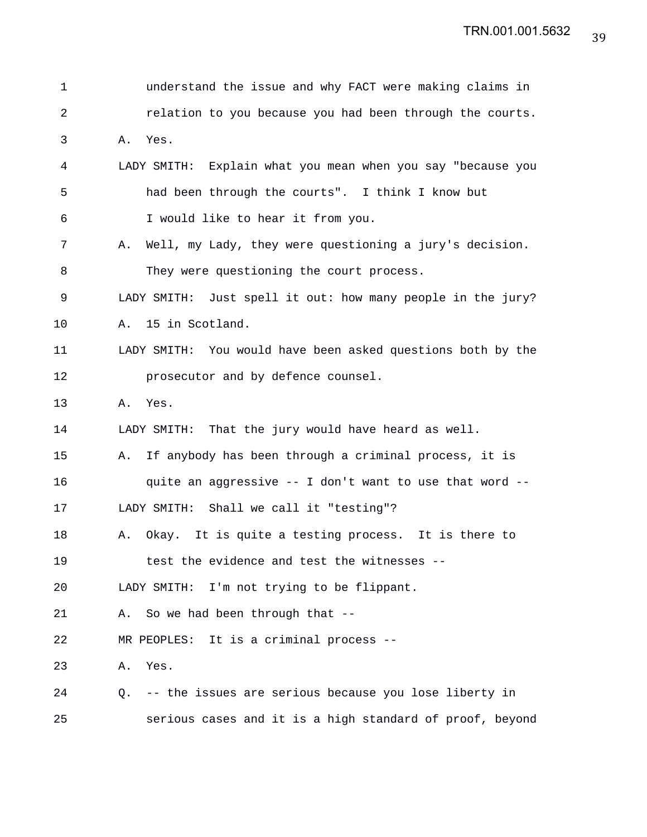| 1  |    | understand the issue and why FACT were making claims in     |
|----|----|-------------------------------------------------------------|
| 2  |    | relation to you because you had been through the courts.    |
| 3  | Α. | Yes.                                                        |
| 4  |    | LADY SMITH: Explain what you mean when you say "because you |
| 5  |    | had been through the courts". I think I know but            |
| 6  |    | I would like to hear it from you.                           |
| 7  | Α. | Well, my Lady, they were questioning a jury's decision.     |
| 8  |    | They were questioning the court process.                    |
| 9  |    | LADY SMITH: Just spell it out: how many people in the jury? |
| 10 |    | A. 15 in Scotland.                                          |
| 11 |    | LADY SMITH: You would have been asked questions both by the |
| 12 |    | prosecutor and by defence counsel.                          |
| 13 |    | A. Yes.                                                     |
| 14 |    | That the jury would have heard as well.<br>LADY SMITH:      |
| 15 | Α. | If anybody has been through a criminal process, it is       |
| 16 |    | quite an aggressive -- I don't want to use that word --     |
| 17 |    | LADY SMITH: Shall we call it "testing"?                     |
| 18 | Α. | Okay. It is quite a testing process. It is there to         |
| 19 |    | test the evidence and test the witnesses --                 |
| 20 |    | LADY SMITH:<br>I'm not trying to be flippant.               |
| 21 | Α. | So we had been through that --                              |
| 22 |    | MR PEOPLES: It is a criminal process --                     |
| 23 | Α. | Yes.                                                        |
| 24 | Q. | -- the issues are serious because you lose liberty in       |
| 25 |    | serious cases and it is a high standard of proof, beyond    |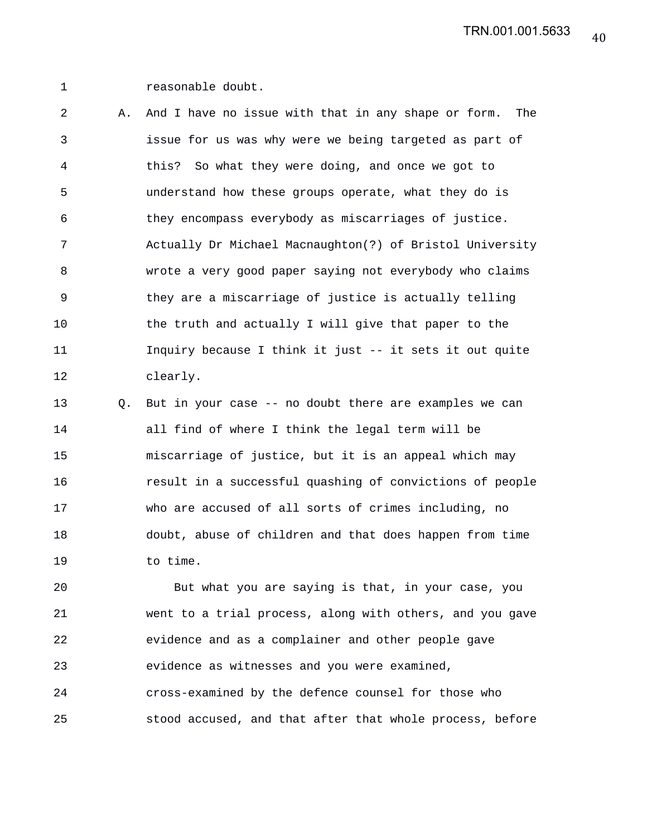1 reasonable doubt.

2 A. And I have no issue with that in any shape or form. The 3 issue for us was why were we being targeted as part of 4 this? So what they were doing, and once we got to 5 understand how these groups operate, what they do is 6 they encompass everybody as miscarriages of justice. 7 Actually Dr Michael Macnaughton(?) of Bristol University 8 wrote a very good paper saying not everybody who claims 9 they are a miscarriage of justice is actually telling 10 the truth and actually I will give that paper to the 11 Inquiry because I think it just -- it sets it out quite 12 clearly.

13 Q. But in your case -- no doubt there are examples we can 14 all find of where I think the legal term will be 15 miscarriage of justice, but it is an appeal which may 16 result in a successful quashing of convictions of people 17 who are accused of all sorts of crimes including, no 18 doubt, abuse of children and that does happen from time 19 to time.

20 But what you are saying is that, in your case, you 21 went to a trial process, along with others, and you gave 22 evidence and as a complainer and other people gave 23 evidence as witnesses and you were examined, 24 cross-examined by the defence counsel for those who 25 stood accused, and that after that whole process, before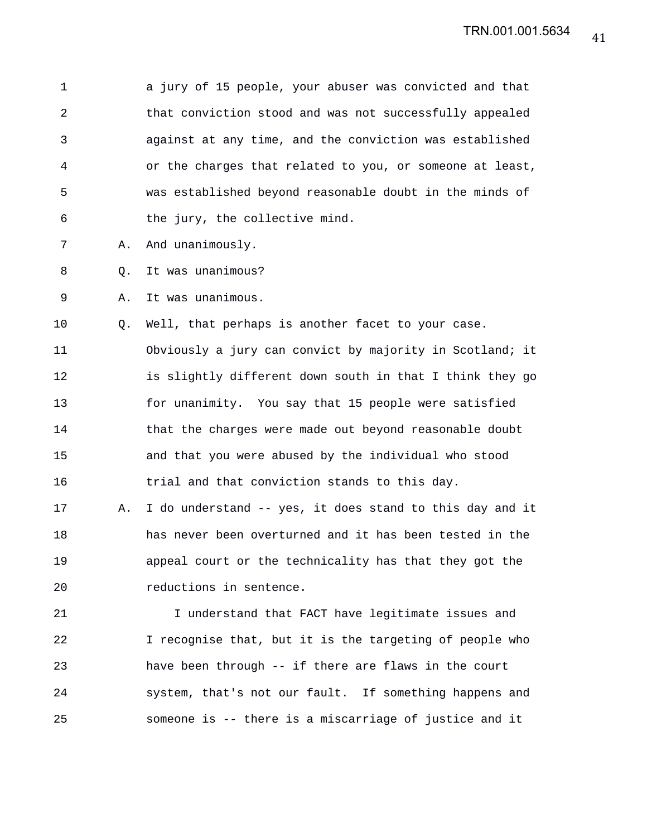1 a jury of 15 people, your abuser was convicted and that 2 that conviction stood and was not successfully appealed 3 against at any time, and the conviction was established 4 or the charges that related to you, or someone at least, 5 was established beyond reasonable doubt in the minds of 6 the jury, the collective mind.

- 7 A. And unanimously.
- 8 Q. It was unanimous?

9 A. It was unanimous.

10 Q. Well, that perhaps is another facet to your case. 11 Obviously a jury can convict by majority in Scotland; it 12 is slightly different down south in that I think they go 13 for unanimity. You say that 15 people were satisfied 14 that the charges were made out beyond reasonable doubt 15 and that you were abused by the individual who stood 16 trial and that conviction stands to this day.

17 A. I do understand -- yes, it does stand to this day and it 18 has never been overturned and it has been tested in the 19 appeal court or the technicality has that they got the 20 reductions in sentence.

21 I understand that FACT have legitimate issues and 22 I recognise that, but it is the targeting of people who 23 have been through -- if there are flaws in the court 24 system, that's not our fault. If something happens and 25 someone is -- there is a miscarriage of justice and it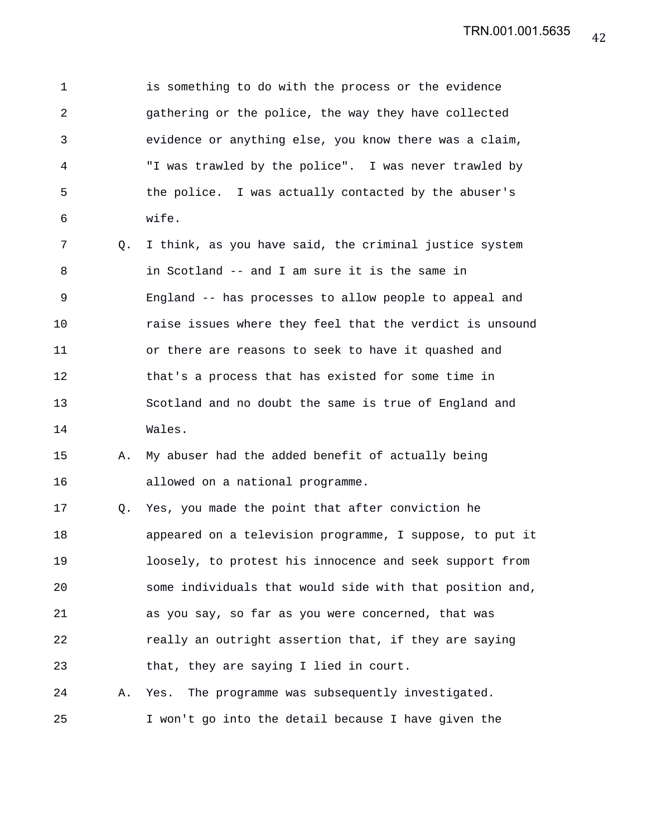1 is something to do with the process or the evidence 2 gathering or the police, the way they have collected 3 evidence or anything else, you know there was a claim, 4 "I was trawled by the police". I was never trawled by 5 the police. I was actually contacted by the abuser's 6 wife.

7 Q. I think, as you have said, the criminal justice system 8 in Scotland -- and I am sure it is the same in 9 England -- has processes to allow people to appeal and 10 raise issues where they feel that the verdict is unsound 11 or there are reasons to seek to have it quashed and 12 that's a process that has existed for some time in 13 Scotland and no doubt the same is true of England and 14 Wales.

## 15 A. My abuser had the added benefit of actually being 16 allowed on a national programme.

17 Q. Yes, you made the point that after conviction he 18 appeared on a television programme, I suppose, to put it 19 loosely, to protest his innocence and seek support from 20 some individuals that would side with that position and, 21 as you say, so far as you were concerned, that was 22 really an outright assertion that, if they are saying 23 that, they are saying I lied in court.

24 A. Yes. The programme was subsequently investigated. 25 I won't go into the detail because I have given the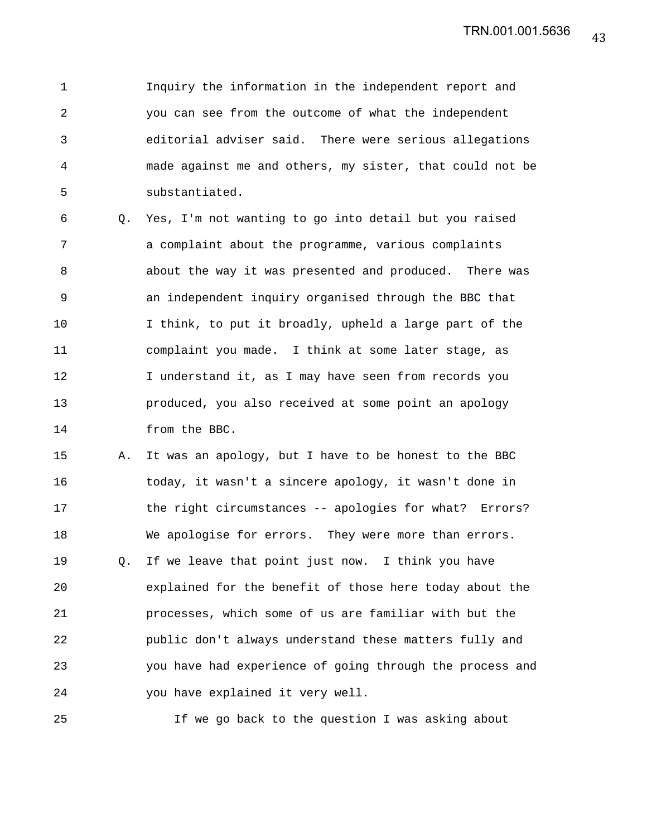1 Inquiry the information in the independent report and 2 you can see from the outcome of what the independent 3 editorial adviser said. There were serious allegations 4 made against me and others, my sister, that could not be 5 substantiated.

6 Q. Yes, I'm not wanting to go into detail but you raised 7 a complaint about the programme, various complaints 8 about the way it was presented and produced. There was 9 an independent inquiry organised through the BBC that 10 I think, to put it broadly, upheld a large part of the 11 complaint you made. I think at some later stage, as 12 I understand it, as I may have seen from records you 13 produced, you also received at some point an apology 14 from the BBC.

15 A. It was an apology, but I have to be honest to the BBC 16 today, it wasn't a sincere apology, it wasn't done in 17 the right circumstances -- apologies for what? Errors? 18 We apologise for errors. They were more than errors. 19 Q. If we leave that point just now. I think you have 20 explained for the benefit of those here today about the 21 processes, which some of us are familiar with but the 22 public don't always understand these matters fully and 23 you have had experience of going through the process and 24 you have explained it very well.

25 If we go back to the question I was asking about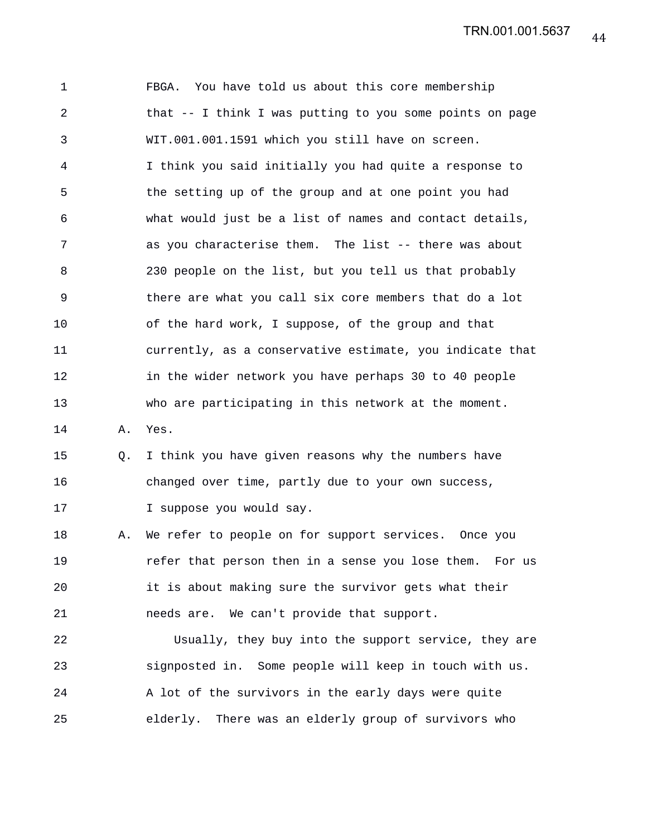1 FBGA. You have told us about this core membership 2 that -- I think I was putting to you some points on page 3 WIT.001.001.1591 which you still have on screen. 4 I think you said initially you had quite a response to 5 the setting up of the group and at one point you had 6 what would just be a list of names and contact details, 7 as you characterise them. The list -- there was about 8 230 people on the list, but you tell us that probably 9 there are what you call six core members that do a lot 10 of the hard work, I suppose, of the group and that 11 currently, as a conservative estimate, you indicate that 12 in the wider network you have perhaps 30 to 40 people 13 who are participating in this network at the moment. 14 A. Yes. 15 Q. I think you have given reasons why the numbers have 16 changed over time, partly due to your own success, 17 I suppose you would say. 18 A. We refer to people on for support services. Once you 19 refer that person then in a sense you lose them. For us 20 it is about making sure the survivor gets what their 21 needs are. We can't provide that support. 22 Usually, they buy into the support service, they are 23 signposted in. Some people will keep in touch with us. 24 A lot of the survivors in the early days were quite 25 elderly. There was an elderly group of survivors who

44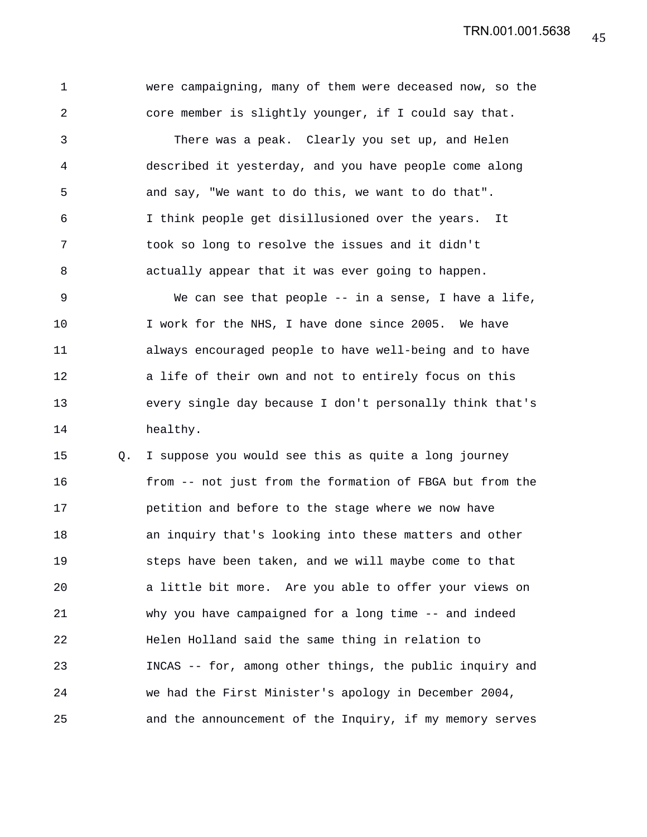1 were campaigning, many of them were deceased now, so the 2 core member is slightly younger, if I could say that. 3 There was a peak. Clearly you set up, and Helen 4 described it yesterday, and you have people come along 5 and say, "We want to do this, we want to do that". 6 I think people get disillusioned over the years. It 7 took so long to resolve the issues and it didn't 8 actually appear that it was ever going to happen. 9 We can see that people -- in a sense, I have a life, 10 I work for the NHS, I have done since 2005. We have 11 always encouraged people to have well-being and to have 12 a life of their own and not to entirely focus on this 13 every single day because I don't personally think that's 14 healthy.

15 Q. I suppose you would see this as quite a long journey 16 from -- not just from the formation of FBGA but from the 17 petition and before to the stage where we now have 18 an inquiry that's looking into these matters and other 19 steps have been taken, and we will maybe come to that 20 a little bit more. Are you able to offer your views on 21 why you have campaigned for a long time -- and indeed 22 Helen Holland said the same thing in relation to 23 INCAS -- for, among other things, the public inquiry and 24 we had the First Minister's apology in December 2004, 25 and the announcement of the Inquiry, if my memory serves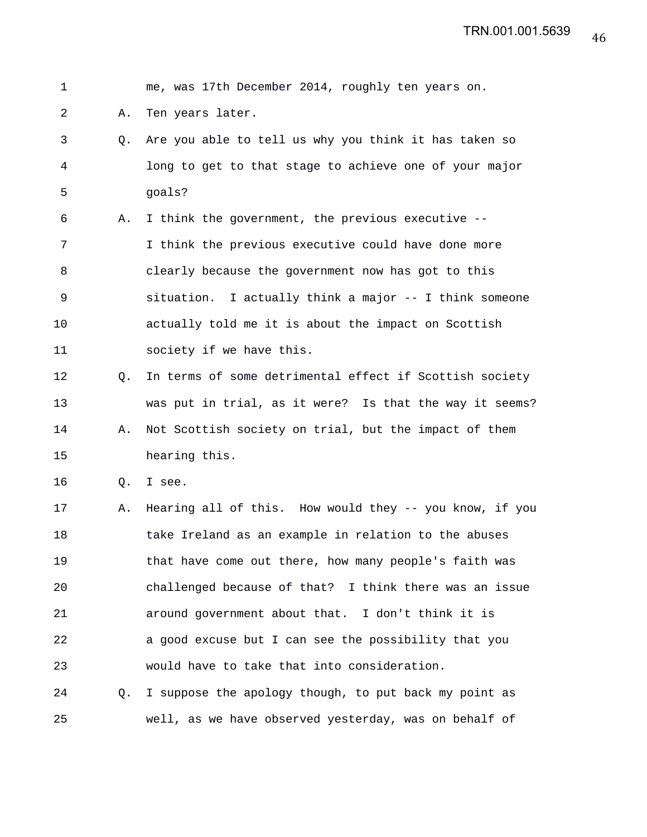| $\mathbf 1$ |    | me, was 17th December 2014, roughly ten years on.       |
|-------------|----|---------------------------------------------------------|
| 2           | Α. | Ten years later.                                        |
| 3           | Q. | Are you able to tell us why you think it has taken so   |
| 4           |    | long to get to that stage to achieve one of your major  |
| 5           |    | goals?                                                  |
| 6           | Α. | I think the government, the previous executive --       |
| 7           |    | I think the previous executive could have done more     |
| 8           |    | clearly because the government now has got to this      |
| 9           |    | situation. I actually think a major -- I think someone  |
| 10          |    | actually told me it is about the impact on Scottish     |
| 11          |    | society if we have this.                                |
| 12          | Q. | In terms of some detrimental effect if Scottish society |
| 13          |    | was put in trial, as it were? Is that the way it seems? |
| 14          | Α. | Not Scottish society on trial, but the impact of them   |
| 15          |    | hearing this.                                           |
| 16          | Q. | I see.                                                  |
| 17          | Α. | Hearing all of this. How would they -- you know, if you |
| 18          |    | take Ireland as an example in relation to the abuses    |
| 19          |    | that have come out there, how many people's faith was   |
| 20          |    | challenged because of that? I think there was an issue  |
| 21          |    | around government about that. I don't think it is       |
| 22          |    | a good excuse but I can see the possibility that you    |
| 23          |    | would have to take that into consideration.             |
| 24          | Q. | I suppose the apology though, to put back my point as   |
| 25          |    | well, as we have observed yesterday, was on behalf of   |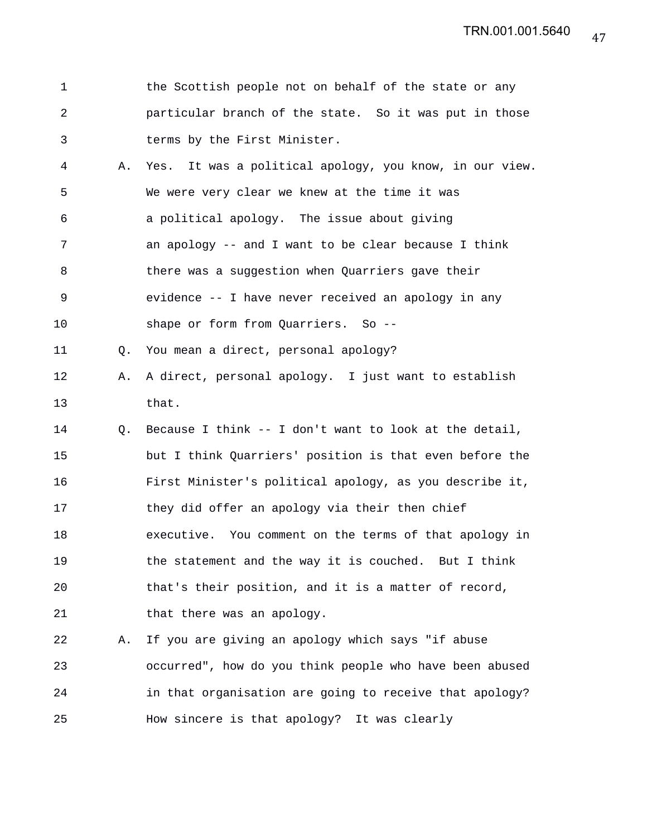| the Scottish people not on behalf of the state or any  |
|--------------------------------------------------------|
| particular branch of the state. So it was put in those |
| terms by the First Minister.                           |

| $\overline{4}$ | A. Yes. It was a political apology, you know, in our view. |
|----------------|------------------------------------------------------------|
| 5              | We were very clear we knew at the time it was              |
| 6              | a political apology. The issue about giving                |
| 7              | an apology $-$ and I want to be clear because I think      |
| 8              | there was a suggestion when Quarriers gave their           |
| 9              | evidence -- I have never received an apology in any        |
| 10             | shape or form from Quarriers. So --                        |

11 Q. You mean a direct, personal apology?

- 12 A. A direct, personal apology. I just want to establish 13 that.
- 14 Q. Because I think -- I don't want to look at the detail, 15 but I think Quarriers' position is that even before the 16 First Minister's political apology, as you describe it, 17 they did offer an apology via their then chief 18 executive. You comment on the terms of that apology in 19 the statement and the way it is couched. But I think 20 that's their position, and it is a matter of record, 21 that there was an apology.

22 A. If you are giving an apology which says "if abuse 23 occurred", how do you think people who have been abused 24 in that organisation are going to receive that apology? 25 How sincere is that apology? It was clearly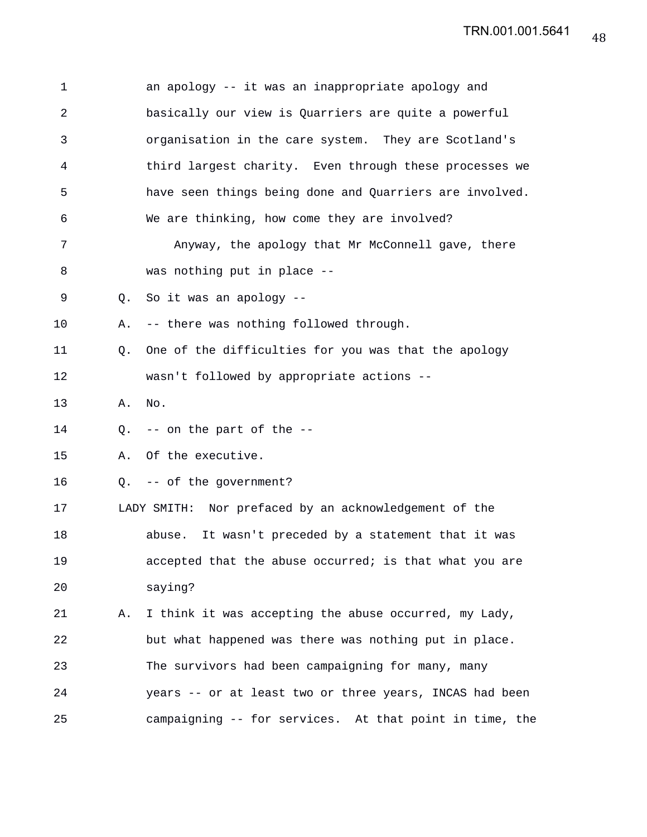| 1  |    | an apology -- it was an inappropriate apology and       |
|----|----|---------------------------------------------------------|
| 2  |    | basically our view is Quarriers are quite a powerful    |
| 3  |    | organisation in the care system. They are Scotland's    |
| 4  |    | third largest charity. Even through these processes we  |
| 5  |    | have seen things being done and Quarriers are involved. |
| 6  |    | We are thinking, how come they are involved?            |
| 7  |    | Anyway, the apology that Mr McConnell gave, there       |
| 8  |    | was nothing put in place --                             |
| 9  |    | Q. So it was an apology --                              |
| 10 | Α. | -- there was nothing followed through.                  |
| 11 | Q. | One of the difficulties for you was that the apology    |
| 12 |    | wasn't followed by appropriate actions --               |
| 13 | Α. | No.                                                     |
| 14 |    | Q. $-$ - on the part of the $-$ -                       |
| 15 | Α. | Of the executive.                                       |
| 16 |    | Q. -- of the government?                                |
| 17 |    | LADY SMITH: Nor prefaced by an acknowledgement of the   |
| 18 |    | It wasn't preceded by a statement that it was<br>abuse. |
| 19 |    | accepted that the abuse occurred; is that what you are  |
| 20 |    | saying?                                                 |
| 21 | Α. | I think it was accepting the abuse occurred, my Lady,   |
| 22 |    | but what happened was there was nothing put in place.   |
| 23 |    | The survivors had been campaigning for many, many       |
| 24 |    | years -- or at least two or three years, INCAS had been |
| 25 |    | campaigning -- for services. At that point in time, the |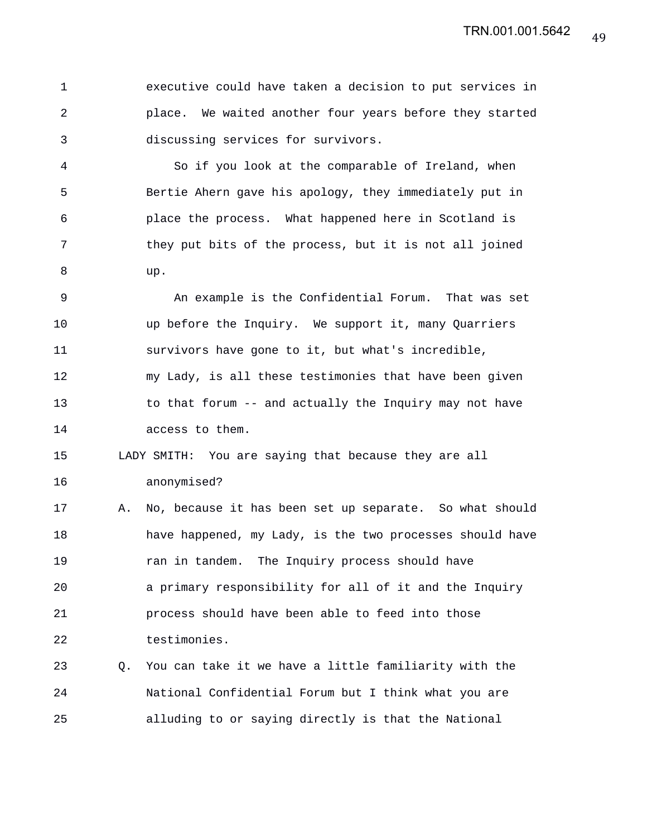1 executive could have taken a decision to put services in 2 place. We waited another four years before they started 3 discussing services for survivors.

4 So if you look at the comparable of Ireland, when 5 Bertie Ahern gave his apology, they immediately put in 6 place the process. What happened here in Scotland is 7 they put bits of the process, but it is not all joined 8 up.

9 An example is the Confidential Forum. That was set 10 up before the Inquiry. We support it, many Quarriers 11 survivors have gone to it, but what's incredible, 12 my Lady, is all these testimonies that have been given 13 to that forum -- and actually the Inquiry may not have 14 access to them.

15 LADY SMITH: You are saying that because they are all 16 anonymised?

17 A. No, because it has been set up separate. So what should 18 have happened, my Lady, is the two processes should have 19 **19** ran in tandem. The Inquiry process should have 20 a primary responsibility for all of it and the Inquiry 21 process should have been able to feed into those 22 testimonies.

23 Q. You can take it we have a little familiarity with the 24 National Confidential Forum but I think what you are 25 alluding to or saying directly is that the National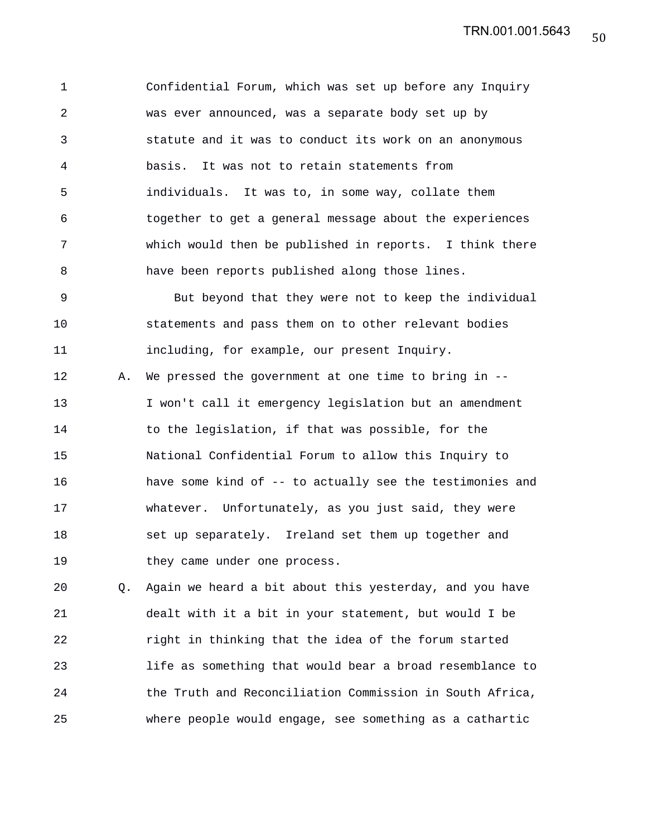1 Confidential Forum, which was set up before any Inquiry 2 was ever announced, was a separate body set up by 3 statute and it was to conduct its work on an anonymous 4 basis. It was not to retain statements from 5 individuals. It was to, in some way, collate them 6 together to get a general message about the experiences 7 which would then be published in reports. I think there 8 have been reports published along those lines.

9 But beyond that they were not to keep the individual 10 statements and pass them on to other relevant bodies 11 including, for example, our present Inquiry. 12 A. We pressed the government at one time to bring in --

13 I won't call it emergency legislation but an amendment 14 to the legislation, if that was possible, for the 15 National Confidential Forum to allow this Inquiry to 16 have some kind of -- to actually see the testimonies and 17 whatever. Unfortunately, as you just said, they were 18 set up separately. Ireland set them up together and 19 they came under one process.

20 Q. Again we heard a bit about this yesterday, and you have 21 dealt with it a bit in your statement, but would I be 22 right in thinking that the idea of the forum started 23 life as something that would bear a broad resemblance to 24 the Truth and Reconciliation Commission in South Africa, 25 where people would engage, see something as a cathartic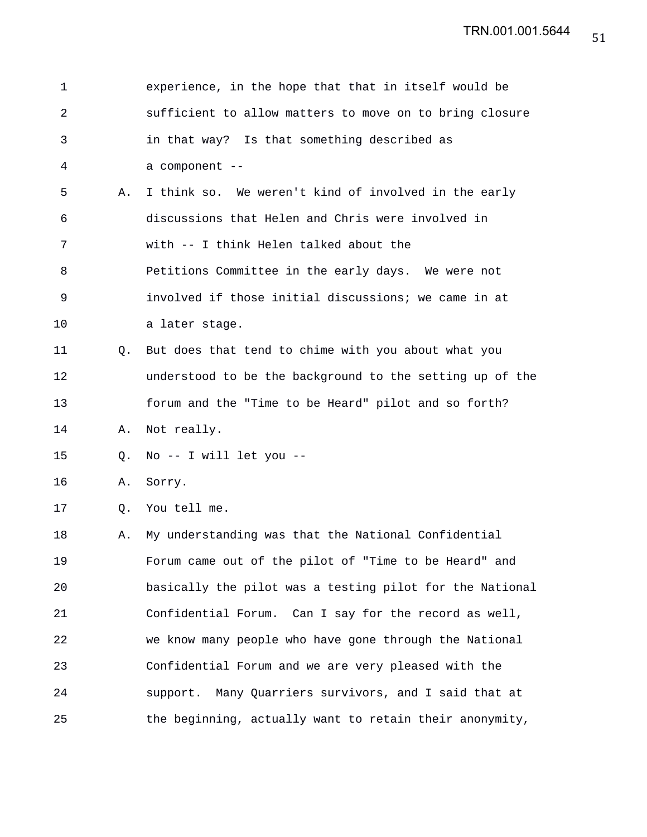| $\mathbf 1$    |    | experience, in the hope that that in itself would be     |
|----------------|----|----------------------------------------------------------|
| $\overline{a}$ |    | sufficient to allow matters to move on to bring closure  |
| 3              |    | in that way? Is that something described as              |
| 4              |    | a component --                                           |
| 5              | Α. | I think so. We weren't kind of involved in the early     |
| 6              |    | discussions that Helen and Chris were involved in        |
| 7              |    | with -- I think Helen talked about the                   |
| 8              |    | Petitions Committee in the early days. We were not       |
| 9              |    | involved if those initial discussions; we came in at     |
| 10             |    | a later stage.                                           |
| 11             | Q. | But does that tend to chime with you about what you      |
| 12             |    | understood to be the background to the setting up of the |
| 13             |    | forum and the "Time to be Heard" pilot and so forth?     |
| 14             | Α. | Not really.                                              |
| 15             | Q. | No -- I will let you --                                  |
| 16             | Α. | Sorry.                                                   |
| 17             | Q. | You tell me.                                             |
| 18             | Α. | My understanding was that the National Confidential      |
| 19             |    | Forum came out of the pilot of "Time to be Heard" and    |
| 20             |    | basically the pilot was a testing pilot for the National |
| 21             |    | Confidential Forum. Can I say for the record as well,    |
| 22             |    | we know many people who have gone through the National   |
| 23             |    | Confidential Forum and we are very pleased with the      |
| 24             |    | support. Many Quarriers survivors, and I said that at    |
| 25             |    | the beginning, actually want to retain their anonymity,  |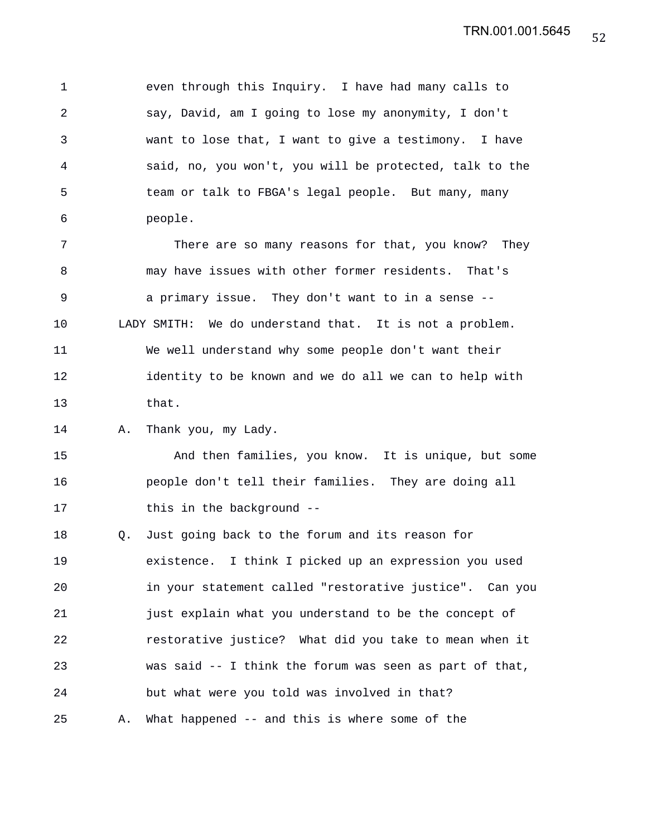1 even through this Inquiry. I have had many calls to 2 say, David, am I going to lose my anonymity, I don't 3 want to lose that, I want to give a testimony. I have 4 said, no, you won't, you will be protected, talk to the 5 team or talk to FBGA's legal people. But many, many 6 people.

7 There are so many reasons for that, you know? They 8 may have issues with other former residents. That's 9 a primary issue. They don't want to in a sense -- 10 LADY SMITH: We do understand that. It is not a problem. 11 We well understand why some people don't want their 12 identity to be known and we do all we can to help with 13 that.

14 A. Thank you, my Lady.

15 And then families, you know. It is unique, but some 16 people don't tell their families. They are doing all 17 this in the background --

18 Q. Just going back to the forum and its reason for 19 existence. I think I picked up an expression you used 20 in your statement called "restorative justice". Can you 21 just explain what you understand to be the concept of 22 restorative justice? What did you take to mean when it 23 was said -- I think the forum was seen as part of that, 24 but what were you told was involved in that? 25 A. What happened -- and this is where some of the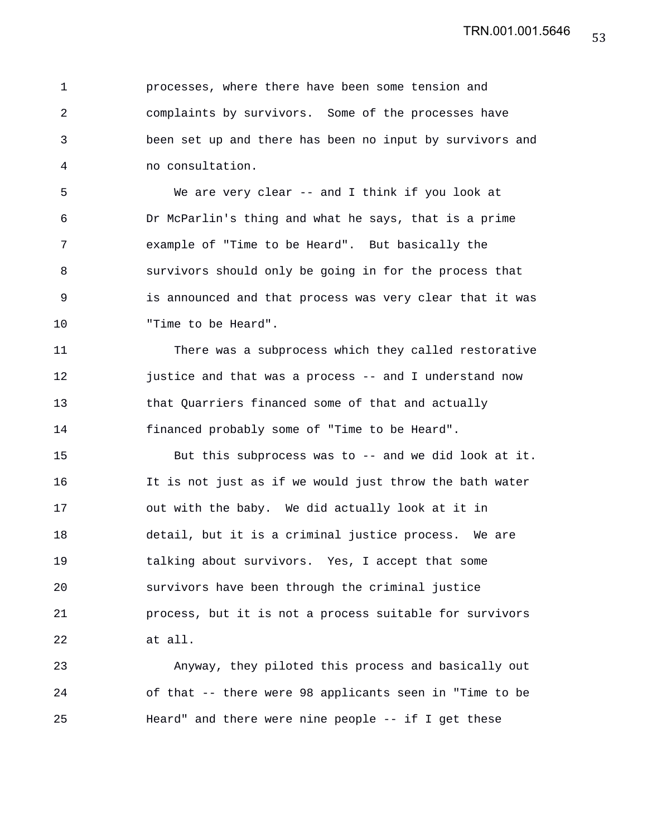1 processes, where there have been some tension and 2 complaints by survivors. Some of the processes have 3 been set up and there has been no input by survivors and 4 no consultation.

5 We are very clear -- and I think if you look at 6 Dr McParlin's thing and what he says, that is a prime 7 example of "Time to be Heard". But basically the 8 survivors should only be going in for the process that 9 is announced and that process was very clear that it was 10 Time to be Heard".

11 There was a subprocess which they called restorative 12 justice and that was a process -- and I understand now 13 that Quarriers financed some of that and actually 14 financed probably some of "Time to be Heard".

15 But this subprocess was to -- and we did look at it. 16 It is not just as if we would just throw the bath water 17 out with the baby. We did actually look at it in 18 detail, but it is a criminal justice process. We are 19 talking about survivors. Yes, I accept that some 20 survivors have been through the criminal justice 21 process, but it is not a process suitable for survivors 22 at all.

23 Anyway, they piloted this process and basically out 24 of that -- there were 98 applicants seen in "Time to be 25 Heard" and there were nine people -- if I get these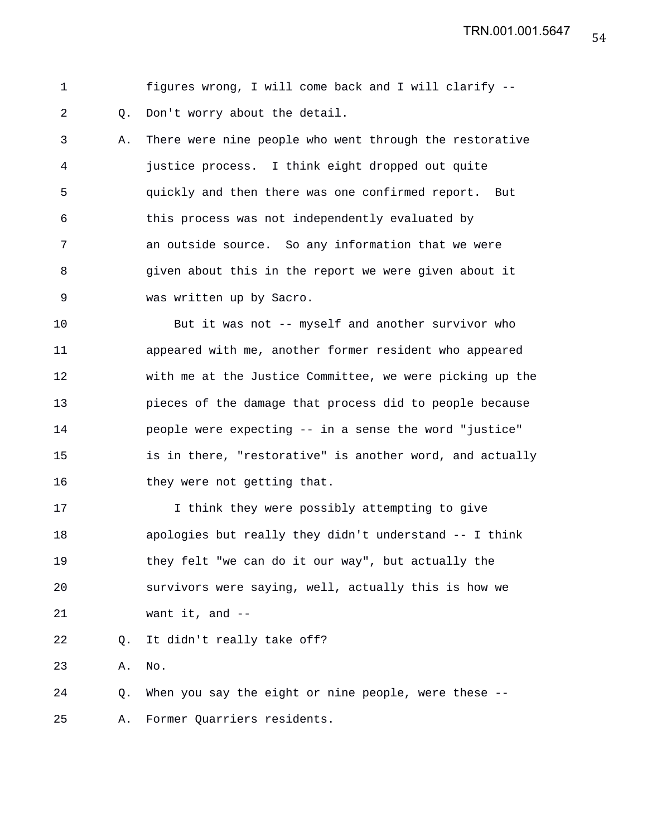1 figures wrong, I will come back and I will clarify -- 2 Q. Don't worry about the detail.

3 A. There were nine people who went through the restorative 4 justice process. I think eight dropped out quite 5 quickly and then there was one confirmed report. But 6 this process was not independently evaluated by 7 an outside source. So any information that we were 8 given about this in the report we were given about it 9 was written up by Sacro.

10 But it was not -- myself and another survivor who 11 appeared with me, another former resident who appeared 12 with me at the Justice Committee, we were picking up the 13 pieces of the damage that process did to people because 14 people were expecting -- in a sense the word "justice" 15 is in there, "restorative" is another word, and actually 16 they were not getting that.

17 I think they were possibly attempting to give 18 apologies but really they didn't understand -- I think 19 they felt "we can do it our way", but actually the 20 survivors were saying, well, actually this is how we 21 want it, and --

22 Q. It didn't really take off?

23 A. No.

24 Q. When you say the eight or nine people, were these -- 25 A. Former Quarriers residents.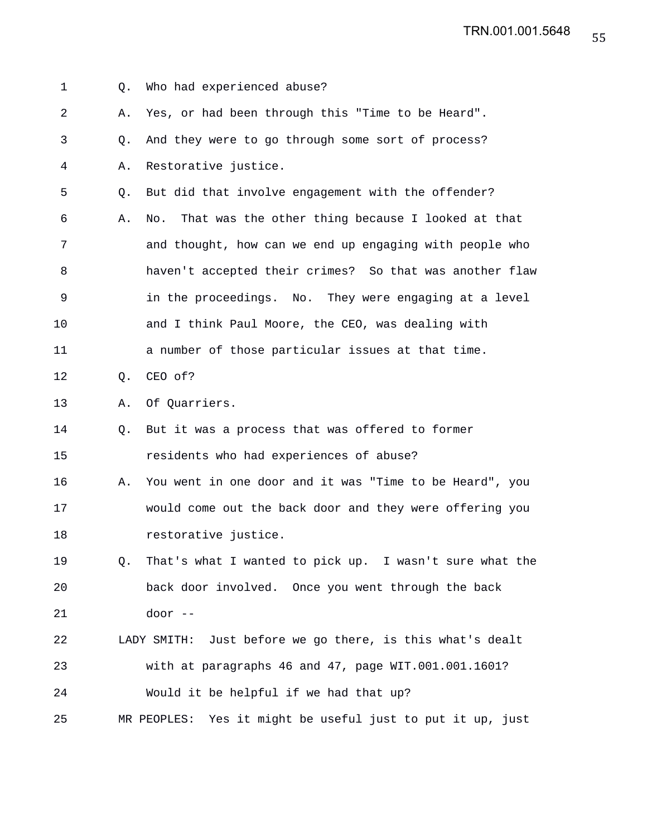1 Q. Who had experienced abuse? 2 A. Yes, or had been through this "Time to be Heard". 3 Q. And they were to go through some sort of process? 4 A. Restorative justice. 5 Q. But did that involve engagement with the offender? 6 A. No. That was the other thing because I looked at that 7 and thought, how can we end up engaging with people who 8 haven't accepted their crimes? So that was another flaw 9 in the proceedings. No. They were engaging at a level 10 and I think Paul Moore, the CEO, was dealing with 11 a number of those particular issues at that time. 12 Q. CEO of? 13 A. Of Quarriers. 14 Q. But it was a process that was offered to former 15 residents who had experiences of abuse? 16 A. You went in one door and it was "Time to be Heard", you 17 would come out the back door and they were offering you 18 restorative justice. 19 Q. That's what I wanted to pick up. I wasn't sure what the 20 back door involved. Once you went through the back 21 door -- 22 LADY SMITH: Just before we go there, is this what's dealt 23 with at paragraphs 46 and 47, page WIT.001.001.1601? 24 Would it be helpful if we had that up? 25 MR PEOPLES: Yes it might be useful just to put it up, just

55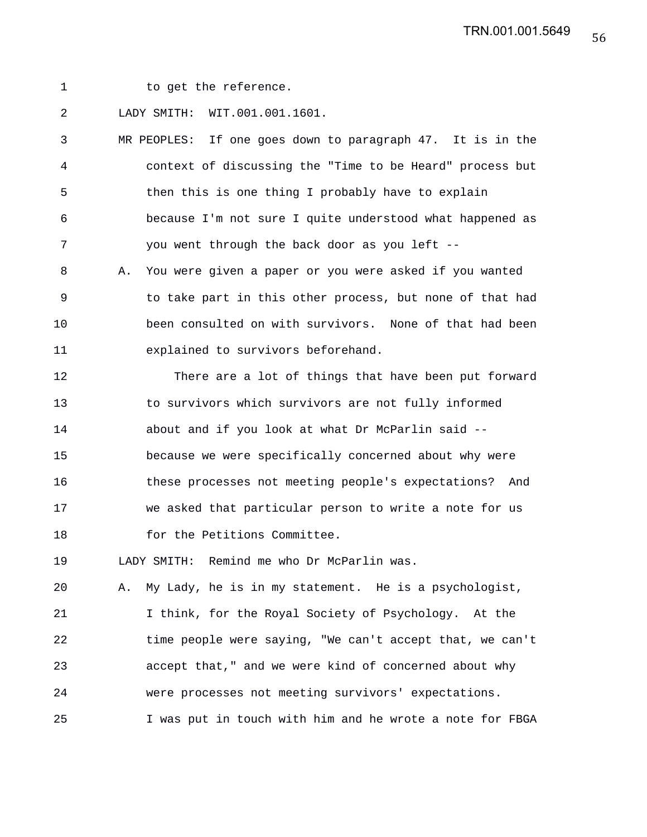1 to get the reference.

2 LADY SMITH: WIT.001.001.1601.

3 MR PEOPLES: If one goes down to paragraph 47. It is in the 4 context of discussing the "Time to be Heard" process but 5 then this is one thing I probably have to explain 6 because I'm not sure I quite understood what happened as 7 you went through the back door as you left --

8 A. You were given a paper or you were asked if you wanted 9 to take part in this other process, but none of that had 10 been consulted on with survivors. None of that had been 11 explained to survivors beforehand.

12 There are a lot of things that have been put forward 13 to survivors which survivors are not fully informed 14 about and if you look at what Dr McParlin said -- 15 because we were specifically concerned about why were 16 these processes not meeting people's expectations? And 17 we asked that particular person to write a note for us 18 for the Petitions Committee.

19 LADY SMITH: Remind me who Dr McParlin was.

20 A. My Lady, he is in my statement. He is a psychologist, 21 I think, for the Royal Society of Psychology. At the 22 time people were saying, "We can't accept that, we can't 23 accept that," and we were kind of concerned about why 24 were processes not meeting survivors' expectations. 25 I was put in touch with him and he wrote a note for FBGA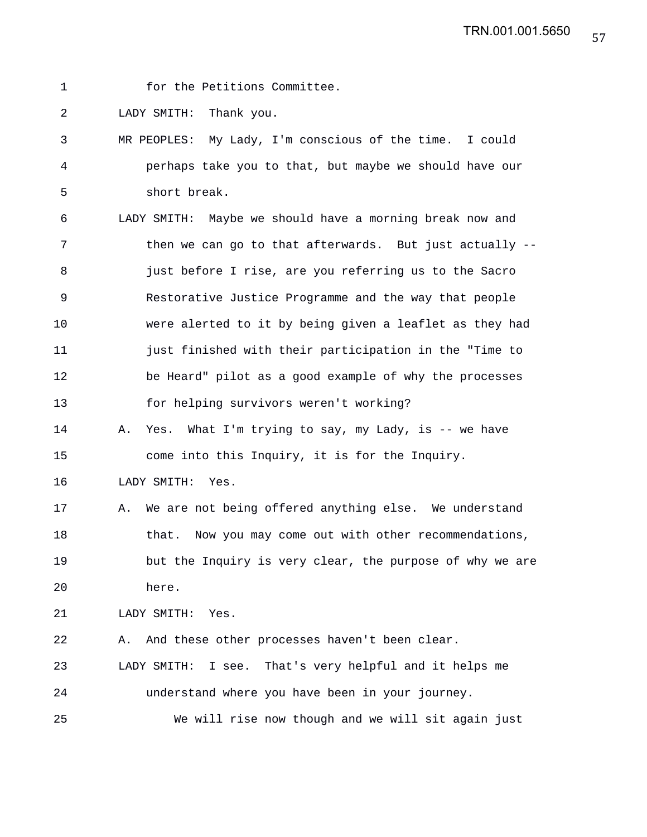1 for the Petitions Committee.

2 LADY SMITH: Thank you.

3 MR PEOPLES: My Lady, I'm conscious of the time. I could 4 perhaps take you to that, but maybe we should have our 5 short break.

6 LADY SMITH: Maybe we should have a morning break now and 7 then we can go to that afterwards. But just actually --8 **just before I rise, are you referring us to the Sacro** 9 Restorative Justice Programme and the way that people 10 were alerted to it by being given a leaflet as they had 11 just finished with their participation in the "Time to 12 be Heard" pilot as a good example of why the processes 13 for helping survivors weren't working?

14 A. Yes. What I'm trying to say, my Lady, is -- we have 15 come into this Inquiry, it is for the Inquiry.

16 LADY SMITH: Yes.

17 A. We are not being offered anything else. We understand 18 that. Now you may come out with other recommendations, 19 but the Inquiry is very clear, the purpose of why we are 20 here.

21 LADY SMITH: Yes.

22 A. And these other processes haven't been clear.

23 LADY SMITH: I see. That's very helpful and it helps me 24 understand where you have been in your journey.

25 We will rise now though and we will sit again just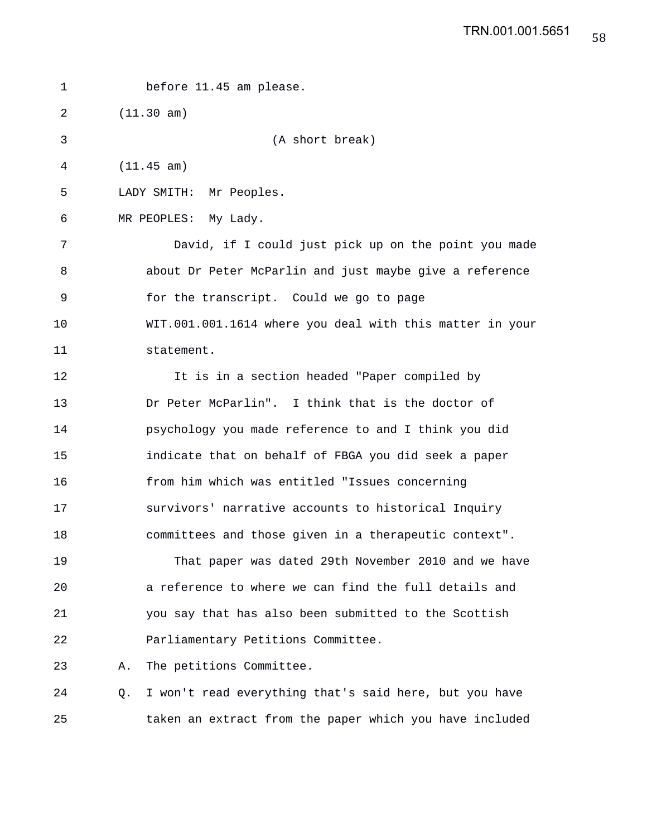1 before 11.45 am please. 2 (11.30 am) 3 (A short break) 4 (11.45 am) 5 LADY SMITH: Mr Peoples. 6 MR PEOPLES: My Lady. 7 David, if I could just pick up on the point you made 8 about Dr Peter McParlin and just maybe give a reference 9 for the transcript. Could we go to page 10 WIT.001.001.1614 where you deal with this matter in your 11 statement. 12 It is in a section headed "Paper compiled by 13 Dr Peter McParlin". I think that is the doctor of 14 psychology you made reference to and I think you did 15 indicate that on behalf of FBGA you did seek a paper 16 from him which was entitled "Issues concerning 17 survivors' narrative accounts to historical Inquiry 18 committees and those given in a therapeutic context". 19 That paper was dated 29th November 2010 and we have 20 a reference to where we can find the full details and 21 you say that has also been submitted to the Scottish 22 Parliamentary Petitions Committee. 23 A. The petitions Committee. 24 Q. I won't read everything that's said here, but you have

25 taken an extract from the paper which you have included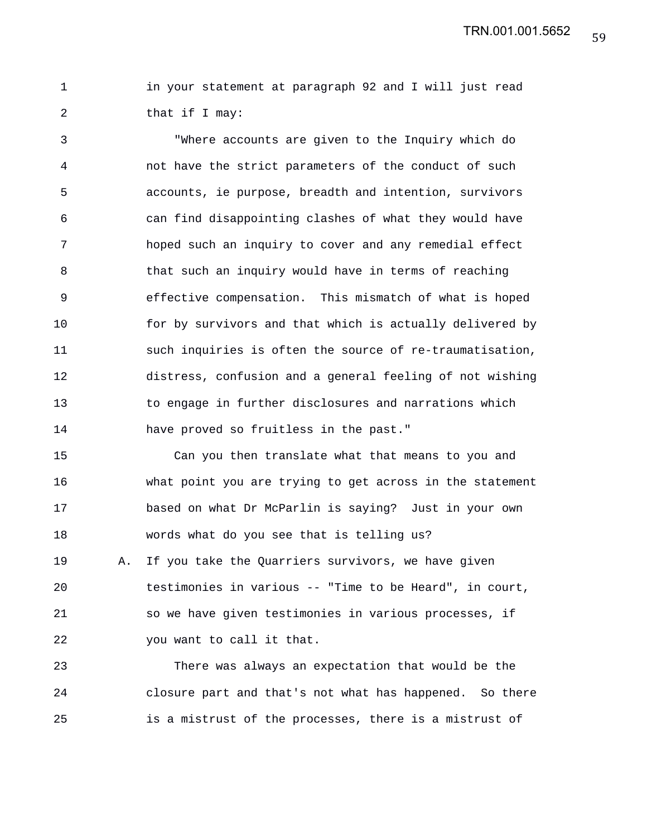1 in your statement at paragraph 92 and I will just read 2 that if I may:

3 "Where accounts are given to the Inquiry which do 4 not have the strict parameters of the conduct of such 5 accounts, ie purpose, breadth and intention, survivors 6 can find disappointing clashes of what they would have 7 hoped such an inquiry to cover and any remedial effect 8 that such an inquiry would have in terms of reaching 9 effective compensation. This mismatch of what is hoped 10 for by survivors and that which is actually delivered by 11 such inquiries is often the source of re-traumatisation, 12 distress, confusion and a general feeling of not wishing 13 to engage in further disclosures and narrations which 14 have proved so fruitless in the past."

15 Can you then translate what that means to you and 16 what point you are trying to get across in the statement 17 based on what Dr McParlin is saying? Just in your own 18 words what do you see that is telling us? 19 A. If you take the Quarriers survivors, we have given 20 testimonies in various -- "Time to be Heard", in court, 21 so we have given testimonies in various processes, if 22 you want to call it that.

23 There was always an expectation that would be the 24 closure part and that's not what has happened. So there 25 is a mistrust of the processes, there is a mistrust of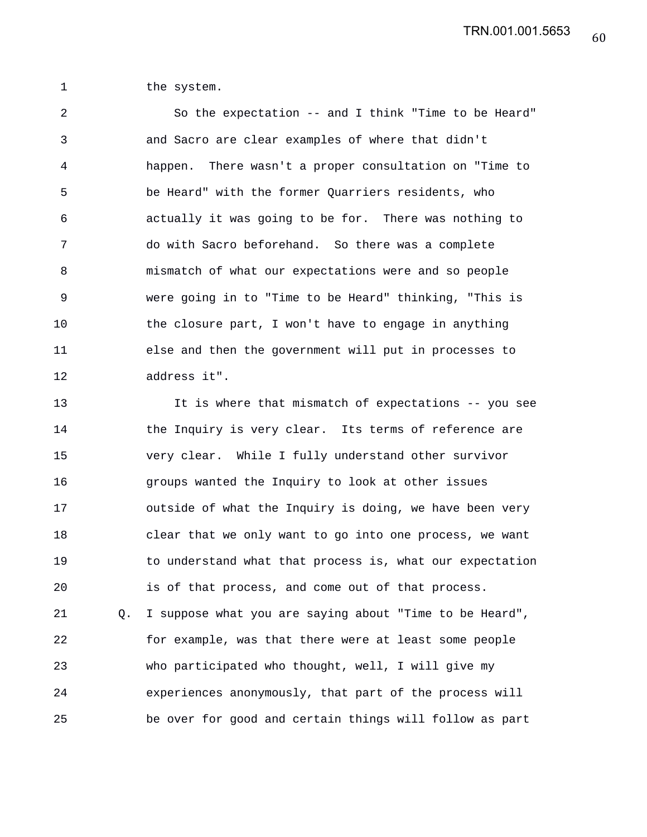1 the system.

2 So the expectation -- and I think "Time to be Heard" 3 and Sacro are clear examples of where that didn't 4 happen. There wasn't a proper consultation on "Time to 5 be Heard" with the former Quarriers residents, who 6 actually it was going to be for. There was nothing to 7 do with Sacro beforehand. So there was a complete 8 mismatch of what our expectations were and so people 9 were going in to "Time to be Heard" thinking, "This is 10 the closure part, I won't have to engage in anything 11 else and then the government will put in processes to 12 address it".

13 It is where that mismatch of expectations -- you see 14 the Inquiry is very clear. Its terms of reference are 15 very clear. While I fully understand other survivor 16 groups wanted the Inquiry to look at other issues 17 outside of what the Inquiry is doing, we have been very 18 clear that we only want to go into one process, we want 19 to understand what that process is, what our expectation 20 is of that process, and come out of that process. 21 Q. I suppose what you are saying about "Time to be Heard", 22 for example, was that there were at least some people 23 who participated who thought, well, I will give my 24 experiences anonymously, that part of the process will 25 be over for good and certain things will follow as part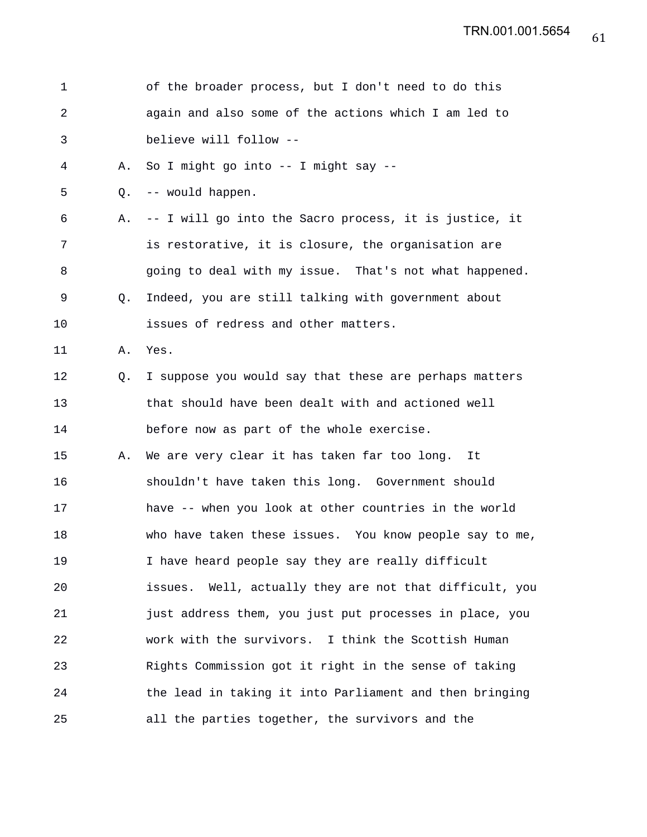| 1  |    | of the broader process, but I don't need to do this        |
|----|----|------------------------------------------------------------|
| 2  |    | again and also some of the actions which I am led to       |
| 3  |    | believe will follow --                                     |
| 4  | Α. | So I might go into -- I might say --                       |
| 5  | Q. | -- would happen.                                           |
| 6  | Α. | -- I will go into the Sacro process, it is justice, it     |
| 7  |    | is restorative, it is closure, the organisation are        |
| 8  |    | going to deal with my issue. That's not what happened.     |
| 9  | O. | Indeed, you are still talking with government about        |
| 10 |    | issues of redress and other matters.                       |
| 11 | Α. | Yes.                                                       |
| 12 | Q. | I suppose you would say that these are perhaps matters     |
| 13 |    | that should have been dealt with and actioned well         |
| 14 |    | before now as part of the whole exercise.                  |
| 15 | Α. | We are very clear it has taken far too long.<br>It         |
| 16 |    | shouldn't have taken this long. Government should          |
| 17 |    | have -- when you look at other countries in the world      |
| 18 |    | who have taken these issues. You know people say to me,    |
| 19 |    | I have heard people say they are really difficult          |
| 20 |    | Well, actually they are not that difficult, you<br>issues. |
| 21 |    | just address them, you just put processes in place, you    |
| 22 |    | work with the survivors. I think the Scottish Human        |
| 23 |    | Rights Commission got it right in the sense of taking      |
| 24 |    | the lead in taking it into Parliament and then bringing    |
| 25 |    | all the parties together, the survivors and the            |

61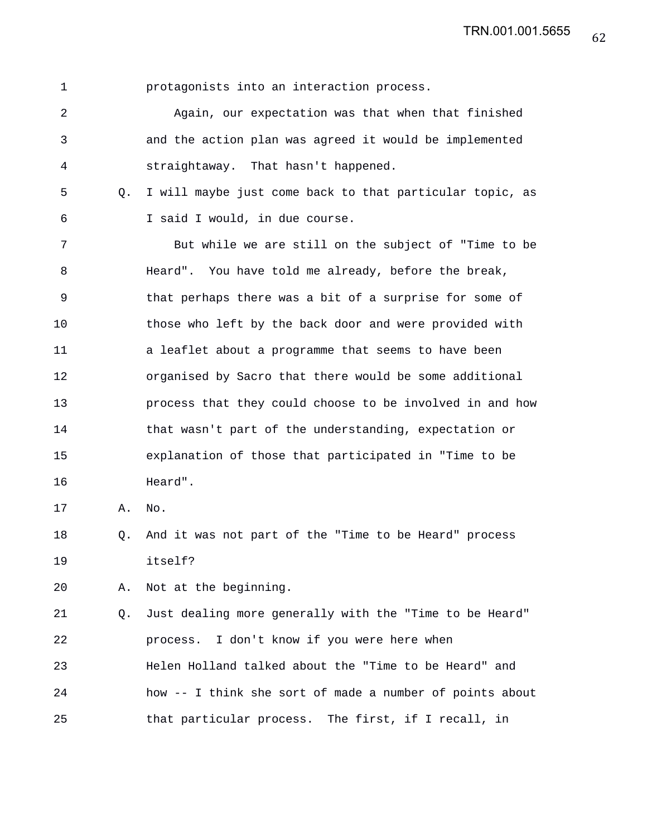1 protagonists into an interaction process.

2 Again, our expectation was that when that finished 3 and the action plan was agreed it would be implemented 4 straightaway. That hasn't happened.

5 Q. I will maybe just come back to that particular topic, as 6 I said I would, in due course.

7 But while we are still on the subject of "Time to be 8 Heard". You have told me already, before the break, 9 that perhaps there was a bit of a surprise for some of 10 those who left by the back door and were provided with 11 a leaflet about a programme that seems to have been 12 organised by Sacro that there would be some additional 13 process that they could choose to be involved in and how 14 that wasn't part of the understanding, expectation or 15 explanation of those that participated in "Time to be 16 Heard".

17 A. No.

18 Q. And it was not part of the "Time to be Heard" process 19 itself?

20 A. Not at the beginning.

21 Q. Just dealing more generally with the "Time to be Heard" 22 process. I don't know if you were here when 23 Helen Holland talked about the "Time to be Heard" and 24 how -- I think she sort of made a number of points about 25 that particular process. The first, if I recall, in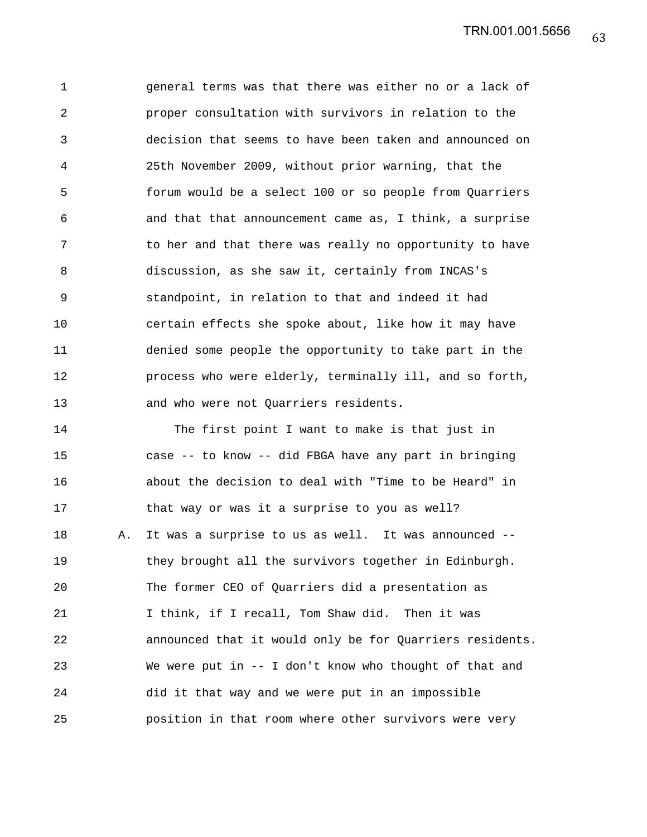1 general terms was that there was either no or a lack of 2 proper consultation with survivors in relation to the 3 decision that seems to have been taken and announced on 4 25th November 2009, without prior warning, that the 5 forum would be a select 100 or so people from Quarriers 6 and that that announcement came as, I think, a surprise 7 to her and that there was really no opportunity to have 8 discussion, as she saw it, certainly from INCAS's 9 standpoint, in relation to that and indeed it had 10 certain effects she spoke about, like how it may have 11 denied some people the opportunity to take part in the 12 process who were elderly, terminally ill, and so forth, 13 and who were not Quarriers residents.

14 The first point I want to make is that just in 15 case -- to know -- did FBGA have any part in bringing 16 about the decision to deal with "Time to be Heard" in 17 that way or was it a surprise to you as well? 18 A. It was a surprise to us as well. It was announced -- 19 they brought all the survivors together in Edinburgh. 20 The former CEO of Quarriers did a presentation as 21 I think, if I recall, Tom Shaw did. Then it was 22 announced that it would only be for Quarriers residents. 23 We were put in -- I don't know who thought of that and 24 did it that way and we were put in an impossible 25 position in that room where other survivors were very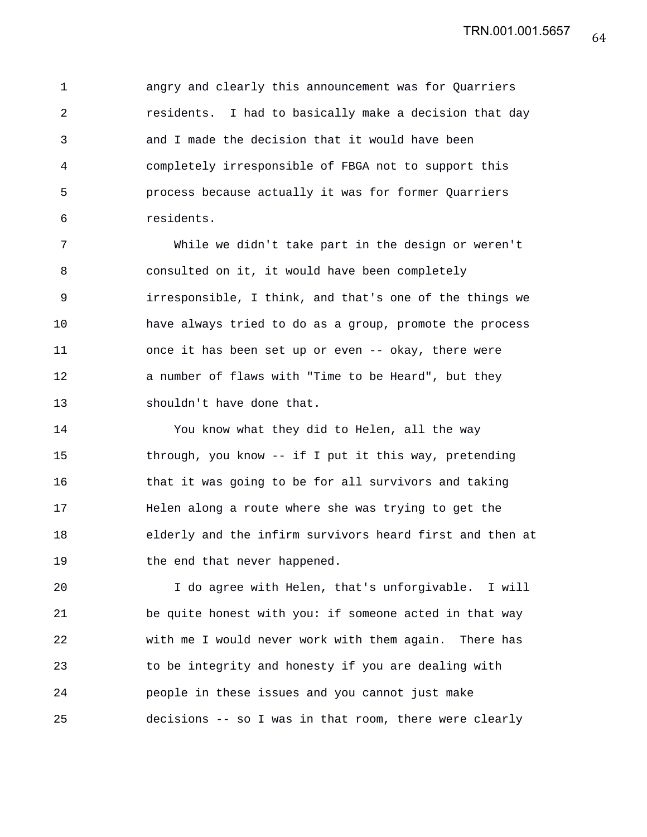1 angry and clearly this announcement was for Quarriers 2 residents. I had to basically make a decision that day 3 and I made the decision that it would have been 4 completely irresponsible of FBGA not to support this 5 process because actually it was for former Quarriers 6 residents.

7 While we didn't take part in the design or weren't 8 consulted on it, it would have been completely 9 irresponsible, I think, and that's one of the things we 10 have always tried to do as a group, promote the process 11 once it has been set up or even -- okay, there were 12 a number of flaws with "Time to be Heard", but they 13 shouldn't have done that.

14 You know what they did to Helen, all the way 15 through, you know -- if I put it this way, pretending 16 that it was going to be for all survivors and taking 17 Helen along a route where she was trying to get the 18 elderly and the infirm survivors heard first and then at 19 the end that never happened.

20 I do agree with Helen, that's unforgivable. I will 21 be quite honest with you: if someone acted in that way 22 with me I would never work with them again. There has 23 to be integrity and honesty if you are dealing with 24 people in these issues and you cannot just make 25 decisions -- so I was in that room, there were clearly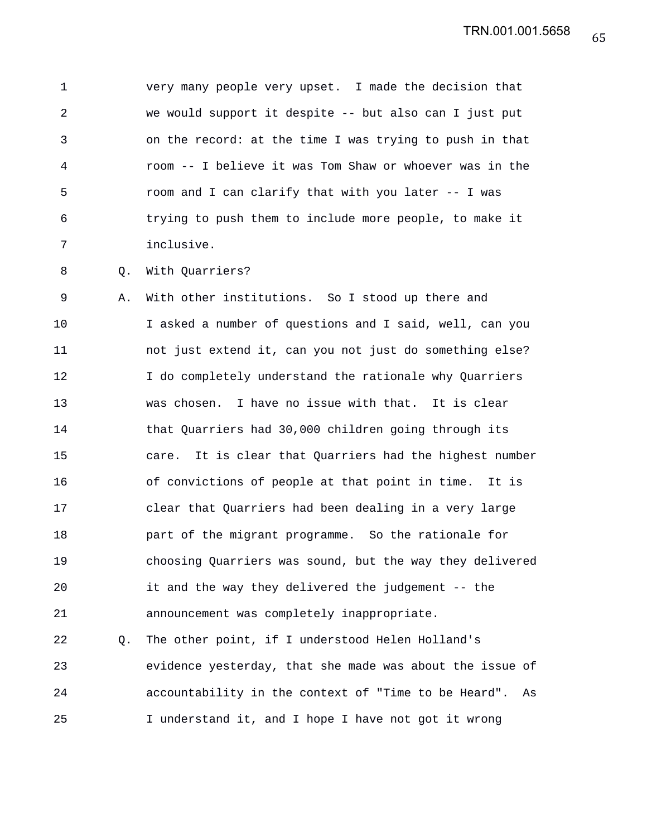1 very many people very upset. I made the decision that 2 we would support it despite -- but also can I just put 3 on the record: at the time I was trying to push in that 4 room -- I believe it was Tom Shaw or whoever was in the 5 room and I can clarify that with you later -- I was 6 trying to push them to include more people, to make it 7 inclusive.

8 Q. With Quarriers?

9 A. With other institutions. So I stood up there and 10 I asked a number of questions and I said, well, can you 11 not just extend it, can you not just do something else? 12 I do completely understand the rationale why Quarriers 13 was chosen. I have no issue with that. It is clear 14 that Quarriers had 30,000 children going through its 15 care. It is clear that Quarriers had the highest number 16 of convictions of people at that point in time. It is 17 clear that Quarriers had been dealing in a very large 18 part of the migrant programme. So the rationale for 19 choosing Quarriers was sound, but the way they delivered 20 it and the way they delivered the judgement -- the 21 announcement was completely inappropriate.

22 Q. The other point, if I understood Helen Holland's 23 evidence yesterday, that she made was about the issue of 24 accountability in the context of "Time to be Heard". As 25 I understand it, and I hope I have not got it wrong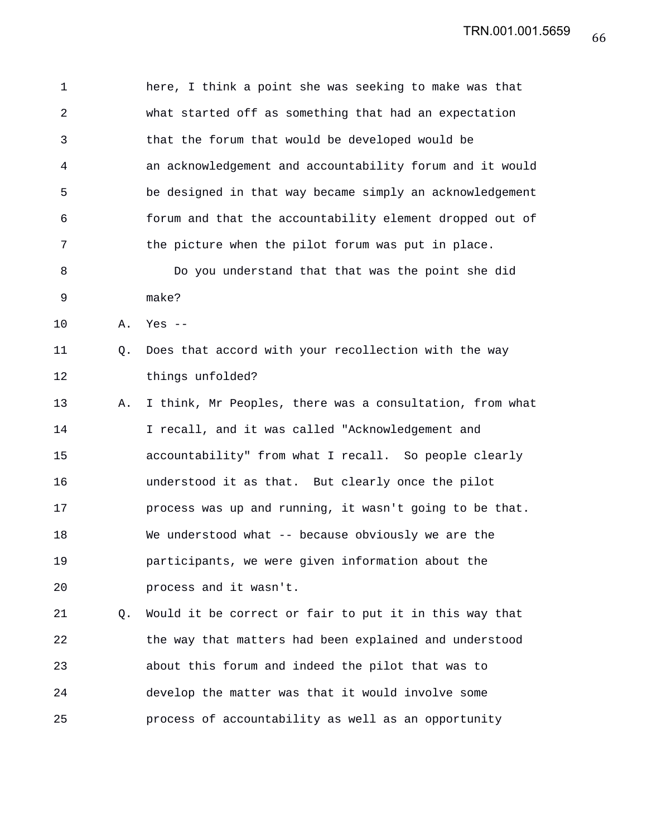1 here, I think a point she was seeking to make was that 2 what started off as something that had an expectation 3 that the forum that would be developed would be 4 an acknowledgement and accountability forum and it would 5 be designed in that way became simply an acknowledgement 6 forum and that the accountability element dropped out of 7 the picture when the pilot forum was put in place. 8 Do you understand that that was the point she did 9 make? 10 A. Yes -- 11 Q. Does that accord with your recollection with the way 12 things unfolded? 13 A. I think, Mr Peoples, there was a consultation, from what 14 I recall, and it was called "Acknowledgement and 15 accountability" from what I recall. So people clearly 16 understood it as that. But clearly once the pilot 17 process was up and running, it wasn't going to be that. 18 We understood what -- because obviously we are the 19 participants, we were given information about the 20 process and it wasn't. 21 Q. Would it be correct or fair to put it in this way that 22 the way that matters had been explained and understood 23 about this forum and indeed the pilot that was to 24 develop the matter was that it would involve some

25 process of accountability as well as an opportunity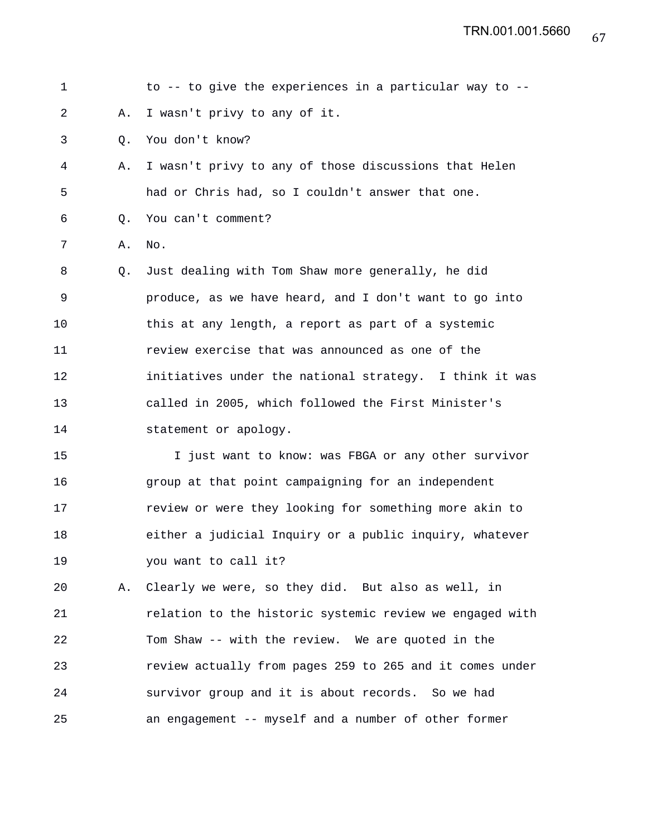| $\mathbf 1$ |    | to -- to give the experiences in a particular way to --  |
|-------------|----|----------------------------------------------------------|
| 2           | Α. | I wasn't privy to any of it.                             |
| 3           | Q. | You don't know?                                          |
| 4           | Α. | I wasn't privy to any of those discussions that Helen    |
| 5           |    | had or Chris had, so I couldn't answer that one.         |
| 6           | Q. | You can't comment?                                       |
| 7           | Α. | No.                                                      |
| 8           | Q. | Just dealing with Tom Shaw more generally, he did        |
| 9           |    | produce, as we have heard, and I don't want to go into   |
| 10          |    | this at any length, a report as part of a systemic       |
| 11          |    | review exercise that was announced as one of the         |
| 12          |    | initiatives under the national strategy. I think it was  |
| 13          |    | called in 2005, which followed the First Minister's      |
| 14          |    | statement or apology.                                    |
| 15          |    | I just want to know: was FBGA or any other survivor      |
| 16          |    | group at that point campaigning for an independent       |
| 17          |    | review or were they looking for something more akin to   |
| 18          |    | either a judicial Inquiry or a public inquiry, whatever  |
| 19          |    | you want to call it?                                     |
| 20          | Α. | Clearly we were, so they did. But also as well, in       |
| 21          |    | relation to the historic systemic review we engaged with |
| 22          |    | Tom Shaw -- with the review. We are quoted in the        |
| 23          |    | review actually from pages 259 to 265 and it comes under |

25 an engagement -- myself and a number of other former

24 survivor group and it is about records. So we had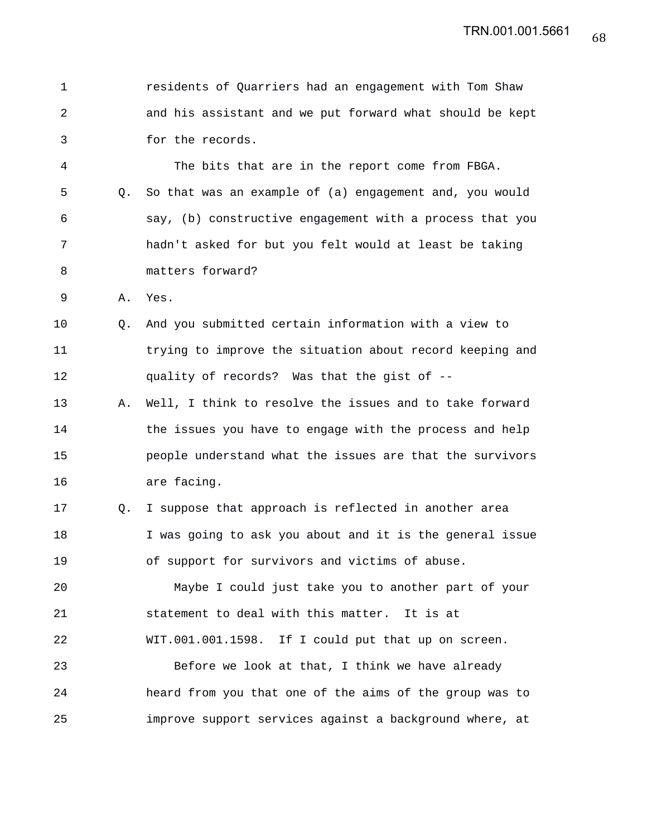| 1  |    | residents of Quarriers had an engagement with Tom Shaw   |
|----|----|----------------------------------------------------------|
| 2  |    | and his assistant and we put forward what should be kept |
| 3  |    | for the records.                                         |
| 4  |    | The bits that are in the report come from FBGA.          |
| 5  | O. | So that was an example of (a) engagement and, you would  |
| 6  |    | say, (b) constructive engagement with a process that you |
| 7  |    | hadn't asked for but you felt would at least be taking   |
| 8  |    | matters forward?                                         |
| 9  | Α. | Yes.                                                     |
| 10 | O. | And you submitted certain information with a view to     |
| 11 |    | trying to improve the situation about record keeping and |
| 12 |    | quality of records? Was that the gist of --              |
| 13 | Α. | Well, I think to resolve the issues and to take forward  |
| 14 |    | the issues you have to engage with the process and help  |
| 15 |    | people understand what the issues are that the survivors |
| 16 |    | are facing.                                              |
| 17 | Q. | I suppose that approach is reflected in another area     |
| 18 |    | I was going to ask you about and it is the general issue |
| 19 |    | of support for survivors and victims of abuse.           |
| 20 |    | Maybe I could just take you to another part of your      |
| 21 |    | statement to deal with this matter. It is at             |
| 22 |    | WIT.001.001.1598. If I could put that up on screen.      |
| 23 |    | Before we look at that, I think we have already          |
| 24 |    | heard from you that one of the aims of the group was to  |
| 25 |    | improve support services against a background where, at  |

68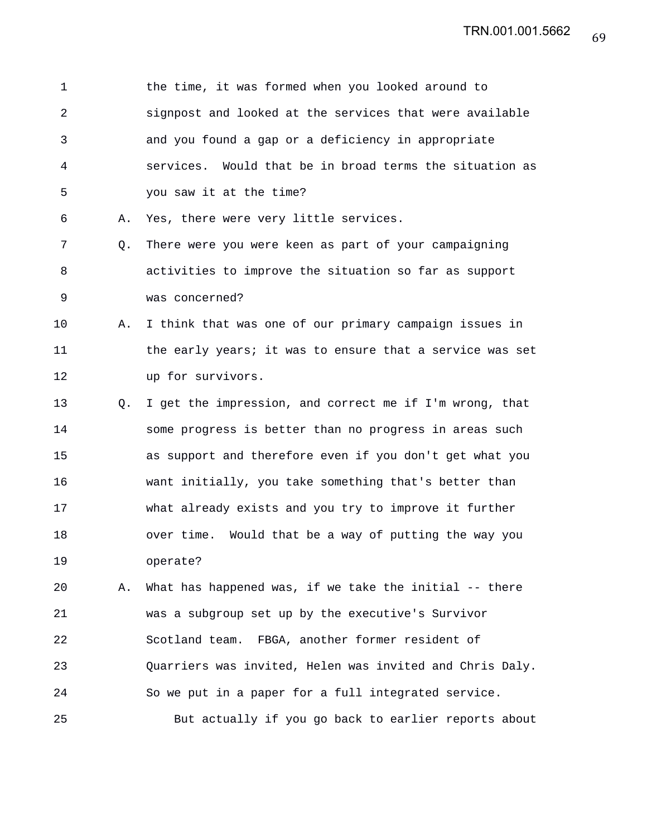| 1  |    | the time, it was formed when you looked around to        |
|----|----|----------------------------------------------------------|
| 2  |    | signpost and looked at the services that were available  |
| 3  |    | and you found a gap or a deficiency in appropriate       |
| 4  |    | services. Would that be in broad terms the situation as  |
| 5  |    | you saw it at the time?                                  |
| 6  | Α. | Yes, there were very little services.                    |
| 7  | Q. | There were you were keen as part of your campaigning     |
| 8  |    | activities to improve the situation so far as support    |
| 9  |    | was concerned?                                           |
| 10 | Α. | I think that was one of our primary campaign issues in   |
| 11 |    | the early years; it was to ensure that a service was set |
| 12 |    | up for survivors.                                        |
| 13 | Q. | I get the impression, and correct me if I'm wrong, that  |
| 14 |    | some progress is better than no progress in areas such   |
| 15 |    | as support and therefore even if you don't get what you  |
| 16 |    | want initially, you take something that's better than    |
| 17 |    | what already exists and you try to improve it further    |
| 18 |    | over time. Would that be a way of putting the way you    |
| 19 |    | operate?                                                 |
| 20 | Α. | What has happened was, if we take the initial -- there   |
| 21 |    | was a subgroup set up by the executive's Survivor        |
| 22 |    | Scotland team. FBGA, another former resident of          |
| 23 |    | Quarriers was invited, Helen was invited and Chris Daly. |
| 24 |    | So we put in a paper for a full integrated service.      |
| 25 |    | But actually if you go back to earlier reports about     |

69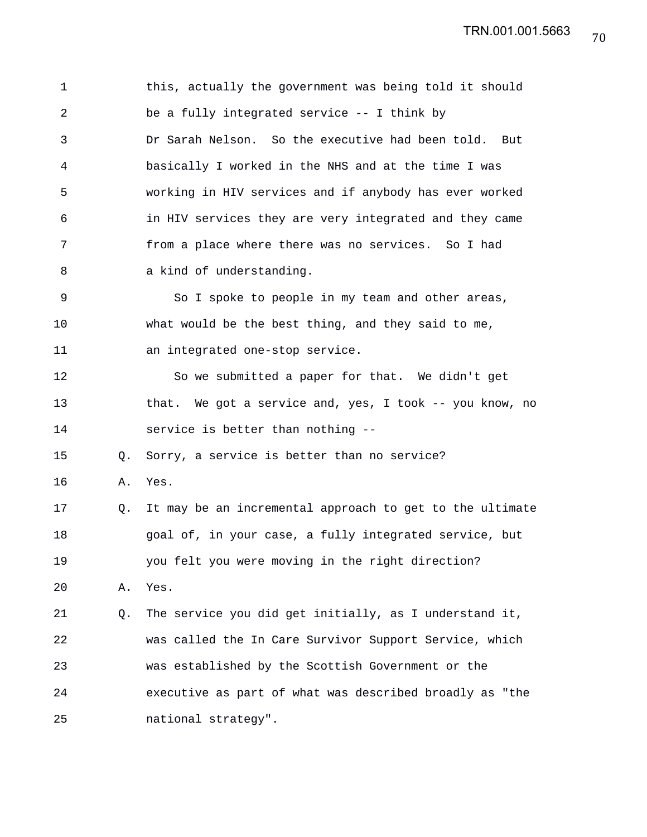1 this, actually the government was being told it should 2 be a fully integrated service -- I think by 3 Dr Sarah Nelson. So the executive had been told. But 4 basically I worked in the NHS and at the time I was 5 working in HIV services and if anybody has ever worked 6 in HIV services they are very integrated and they came 7 from a place where there was no services. So I had 8 a kind of understanding. 9 So I spoke to people in my team and other areas, 10 what would be the best thing, and they said to me, 11 an integrated one-stop service. 12 So we submitted a paper for that. We didn't get 13 that. We got a service and, yes, I took -- you know, no 14 service is better than nothing -- 15 Q. Sorry, a service is better than no service? 16 A. Yes. 17 Q. It may be an incremental approach to get to the ultimate 18 goal of, in your case, a fully integrated service, but 19 you felt you were moving in the right direction? 20 A. Yes. 21 Q. The service you did get initially, as I understand it, 22 was called the In Care Survivor Support Service, which 23 was established by the Scottish Government or the 24 executive as part of what was described broadly as "the 25 national strategy".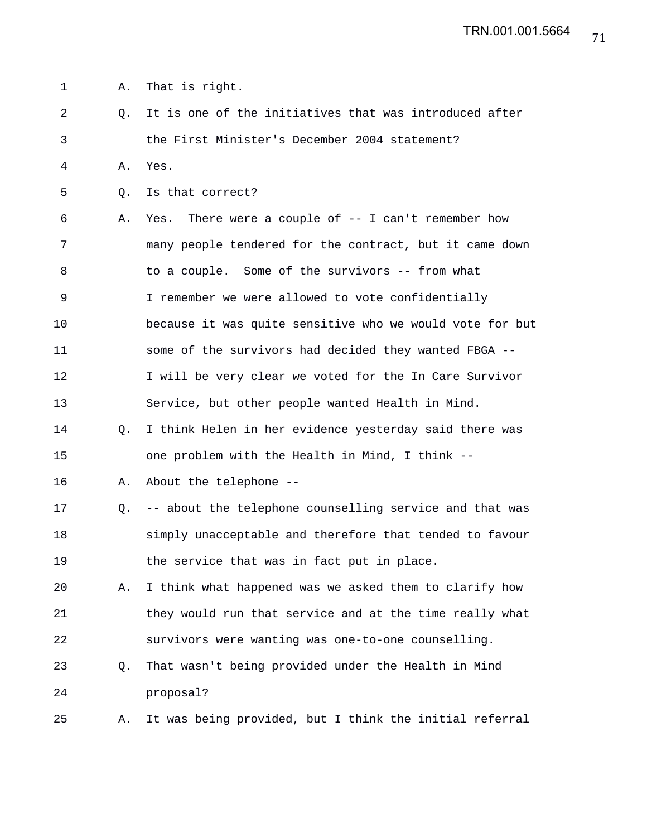1 A. That is right.

- 2 Q. It is one of the initiatives that was introduced after 3 the First Minister's December 2004 statement?
- 4 A. Yes.
- 5 0. Is that correct?

6 A. Yes. There were a couple of -- I can't remember how 7 many people tendered for the contract, but it came down 8 to a couple. Some of the survivors -- from what 9 I remember we were allowed to vote confidentially 10 because it was quite sensitive who we would vote for but 11 some of the survivors had decided they wanted FBGA -- 12 I will be very clear we voted for the In Care Survivor 13 Service, but other people wanted Health in Mind. 14 Q. I think Helen in her evidence yesterday said there was

- 15 one problem with the Health in Mind, I think --
- 16 A. About the telephone --
- 17 Q. -- about the telephone counselling service and that was 18 simply unacceptable and therefore that tended to favour 19 the service that was in fact put in place.
- 20 A. I think what happened was we asked them to clarify how 21 they would run that service and at the time really what 22 survivors were wanting was one-to-one counselling.
- 23 Q. That wasn't being provided under the Health in Mind 24 proposal?
- 25 A. It was being provided, but I think the initial referral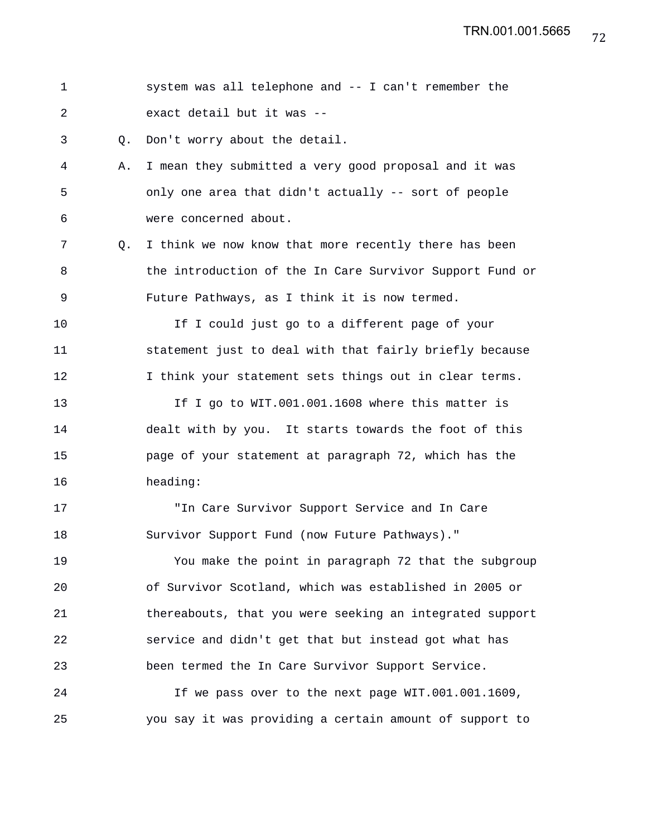|  |  | system was all telephone and -- I can't remember the |  |  |  |
|--|--|------------------------------------------------------|--|--|--|
|  |  | exact detail but it was --                           |  |  |  |

3 Q. Don't worry about the detail.

- 4 A. I mean they submitted a very good proposal and it was 5 only one area that didn't actually -- sort of people 6 were concerned about.
- 7 Q. I think we now know that more recently there has been 8 the introduction of the In Care Survivor Support Fund or 9 Future Pathways, as I think it is now termed.

10 If I could just go to a different page of your 11 statement just to deal with that fairly briefly because 12 I think your statement sets things out in clear terms.

13 If I go to WIT.001.001.1608 where this matter is 14 dealt with by you. It starts towards the foot of this 15 page of your statement at paragraph 72, which has the 16 heading:

17 "In Care Survivor Support Service and In Care 18 Survivor Support Fund (now Future Pathways)."

19 You make the point in paragraph 72 that the subgroup 20 of Survivor Scotland, which was established in 2005 or 21 thereabouts, that you were seeking an integrated support 22 service and didn't get that but instead got what has 23 been termed the In Care Survivor Support Service.

24 If we pass over to the next page WIT.001.001.1609, 25 you say it was providing a certain amount of support to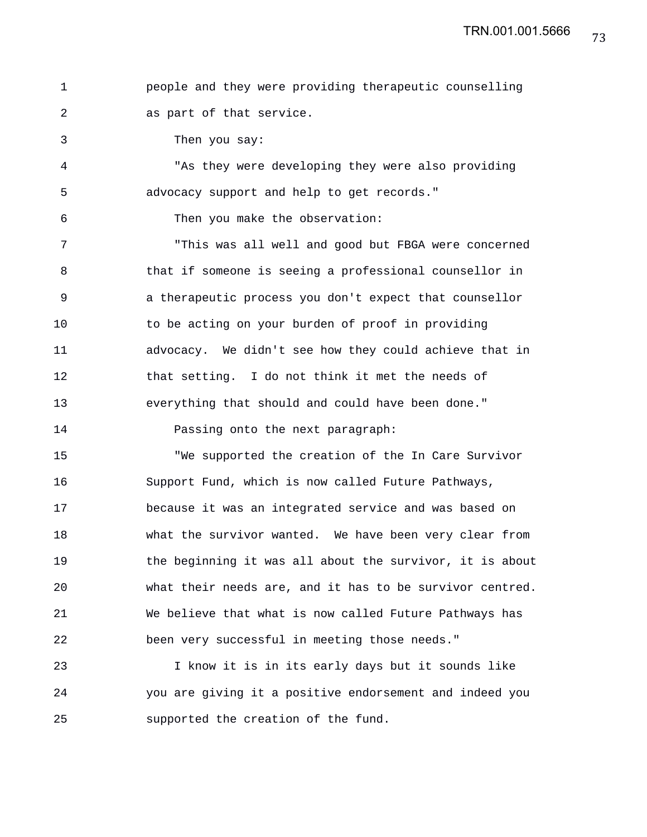|                          |  |  | people and they were providing therapeutic counselling |  |
|--------------------------|--|--|--------------------------------------------------------|--|
| as part of that service. |  |  |                                                        |  |

3 Then you say:

4 "As they were developing they were also providing 5 advocacy support and help to get records."

6 Then you make the observation:

7 "This was all well and good but FBGA were concerned 8 that if someone is seeing a professional counsellor in 9 a therapeutic process you don't expect that counsellor 10 to be acting on your burden of proof in providing 11 advocacy. We didn't see how they could achieve that in 12 that setting. I do not think it met the needs of 13 everything that should and could have been done."

14 **Passing onto the next paragraph:** 

15 "We supported the creation of the In Care Survivor 16 Support Fund, which is now called Future Pathways, 17 because it was an integrated service and was based on 18 what the survivor wanted. We have been very clear from 19 the beginning it was all about the survivor, it is about 20 what their needs are, and it has to be survivor centred. 21 We believe that what is now called Future Pathways has 22 been very successful in meeting those needs."

23 I know it is in its early days but it sounds like 24 you are giving it a positive endorsement and indeed you 25 supported the creation of the fund.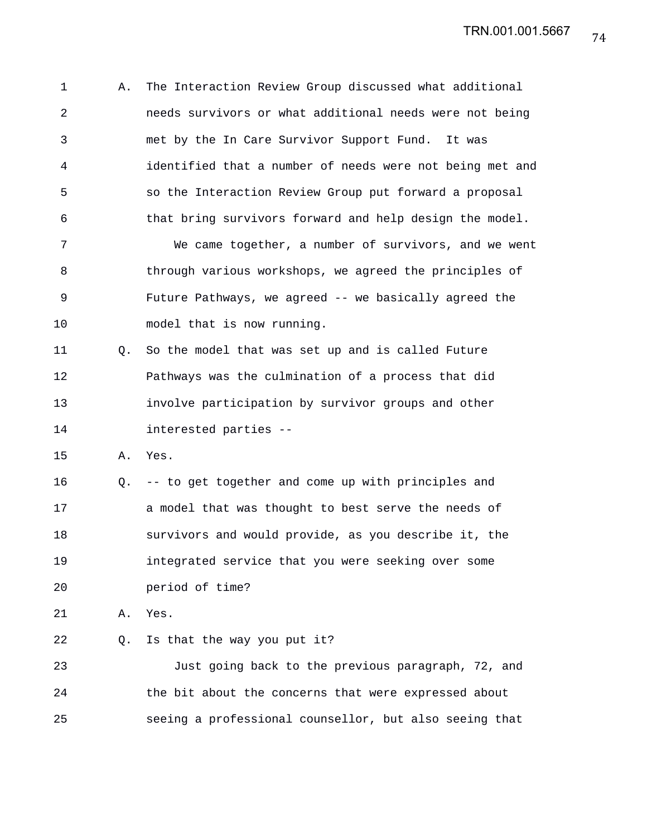1 A. The Interaction Review Group discussed what additional 2 needs survivors or what additional needs were not being 3 met by the In Care Survivor Support Fund. It was 4 identified that a number of needs were not being met and 5 so the Interaction Review Group put forward a proposal 6 that bring survivors forward and help design the model. 7 We came together, a number of survivors, and we went

8 through various workshops, we agreed the principles of 9 Future Pathways, we agreed -- we basically agreed the 10 model that is now running.

11 Q. So the model that was set up and is called Future 12 Pathways was the culmination of a process that did 13 involve participation by survivor groups and other 14 interested parties --

15 A. Yes.

16 Q. -- to get together and come up with principles and 17 a model that was thought to best serve the needs of 18 survivors and would provide, as you describe it, the 19 integrated service that you were seeking over some 20 period of time?

21 A. Yes.

22 Q. Is that the way you put it?

23 Just going back to the previous paragraph, 72, and 24 the bit about the concerns that were expressed about 25 seeing a professional counsellor, but also seeing that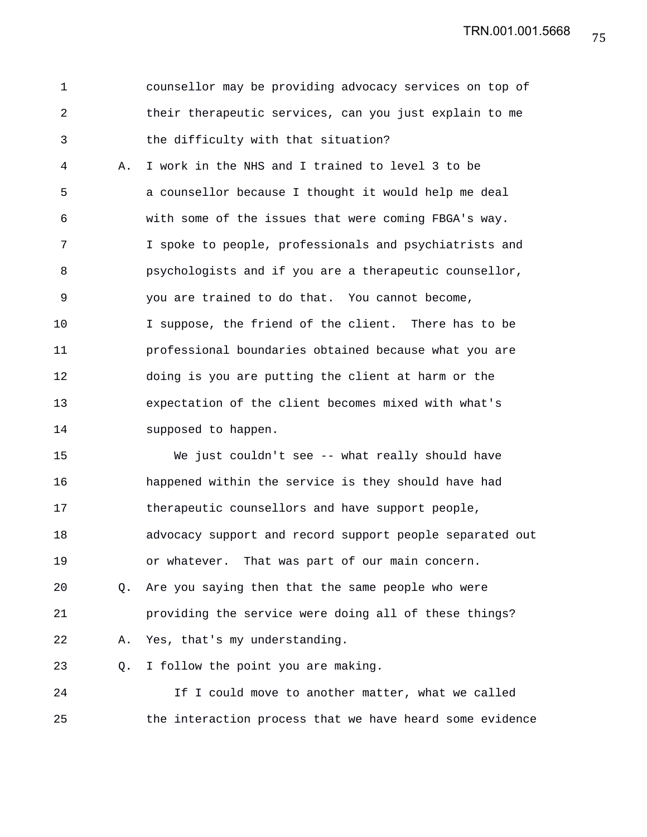75 TRN.001.001.5668

|      | counsellor may be providing advocacy services on top of |
|------|---------------------------------------------------------|
| - 2. | their therapeutic services, can you just explain to me  |
|      | the difficulty with that situation?                     |

4 A. I work in the NHS and I trained to level 3 to be 5 a counsellor because I thought it would help me deal 6 with some of the issues that were coming FBGA's way. 7 I spoke to people, professionals and psychiatrists and 8 psychologists and if you are a therapeutic counsellor, 9 you are trained to do that. You cannot become, 10 I suppose, the friend of the client. There has to be 11 professional boundaries obtained because what you are 12 doing is you are putting the client at harm or the 13 expectation of the client becomes mixed with what's 14 supposed to happen.

15 We just couldn't see -- what really should have 16 happened within the service is they should have had 17 therapeutic counsellors and have support people, 18 advocacy support and record support people separated out 19 or whatever. That was part of our main concern. 20 Q. Are you saying then that the same people who were

21 providing the service were doing all of these things? 22 A. Yes, that's my understanding.

23 Q. I follow the point you are making.

24 If I could move to another matter, what we called 25 the interaction process that we have heard some evidence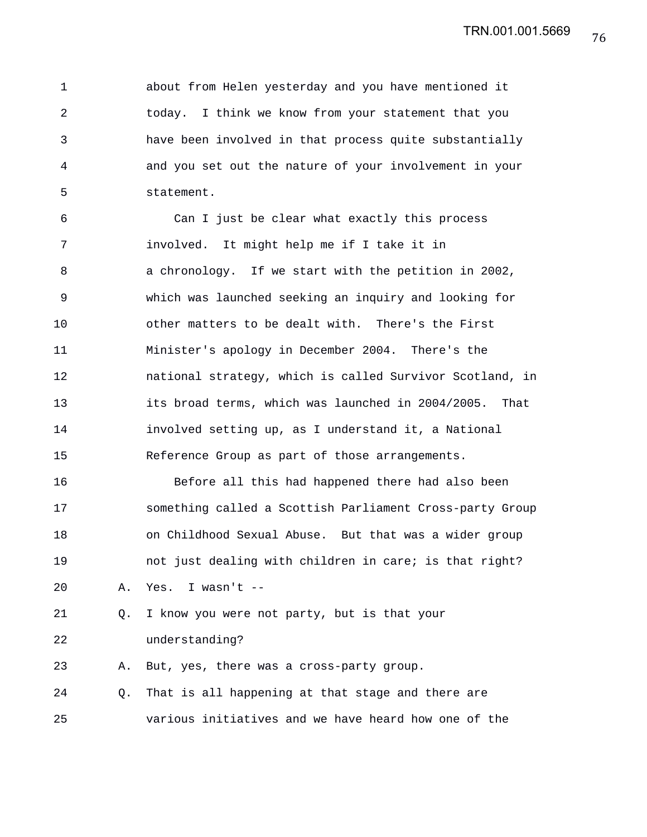1 about from Helen yesterday and you have mentioned it 2 today. I think we know from your statement that you 3 have been involved in that process quite substantially 4 and you set out the nature of your involvement in your 5 statement.

6 Can I just be clear what exactly this process 7 involved. It might help me if I take it in 8 a chronology. If we start with the petition in 2002, 9 which was launched seeking an inquiry and looking for 10 other matters to be dealt with. There's the First 11 Minister's apology in December 2004. There's the 12 national strategy, which is called Survivor Scotland, in 13 its broad terms, which was launched in 2004/2005. That 14 involved setting up, as I understand it, a National 15 Reference Group as part of those arrangements.

16 Before all this had happened there had also been 17 something called a Scottish Parliament Cross-party Group 18 on Childhood Sexual Abuse. But that was a wider group 19 not just dealing with children in care; is that right? 20 A. Yes. I wasn't --

21 Q. I know you were not party, but is that your 22 understanding?

23 A. But, yes, there was a cross-party group.

24 Q. That is all happening at that stage and there are 25 various initiatives and we have heard how one of the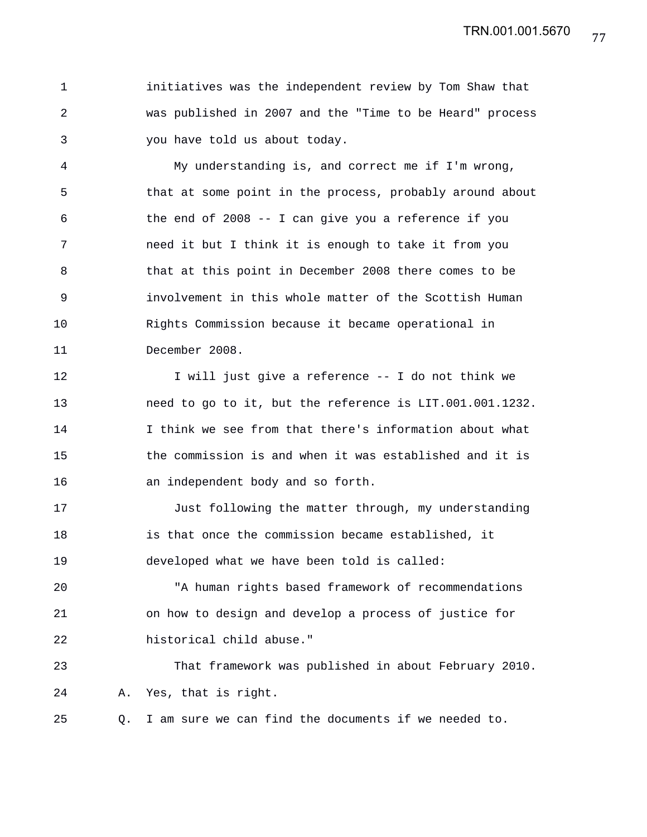77 TRN.001.001.5670

1 initiatives was the independent review by Tom Shaw that 2 was published in 2007 and the "Time to be Heard" process 3 you have told us about today.

4 My understanding is, and correct me if I'm wrong, 5 that at some point in the process, probably around about 6 the end of 2008 -- I can give you a reference if you 7 need it but I think it is enough to take it from you 8 that at this point in December 2008 there comes to be 9 involvement in this whole matter of the Scottish Human 10 Rights Commission because it became operational in 11 December 2008.

12 I will just give a reference -- I do not think we 13 need to go to it, but the reference is LIT.001.001.1232. 14 I think we see from that there's information about what 15 the commission is and when it was established and it is 16 an independent body and so forth.

17 Just following the matter through, my understanding 18 is that once the commission became established, it 19 developed what we have been told is called:

20 "A human rights based framework of recommendations 21 on how to design and develop a process of justice for 22 historical child abuse."

23 That framework was published in about February 2010. 24 A. Yes, that is right.

25 Q. I am sure we can find the documents if we needed to.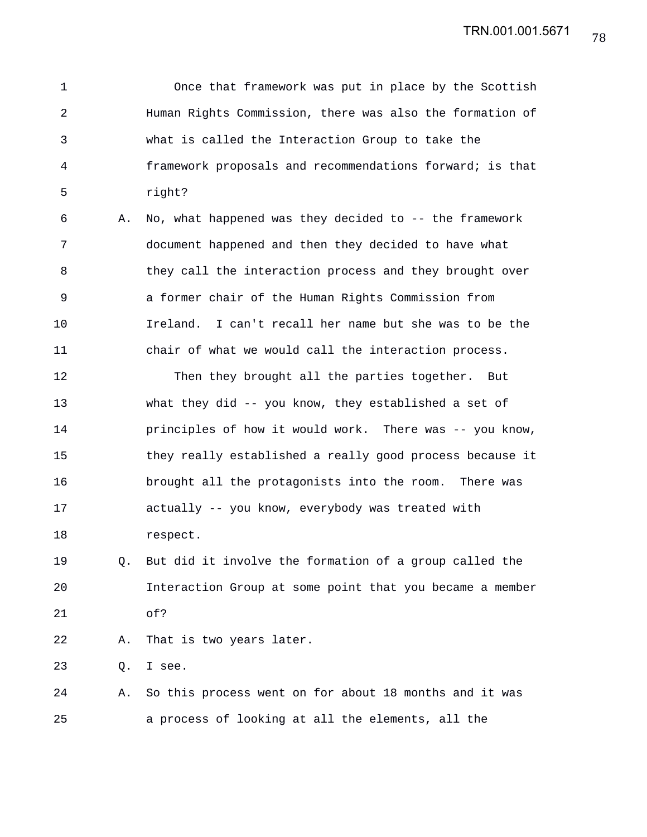1 Once that framework was put in place by the Scottish 2 Human Rights Commission, there was also the formation of 3 what is called the Interaction Group to take the 4 framework proposals and recommendations forward; is that 5 right?

6 A. No, what happened was they decided to -- the framework 7 document happened and then they decided to have what 8 they call the interaction process and they brought over 9 a former chair of the Human Rights Commission from 10 Ireland. I can't recall her name but she was to be the 11 chair of what we would call the interaction process.

12 Then they brought all the parties together. But 13 what they did -- you know, they established a set of 14 principles of how it would work. There was -- you know, 15 they really established a really good process because it 16 brought all the protagonists into the room. There was 17 actually -- you know, everybody was treated with 18 respect.

19 Q. But did it involve the formation of a group called the 20 Interaction Group at some point that you became a member 21 of?

22 A. That is two years later.

23 Q. I see.

24 A. So this process went on for about 18 months and it was 25 a process of looking at all the elements, all the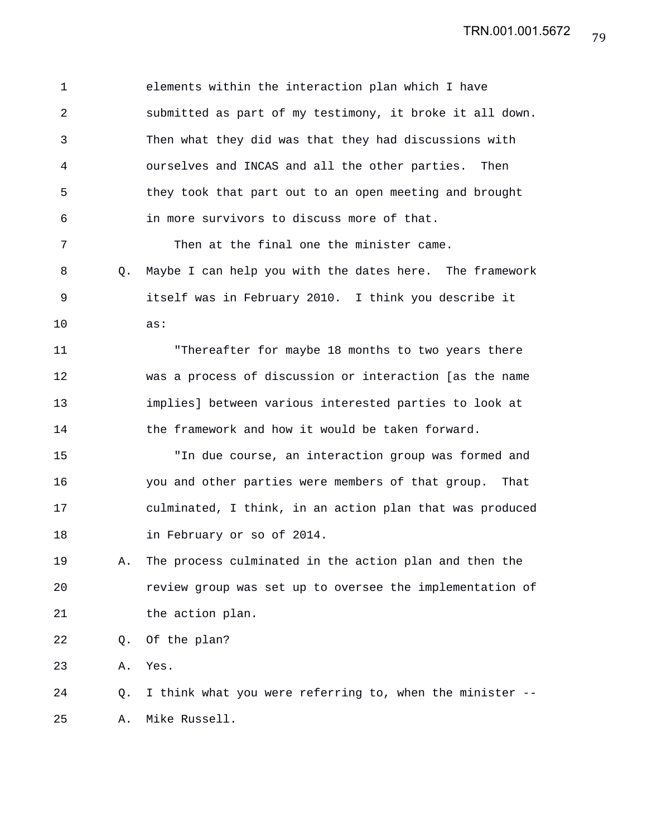1 elements within the interaction plan which I have 2 submitted as part of my testimony, it broke it all down. 3 Then what they did was that they had discussions with 4 ourselves and INCAS and all the other parties. Then 5 they took that part out to an open meeting and brought 6 in more survivors to discuss more of that. 7 Then at the final one the minister came. 8 Q. Maybe I can help you with the dates here. The framework 9 itself was in February 2010. I think you describe it 10 as: 11 "Thereafter for maybe 18 months to two years there 12 was a process of discussion or interaction [as the name 13 implies] between various interested parties to look at 14 the framework and how it would be taken forward. 15 "In due course, an interaction group was formed and 16 you and other parties were members of that group. That 17 culminated, I think, in an action plan that was produced 18 in February or so of 2014. 19 A. The process culminated in the action plan and then the 20 review group was set up to oversee the implementation of 21 the action plan. 22 Q. Of the plan? 23 A. Yes. 24 Q. I think what you were referring to, when the minister -- 25 A. Mike Russell.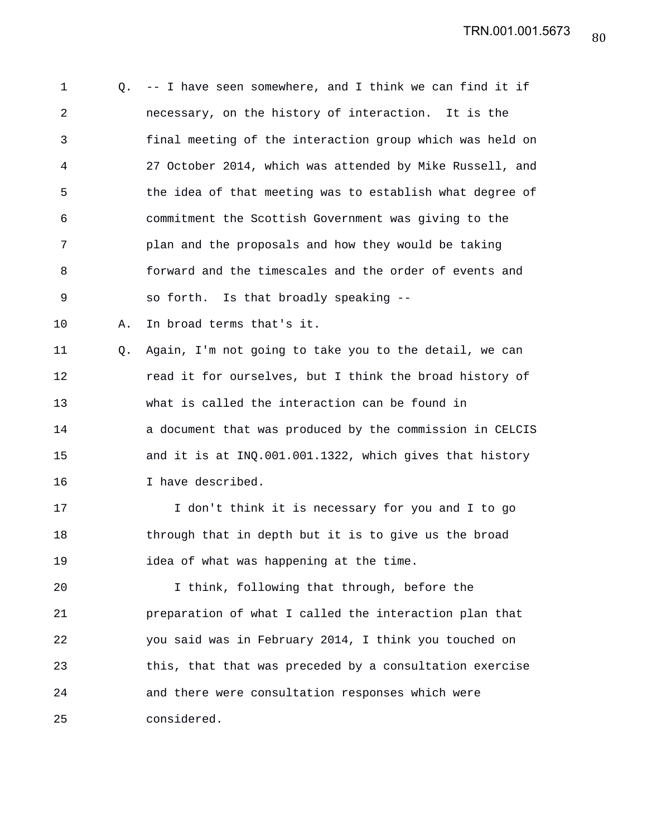1 Q. -- I have seen somewhere, and I think we can find it if 2 necessary, on the history of interaction. It is the 3 final meeting of the interaction group which was held on 4 27 October 2014, which was attended by Mike Russell, and 5 the idea of that meeting was to establish what degree of 6 commitment the Scottish Government was giving to the 7 plan and the proposals and how they would be taking 8 forward and the timescales and the order of events and 9 so forth. Is that broadly speaking -- 10 A. In broad terms that's it. 11 Q. Again, I'm not going to take you to the detail, we can 12 **12** read it for ourselves, but I think the broad history of 13 what is called the interaction can be found in 14 a document that was produced by the commission in CELCIS 15 and it is at INQ.001.001.1322, which gives that history 16 I have described. 17 I don't think it is necessary for you and I to go 18 through that in depth but it is to give us the broad 19 idea of what was happening at the time. 20 I think, following that through, before the 21 preparation of what I called the interaction plan that 22 you said was in February 2014, I think you touched on 23 this, that that was preceded by a consultation exercise 24 and there were consultation responses which were 25 considered.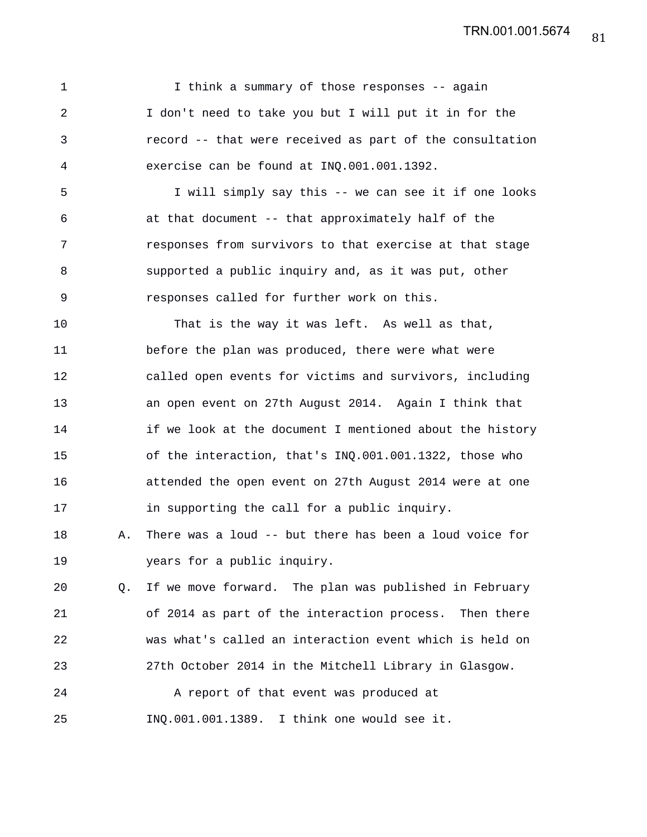1 I think a summary of those responses -- again 2 I don't need to take you but I will put it in for the 3 record -- that were received as part of the consultation 4 exercise can be found at INQ.001.001.1392.

5 I will simply say this -- we can see it if one looks 6 at that document -- that approximately half of the 7 responses from survivors to that exercise at that stage 8 supported a public inquiry and, as it was put, other 9 responses called for further work on this.

10 That is the way it was left. As well as that, 11 before the plan was produced, there were what were 12 called open events for victims and survivors, including 13 an open event on 27th August 2014. Again I think that 14 if we look at the document I mentioned about the history 15 of the interaction, that's INQ.001.001.1322, those who 16 attended the open event on 27th August 2014 were at one 17 in supporting the call for a public inquiry.

18 A. There was a loud -- but there has been a loud voice for 19 years for a public inquiry.

20 Q. If we move forward. The plan was published in February 21 of 2014 as part of the interaction process. Then there 22 was what's called an interaction event which is held on 23 27th October 2014 in the Mitchell Library in Glasgow.

24 A report of that event was produced at 25 INQ.001.001.1389. I think one would see it.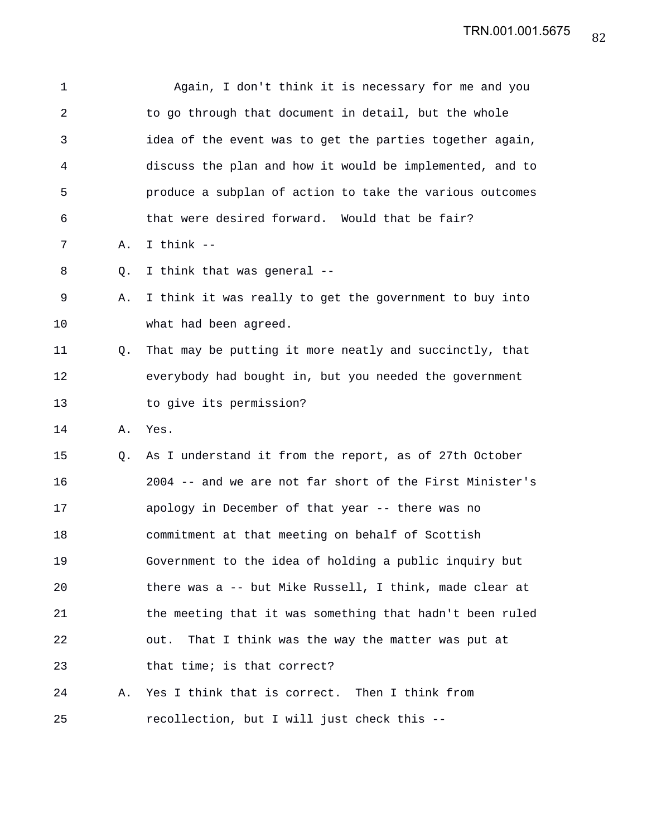| 1  |    | Again, I don't think it is necessary for me and you      |
|----|----|----------------------------------------------------------|
| 2  |    | to go through that document in detail, but the whole     |
| 3  |    | idea of the event was to get the parties together again, |
| 4  |    | discuss the plan and how it would be implemented, and to |
| 5  |    | produce a subplan of action to take the various outcomes |
| 6  |    | that were desired forward. Would that be fair?           |
| 7  | Α. | I think --                                               |
| 8  | O. | I think that was general --                              |
| 9  | Α. | I think it was really to get the government to buy into  |
| 10 |    | what had been agreed.                                    |
| 11 | Q. | That may be putting it more neatly and succinctly, that  |
| 12 |    | everybody had bought in, but you needed the government   |
| 13 |    | to give its permission?                                  |
| 14 | Α. | Yes.                                                     |
| 15 | Q. | As I understand it from the report, as of 27th October   |
| 16 |    | 2004 -- and we are not far short of the First Minister's |
| 17 |    | apology in December of that year -- there was no         |
| 18 |    | commitment at that meeting on behalf of Scottish         |
| 19 |    | Government to the idea of holding a public inquiry but   |
| 20 |    | there was a -- but Mike Russell, I think, made clear at  |
| 21 |    | the meeting that it was something that hadn't been ruled |
| 22 |    | That I think was the way the matter was put at<br>out.   |
| 23 |    | that time; is that correct?                              |
| 24 | Α. | Yes I think that is correct. Then I think from           |
| 25 |    | recollection, but I will just check this --              |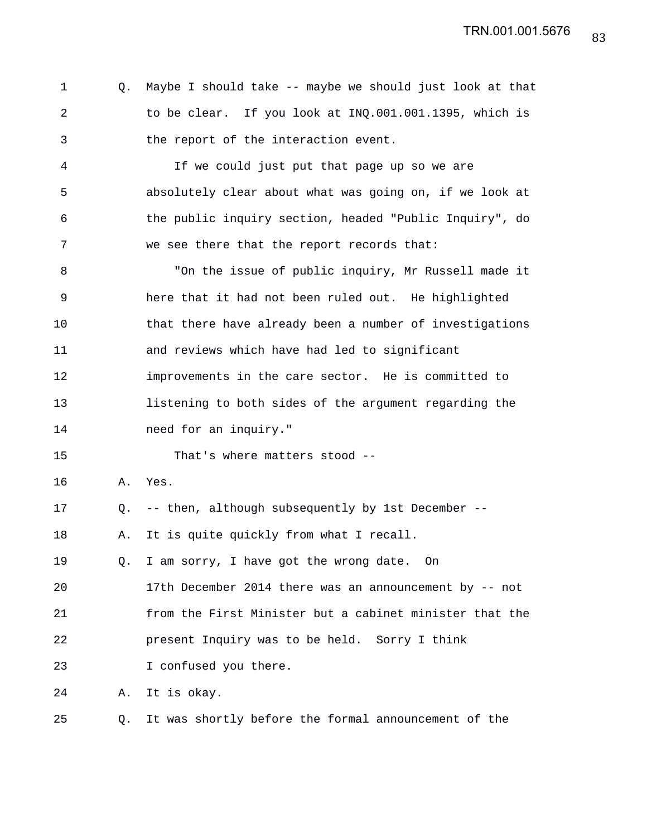|   | Q. Maybe I should take -- maybe we should just look at that |
|---|-------------------------------------------------------------|
| 2 | to be clear. If you look at INO.001.001.1395, which is      |
| 3 | the report of the interaction event.                        |

4 If we could just put that page up so we are 5 absolutely clear about what was going on, if we look at 6 the public inquiry section, headed "Public Inquiry", do 7 we see there that the report records that:

8 "On the issue of public inquiry, Mr Russell made it 9 here that it had not been ruled out. He highlighted 10 that there have already been a number of investigations 11 and reviews which have had led to significant 12 improvements in the care sector. He is committed to 13 listening to both sides of the argument regarding the 14 need for an inquiry."

15 That's where matters stood --

- 16 A. Yes.
- 17 Q. -- then, although subsequently by 1st December --

18 A. It is quite quickly from what I recall.

19 Q. I am sorry, I have got the wrong date. On

20 17th December 2014 there was an announcement by -- not 21 from the First Minister but a cabinet minister that the 22 present Inquiry was to be held. Sorry I think

23 I confused you there.

24 A. It is okay.

25 Q. It was shortly before the formal announcement of the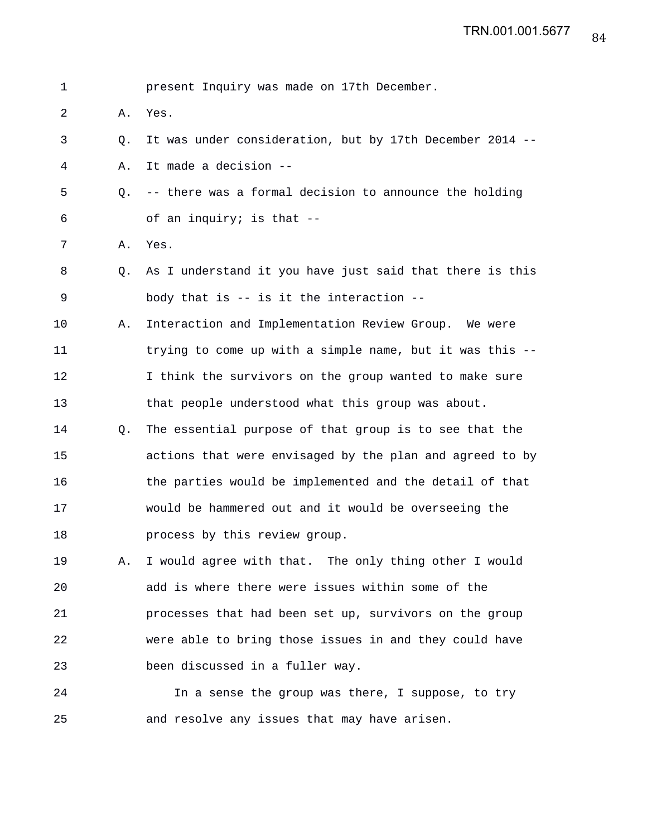| 1  |    | present Inquiry was made on 17th December.               |
|----|----|----------------------------------------------------------|
| 2  | Α. | Yes.                                                     |
| 3  | Q. | It was under consideration, but by 17th December 2014 -- |
| 4  | Α. | It made a decision --                                    |
| 5  | О. | -- there was a formal decision to announce the holding   |
| 6  |    | of an inquiry; is that --                                |
| 7  | Α. | Yes.                                                     |
| 8  | Q. | As I understand it you have just said that there is this |
| 9  |    | body that is -- is it the interaction --                 |
| 10 | Α. | Interaction and Implementation Review Group. We were     |
| 11 |    | trying to come up with a simple name, but it was this -- |
| 12 |    | I think the survivors on the group wanted to make sure   |
| 13 |    | that people understood what this group was about.        |
| 14 | Q. | The essential purpose of that group is to see that the   |
| 15 |    | actions that were envisaged by the plan and agreed to by |
| 16 |    | the parties would be implemented and the detail of that  |
| 17 |    | would be hammered out and it would be overseeing the     |
| 18 |    | process by this review group.                            |
| 19 | Α. | I would agree with that. The only thing other I would    |
| 20 |    | add is where there were issues within some of the        |
| 21 |    | processes that had been set up, survivors on the group   |
| 22 |    | were able to bring those issues in and they could have   |
| 23 |    | been discussed in a fuller way.                          |
| 24 |    | In a sense the group was there, I suppose, to try        |
| 25 |    | and resolve any issues that may have arisen.             |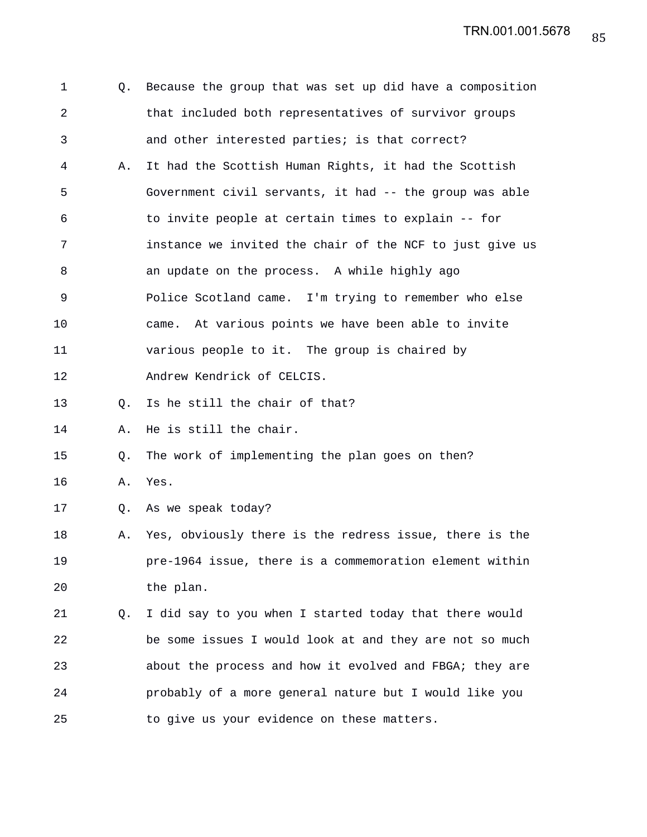| 1              | Q. | Because the group that was set up did have a composition |
|----------------|----|----------------------------------------------------------|
| $\overline{a}$ |    | that included both representatives of survivor groups    |
| 3              |    | and other interested parties; is that correct?           |
| 4              | Α. | It had the Scottish Human Rights, it had the Scottish    |
| 5              |    | Government civil servants, it had -- the group was able  |
| 6              |    | to invite people at certain times to explain -- for      |
| 7              |    | instance we invited the chair of the NCF to just give us |
| 8              |    | an update on the process. A while highly ago             |
| 9              |    | Police Scotland came. I'm trying to remember who else    |
| 10             |    | came. At various points we have been able to invite      |
| 11             |    | various people to it. The group is chaired by            |
| 12             |    | Andrew Kendrick of CELCIS.                               |
| 13             | Q. | Is he still the chair of that?                           |
| 14             | Α. | He is still the chair.                                   |
| 15             | Q. | The work of implementing the plan goes on then?          |
| 16             | Α. | Yes.                                                     |
| 17             |    | Q. As we speak today?                                    |
| 18             | Α. | Yes, obviously there is the redress issue, there is the  |
| 19             |    | pre-1964 issue, there is a commemoration element within  |
| 20             |    | the plan.                                                |
| 21             | Q. | I did say to you when I started today that there would   |
| 22             |    | be some issues I would look at and they are not so much  |
| 23             |    | about the process and how it evolved and FBGA; they are  |
| 24             |    | probably of a more general nature but I would like you   |
| 25             |    | to give us your evidence on these matters.               |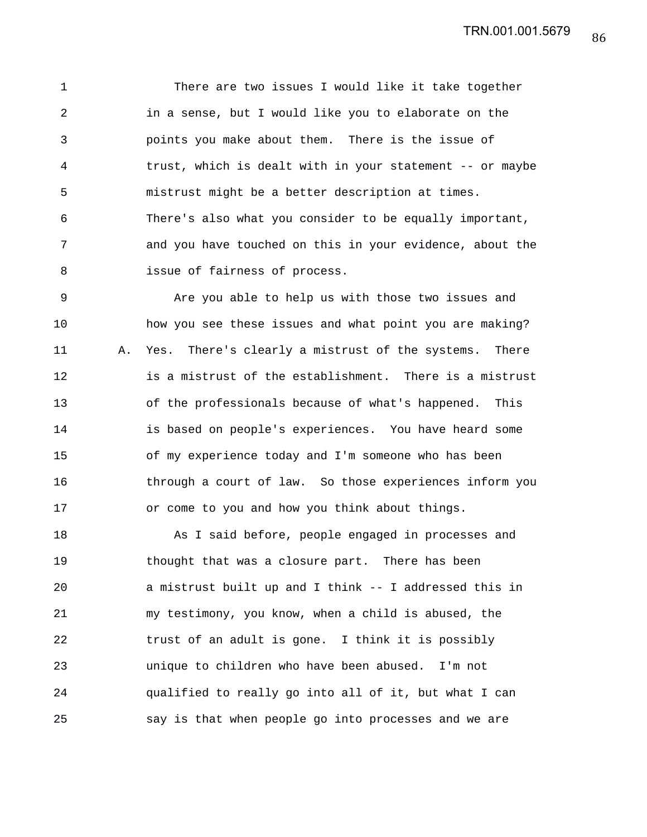1 There are two issues I would like it take together 2 in a sense, but I would like you to elaborate on the 3 points you make about them. There is the issue of 4 trust, which is dealt with in your statement -- or maybe 5 mistrust might be a better description at times. 6 There's also what you consider to be equally important, 7 and you have touched on this in your evidence, about the 8 issue of fairness of process.

9 Are you able to help us with those two issues and 10 how you see these issues and what point you are making? 11 A. Yes. There's clearly a mistrust of the systems. There 12 is a mistrust of the establishment. There is a mistrust 13 of the professionals because of what's happened. This 14 is based on people's experiences. You have heard some 15 of my experience today and I'm someone who has been 16 through a court of law. So those experiences inform you 17 or come to you and how you think about things.

18 As I said before, people engaged in processes and 19 thought that was a closure part. There has been 20 a mistrust built up and I think -- I addressed this in 21 my testimony, you know, when a child is abused, the 22 trust of an adult is gone. I think it is possibly 23 unique to children who have been abused. I'm not 24 qualified to really go into all of it, but what I can 25 say is that when people go into processes and we are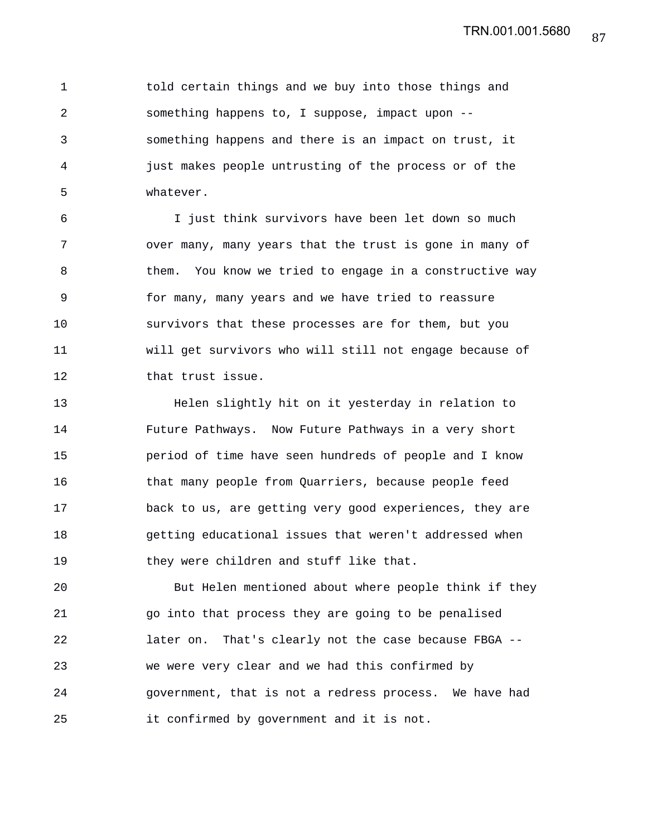1 told certain things and we buy into those things and 2 something happens to, I suppose, impact upon -- 3 something happens and there is an impact on trust, it 4 just makes people untrusting of the process or of the 5 whatever.

6 I just think survivors have been let down so much 7 over many, many years that the trust is gone in many of 8 them. You know we tried to engage in a constructive way 9 for many, many years and we have tried to reassure 10 survivors that these processes are for them, but you 11 will get survivors who will still not engage because of 12 that trust issue.

13 Helen slightly hit on it yesterday in relation to 14 Future Pathways. Now Future Pathways in a very short 15 period of time have seen hundreds of people and I know 16 that many people from Quarriers, because people feed 17 back to us, are getting very good experiences, they are 18 getting educational issues that weren't addressed when 19 they were children and stuff like that.

20 But Helen mentioned about where people think if they 21 go into that process they are going to be penalised 22 later on. That's clearly not the case because FBGA -- 23 we were very clear and we had this confirmed by 24 government, that is not a redress process. We have had 25 it confirmed by government and it is not.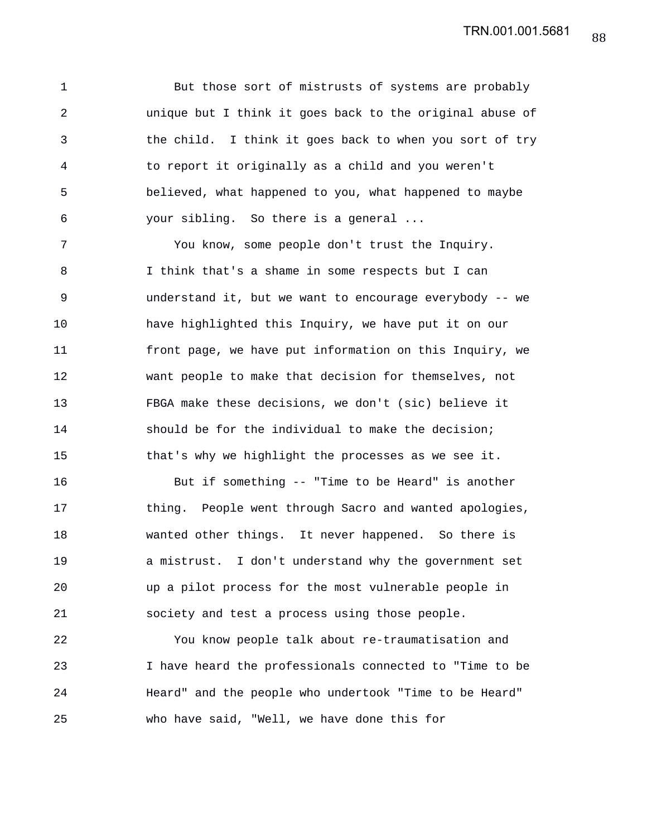1 But those sort of mistrusts of systems are probably 2 unique but I think it goes back to the original abuse of 3 the child. I think it goes back to when you sort of try 4 to report it originally as a child and you weren't 5 believed, what happened to you, what happened to maybe 6 your sibling. So there is a general ...

7 You know, some people don't trust the Inquiry. 8 I think that's a shame in some respects but I can 9 understand it, but we want to encourage everybody -- we 10 have highlighted this Inquiry, we have put it on our 11 front page, we have put information on this Inquiry, we 12 want people to make that decision for themselves, not 13 FBGA make these decisions, we don't (sic) believe it 14 should be for the individual to make the decision; 15 that's why we highlight the processes as we see it.

16 But if something -- "Time to be Heard" is another 17 thing. People went through Sacro and wanted apologies, 18 wanted other things. It never happened. So there is 19 a mistrust. I don't understand why the government set 20 up a pilot process for the most vulnerable people in 21 society and test a process using those people.

22 You know people talk about re-traumatisation and 23 I have heard the professionals connected to "Time to be 24 Heard" and the people who undertook "Time to be Heard" 25 who have said, "Well, we have done this for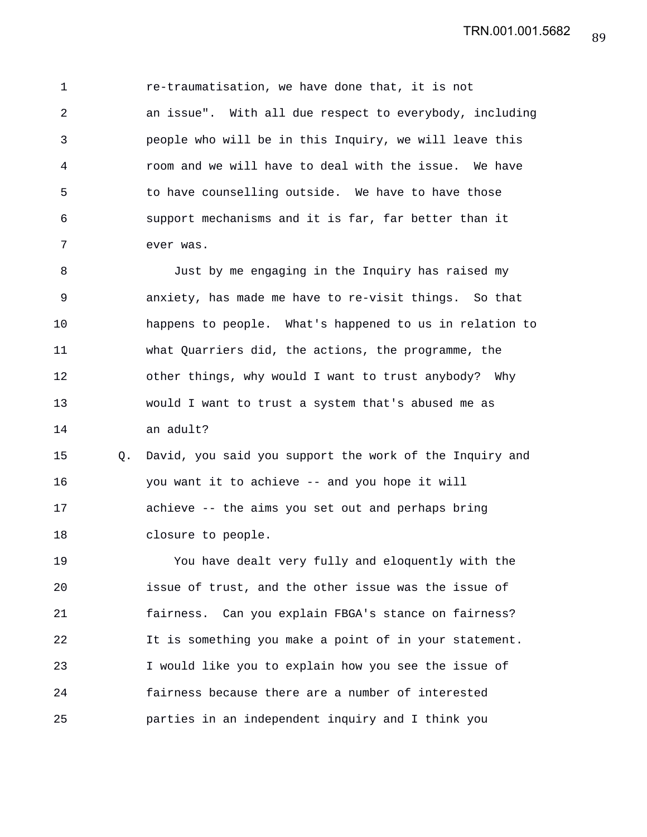1 re-traumatisation, we have done that, it is not 2 an issue". With all due respect to everybody, including 3 people who will be in this Inquiry, we will leave this 4 room and we will have to deal with the issue. We have 5 to have counselling outside. We have to have those 6 support mechanisms and it is far, far better than it 7 ever was.

8 Just by me engaging in the Inquiry has raised my 9 anxiety, has made me have to re-visit things. So that 10 happens to people. What's happened to us in relation to 11 what Quarriers did, the actions, the programme, the 12 other things, why would I want to trust anybody? Why 13 would I want to trust a system that's abused me as 14 an adult?

15 Q. David, you said you support the work of the Inquiry and 16 you want it to achieve -- and you hope it will 17 achieve -- the aims you set out and perhaps bring 18 closure to people.

19 You have dealt very fully and eloquently with the 20 issue of trust, and the other issue was the issue of 21 fairness. Can you explain FBGA's stance on fairness? 22 It is something you make a point of in your statement. 23 I would like you to explain how you see the issue of 24 fairness because there are a number of interested 25 parties in an independent inquiry and I think you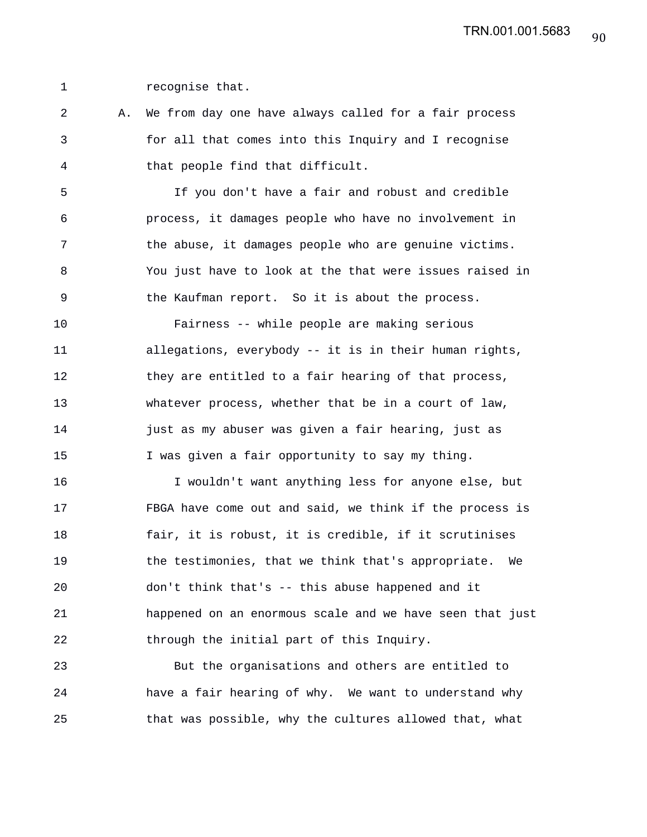1 recognise that.

2 A. We from day one have always called for a fair process 3 for all that comes into this Inquiry and I recognise 4 that people find that difficult.

5 If you don't have a fair and robust and credible 6 process, it damages people who have no involvement in 7 the abuse, it damages people who are genuine victims. 8 You just have to look at the that were issues raised in 9 the Kaufman report. So it is about the process.

10 Fairness -- while people are making serious 11 allegations, everybody -- it is in their human rights, 12 they are entitled to a fair hearing of that process, 13 whatever process, whether that be in a court of law, 14 just as my abuser was given a fair hearing, just as 15 I was given a fair opportunity to say my thing.

16 I wouldn't want anything less for anyone else, but 17 FBGA have come out and said, we think if the process is 18 fair, it is robust, it is credible, if it scrutinises 19 the testimonies, that we think that's appropriate. We 20 don't think that's -- this abuse happened and it 21 happened on an enormous scale and we have seen that just 22 through the initial part of this Inquiry.

23 But the organisations and others are entitled to 24 have a fair hearing of why. We want to understand why 25 that was possible, why the cultures allowed that, what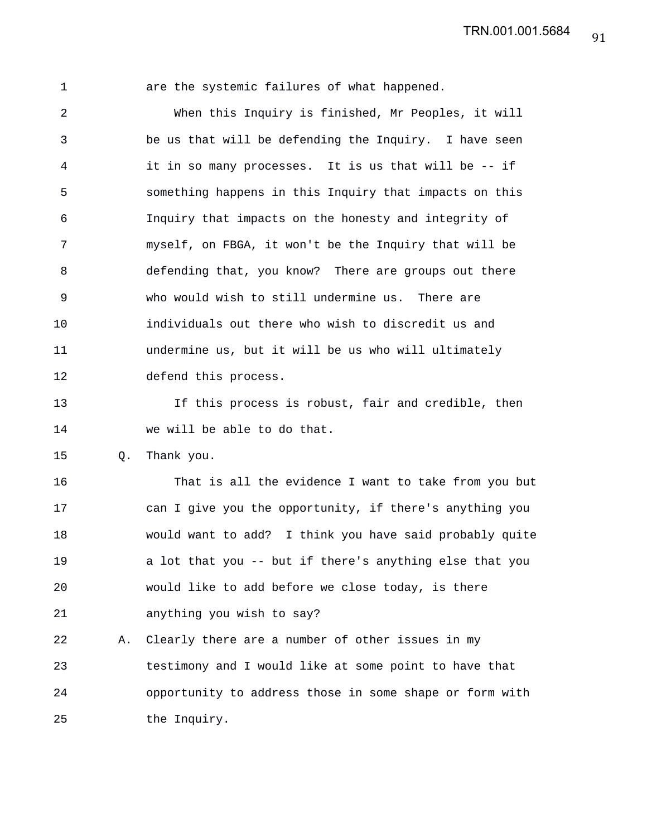1 are the systemic failures of what happened. 2 When this Inquiry is finished, Mr Peoples, it will 3 be us that will be defending the Inquiry. I have seen 4 it in so many processes. It is us that will be -- if 5 something happens in this Inquiry that impacts on this 6 Inquiry that impacts on the honesty and integrity of 7 myself, on FBGA, it won't be the Inquiry that will be 8 defending that, you know? There are groups out there 9 who would wish to still undermine us. There are 10 individuals out there who wish to discredit us and 11 undermine us, but it will be us who will ultimately 12 defend this process. 13 If this process is robust, fair and credible, then 14 we will be able to do that. 15 Q. Thank you. 16 That is all the evidence I want to take from you but 17 can I give you the opportunity, if there's anything you 18 would want to add? I think you have said probably quite

19 a lot that you -- but if there's anything else that you 20 would like to add before we close today, is there 21 anything you wish to say?

22 A. Clearly there are a number of other issues in my 23 testimony and I would like at some point to have that 24 opportunity to address those in some shape or form with 25 the Inquiry.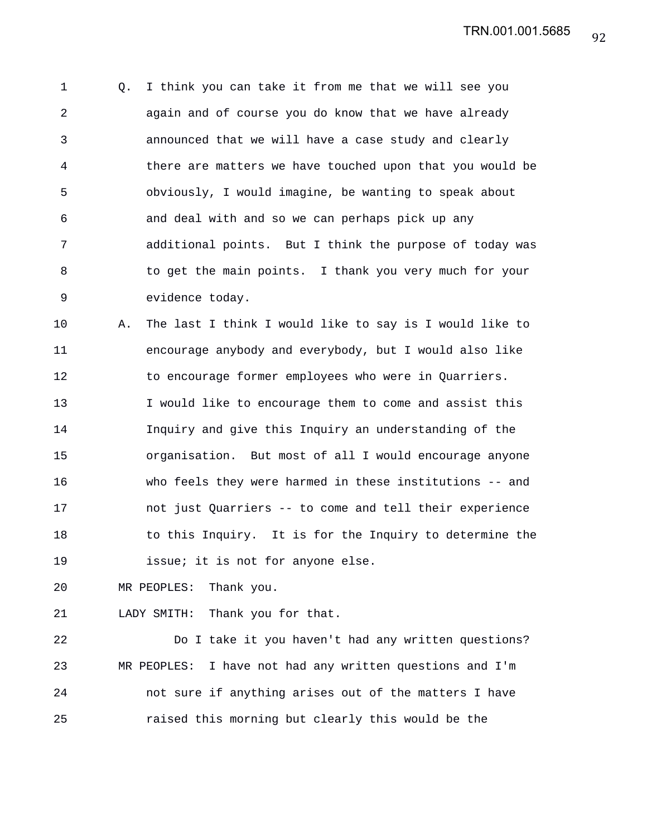1 Q. I think you can take it from me that we will see you 2 again and of course you do know that we have already 3 announced that we will have a case study and clearly 4 there are matters we have touched upon that you would be 5 obviously, I would imagine, be wanting to speak about 6 and deal with and so we can perhaps pick up any 7 additional points. But I think the purpose of today was 8 to get the main points. I thank you very much for your 9 evidence today.

10 A. The last I think I would like to say is I would like to 11 encourage anybody and everybody, but I would also like 12 to encourage former employees who were in Quarriers. 13 I would like to encourage them to come and assist this 14 Inquiry and give this Inquiry an understanding of the 15 organisation. But most of all I would encourage anyone 16 who feels they were harmed in these institutions -- and 17 not just Quarriers -- to come and tell their experience 18 to this Inquiry. It is for the Inquiry to determine the 19 **issue;** it is not for anyone else.

20 MR PEOPLES: Thank you.

21 LADY SMITH: Thank you for that.

22 Do I take it you haven't had any written questions? 23 MR PEOPLES: I have not had any written questions and I'm 24 not sure if anything arises out of the matters I have 25 raised this morning but clearly this would be the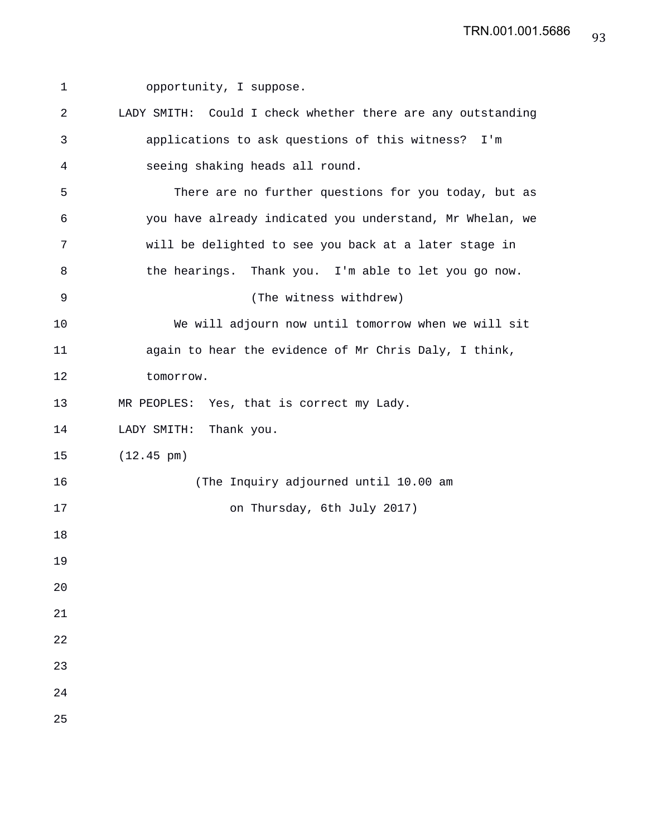| 1  | opportunity, I suppose.                                     |
|----|-------------------------------------------------------------|
| 2  | LADY SMITH: Could I check whether there are any outstanding |
| 3  | applications to ask questions of this witness? I'm          |
| 4  | seeing shaking heads all round.                             |
| 5  | There are no further questions for you today, but as        |
| 6  | you have already indicated you understand, Mr Whelan, we    |
| 7  | will be delighted to see you back at a later stage in       |
| 8  | the hearings. Thank you. I'm able to let you go now.        |
| 9  | (The witness withdrew)                                      |
| 10 | We will adjourn now until tomorrow when we will sit         |
| 11 | again to hear the evidence of Mr Chris Daly, I think,       |
| 12 | tomorrow.                                                   |
| 13 | MR PEOPLES: Yes, that is correct my Lady.                   |
| 14 | LADY SMITH: Thank you.                                      |
| 15 | $(12.45 \text{ pm})$                                        |
| 16 | (The Inquiry adjourned until 10.00 am                       |
| 17 | on Thursday, 6th July 2017)                                 |
| 18 |                                                             |
| 19 |                                                             |
| 20 |                                                             |
| 21 |                                                             |
| 22 |                                                             |
| 23 |                                                             |
| 24 |                                                             |
| 25 |                                                             |